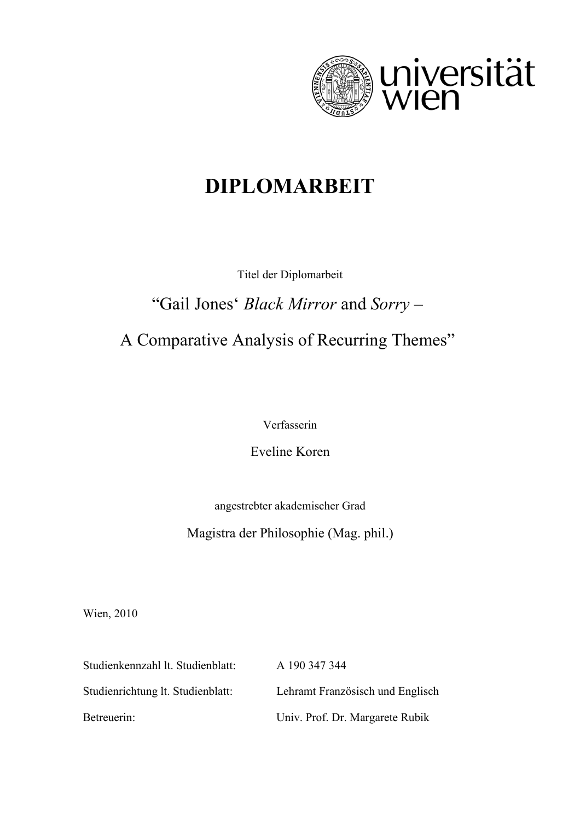

# **DIPLOMARBEIT**

Titel der Diplomarbeit

# "Gail Jones' *Black Mirror* and *Sorry* –

## A Comparative Analysis of Recurring Themes"

Verfasserin

Eveline Koren

angestrebter akademischer Grad

Magistra der Philosophie (Mag. phil.)

Wien, 2010

| Studienkennzahl lt. Studienblatt: | A 190 347 344                    |
|-----------------------------------|----------------------------------|
| Studienrichtung lt. Studienblatt: | Lehramt Französisch und Englisch |
| Betreuerin:                       | Univ. Prof. Dr. Margarete Rubik  |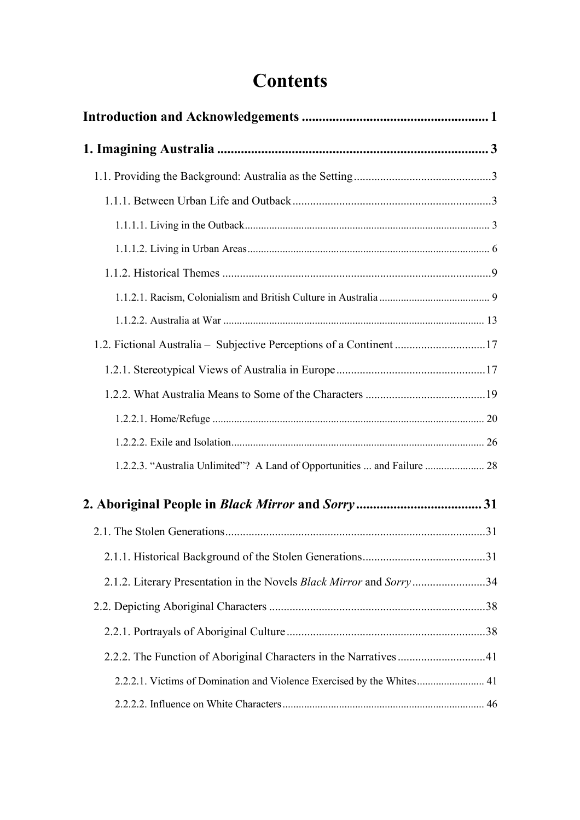# **Contents**

| 1.2. Fictional Australia - Subjective Perceptions of a Continent 17      |  |
|--------------------------------------------------------------------------|--|
|                                                                          |  |
|                                                                          |  |
|                                                                          |  |
|                                                                          |  |
| 1.2.2.3. "Australia Unlimited"? A Land of Opportunities  and Failure  28 |  |
|                                                                          |  |
|                                                                          |  |
|                                                                          |  |
| 2.1.2. Literary Presentation in the Novels Black Mirror and Sorry34      |  |
|                                                                          |  |
|                                                                          |  |
| 2.2.2. The Function of Aboriginal Characters in the Narratives 41        |  |
| 2.2.2.1. Victims of Domination and Violence Exercised by the Whites 41   |  |
|                                                                          |  |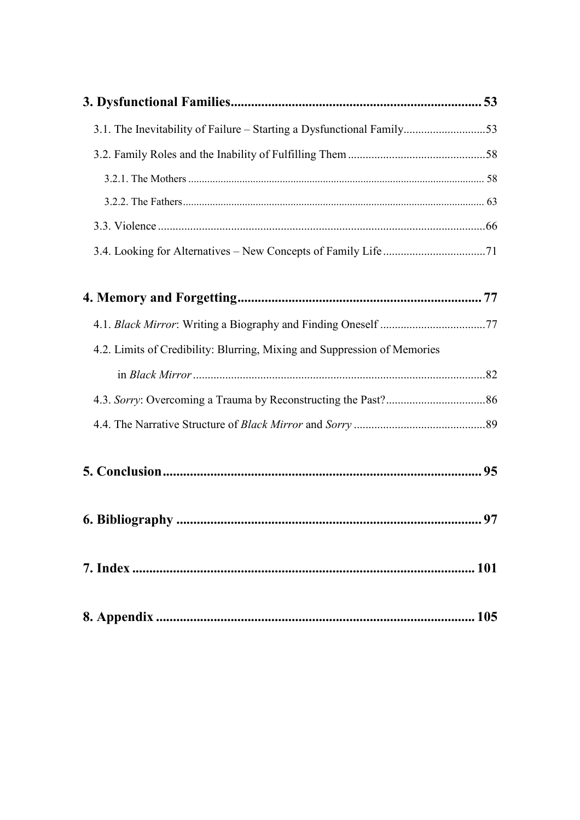| 3.1. The Inevitability of Failure - Starting a Dysfunctional Family53    |  |
|--------------------------------------------------------------------------|--|
|                                                                          |  |
|                                                                          |  |
|                                                                          |  |
|                                                                          |  |
|                                                                          |  |
|                                                                          |  |
|                                                                          |  |
| 4.2. Limits of Credibility: Blurring, Mixing and Suppression of Memories |  |
|                                                                          |  |
|                                                                          |  |
|                                                                          |  |
|                                                                          |  |
|                                                                          |  |
|                                                                          |  |
|                                                                          |  |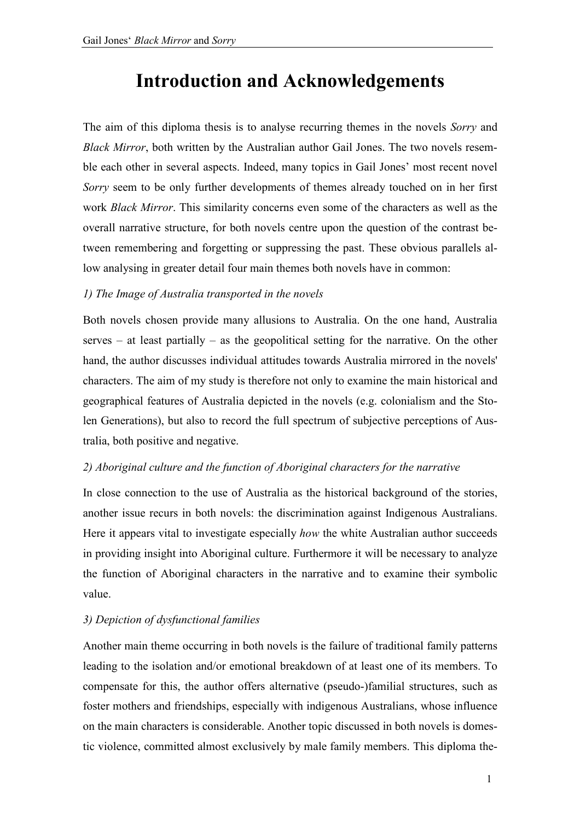## **Introduction and Acknowledgements**

The aim of this diploma thesis is to analyse recurring themes in the novels *Sorry* and *Black Mirror*, both written by the Australian author Gail Jones. The two novels resemble each other in several aspects. Indeed, many topics in Gail Jones' most recent novel *Sorry* seem to be only further developments of themes already touched on in her first work *Black Mirror*. This similarity concerns even some of the characters as well as the overall narrative structure, for both novels centre upon the question of the contrast between remembering and forgetting or suppressing the past. These obvious parallels allow analysing in greater detail four main themes both novels have in common:

### *1) The Image of Australia transported in the novels*

Both novels chosen provide many allusions to Australia. On the one hand, Australia serves – at least partially – as the geopolitical setting for the narrative. On the other hand, the author discusses individual attitudes towards Australia mirrored in the novels' characters. The aim of my study is therefore not only to examine the main historical and geographical features of Australia depicted in the novels (e.g. colonialism and the Stolen Generations), but also to record the full spectrum of subjective perceptions of Australia, both positive and negative.

### *2) Aboriginal culture and the function of Aboriginal characters for the narrative*

In close connection to the use of Australia as the historical background of the stories, another issue recurs in both novels: the discrimination against Indigenous Australians. Here it appears vital to investigate especially *how* the white Australian author succeeds in providing insight into Aboriginal culture. Furthermore it will be necessary to analyze the function of Aboriginal characters in the narrative and to examine their symbolic value.

### *3) Depiction of dysfunctional families*

Another main theme occurring in both novels is the failure of traditional family patterns leading to the isolation and/or emotional breakdown of at least one of its members. To compensate for this, the author offers alternative (pseudo-)familial structures, such as foster mothers and friendships, especially with indigenous Australians, whose influence on the main characters is considerable. Another topic discussed in both novels is domestic violence, committed almost exclusively by male family members. This diploma the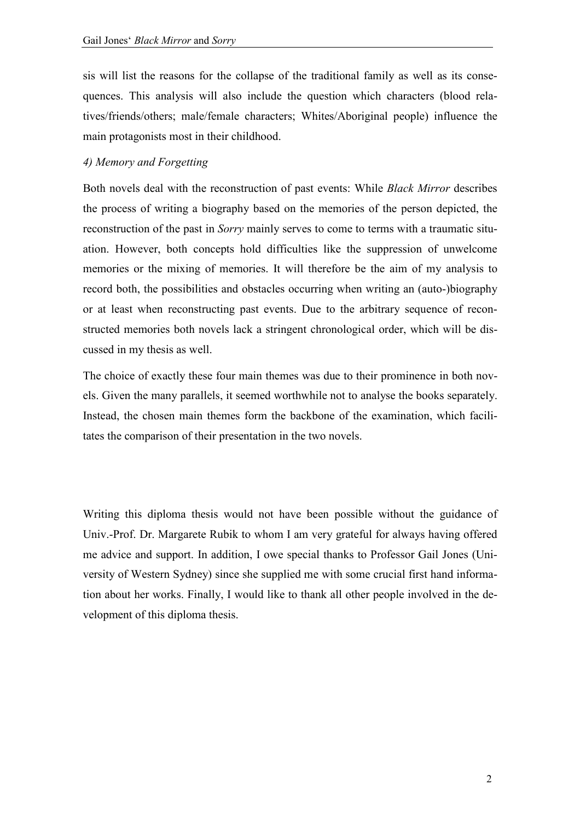sis will list the reasons for the collapse of the traditional family as well as its consequences. This analysis will also include the question which characters (blood relatives/friends/others; male/female characters; Whites/Aboriginal people) influence the main protagonists most in their childhood.

### *4) Memory and Forgetting*

Both novels deal with the reconstruction of past events: While *Black Mirror* describes the process of writing a biography based on the memories of the person depicted, the reconstruction of the past in *Sorry* mainly serves to come to terms with a traumatic situation. However, both concepts hold difficulties like the suppression of unwelcome memories or the mixing of memories. It will therefore be the aim of my analysis to record both, the possibilities and obstacles occurring when writing an (auto-)biography or at least when reconstructing past events. Due to the arbitrary sequence of reconstructed memories both novels lack a stringent chronological order, which will be discussed in my thesis as well.

The choice of exactly these four main themes was due to their prominence in both novels. Given the many parallels, it seemed worthwhile not to analyse the books separately. Instead, the chosen main themes form the backbone of the examination, which facilitates the comparison of their presentation in the two novels.

Writing this diploma thesis would not have been possible without the guidance of Univ.-Prof. Dr. Margarete Rubik to whom I am very grateful for always having offered me advice and support. In addition, I owe special thanks to Professor Gail Jones (University of Western Sydney) since she supplied me with some crucial first hand information about her works. Finally, I would like to thank all other people involved in the development of this diploma thesis.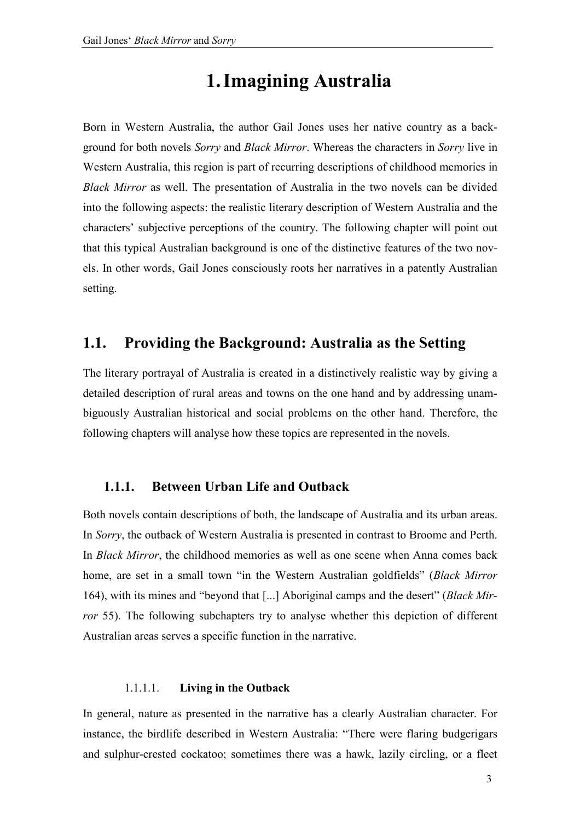## **1.Imagining Australia**

Born in Western Australia, the author Gail Jones uses her native country as a background for both novels *Sorry* and *Black Mirror*. Whereas the characters in *Sorry* live in Western Australia, this region is part of recurring descriptions of childhood memories in *Black Mirror* as well. The presentation of Australia in the two novels can be divided into the following aspects: the realistic literary description of Western Australia and the characters' subjective perceptions of the country. The following chapter will point out that this typical Australian background is one of the distinctive features of the two novels. In other words, Gail Jones consciously roots her narratives in a patently Australian setting.

### **1.1. Providing the Background: Australia as the Setting**

The literary portrayal of Australia is created in a distinctively realistic way by giving a detailed description of rural areas and towns on the one hand and by addressing unambiguously Australian historical and social problems on the other hand. Therefore, the following chapters will analyse how these topics are represented in the novels.

#### **1.1.1. Between Urban Life and Outback**

Both novels contain descriptions of both, the landscape of Australia and its urban areas. In *Sorry*, the outback of Western Australia is presented in contrast to Broome and Perth. In *Black Mirror*, the childhood memories as well as one scene when Anna comes back home, are set in a small town "in the Western Australian goldfields" (*Black Mirror* 164), with its mines and "beyond that [...] Aboriginal camps and the desert" (*Black Mirror* 55). The following subchapters try to analyse whether this depiction of different Australian areas serves a specific function in the narrative.

#### 1.1.1.1. **Living in the Outback**

In general, nature as presented in the narrative has a clearly Australian character. For instance, the birdlife described in Western Australia: "There were flaring budgerigars and sulphur-crested cockatoo; sometimes there was a hawk, lazily circling, or a fleet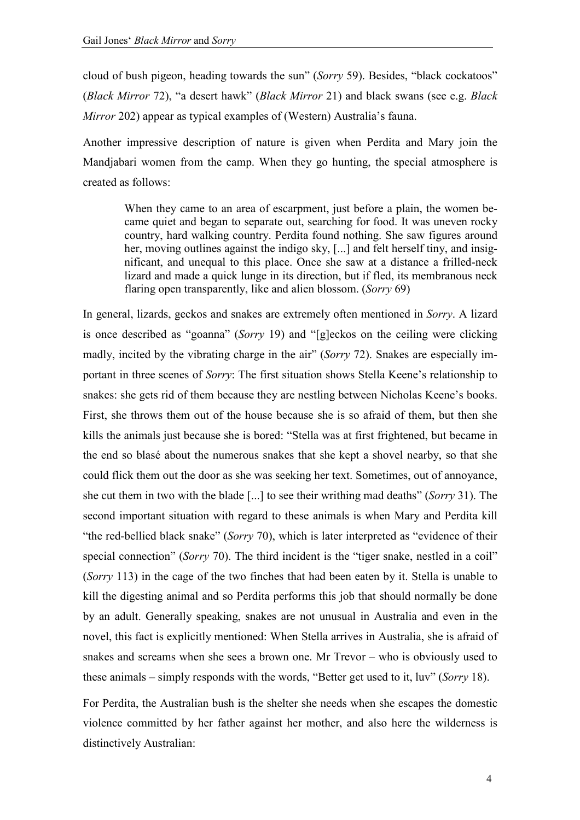cloud of bush pigeon, heading towards the sun" (*Sorry* 59). Besides, "black cockatoos" (*Black Mirror* 72), "a desert hawk" (*Black Mirror* 21) and black swans (see e.g. *Black Mirror* 202) appear as typical examples of (Western) Australia's fauna.

Another impressive description of nature is given when Perdita and Mary join the Mandjabari women from the camp. When they go hunting, the special atmosphere is created as follows:

When they came to an area of escarpment, just before a plain, the women became quiet and began to separate out, searching for food. It was uneven rocky country, hard walking country. Perdita found nothing. She saw figures around her, moving outlines against the indigo sky, [...] and felt herself tiny, and insignificant, and unequal to this place. Once she saw at a distance a frilled-neck lizard and made a quick lunge in its direction, but if fled, its membranous neck flaring open transparently, like and alien blossom. (*Sorry* 69)

In general, lizards, geckos and snakes are extremely often mentioned in *Sorry*. A lizard is once described as "goanna" (*Sorry* 19) and "[g]eckos on the ceiling were clicking madly, incited by the vibrating charge in the air" (*Sorry* 72). Snakes are especially important in three scenes of *Sorry*: The first situation shows Stella Keene's relationship to snakes: she gets rid of them because they are nestling between Nicholas Keene's books. First, she throws them out of the house because she is so afraid of them, but then she kills the animals just because she is bored: "Stella was at first frightened, but became in the end so blasé about the numerous snakes that she kept a shovel nearby, so that she could flick them out the door as she was seeking her text. Sometimes, out of annoyance, she cut them in two with the blade [...] to see their writhing mad deaths" (*Sorry* 31). The second important situation with regard to these animals is when Mary and Perdita kill "the red-bellied black snake" (*Sorry* 70), which is later interpreted as "evidence of their special connection" (*Sorry* 70). The third incident is the "tiger snake, nestled in a coil" (*Sorry* 113) in the cage of the two finches that had been eaten by it. Stella is unable to kill the digesting animal and so Perdita performs this job that should normally be done by an adult. Generally speaking, snakes are not unusual in Australia and even in the novel, this fact is explicitly mentioned: When Stella arrives in Australia, she is afraid of snakes and screams when she sees a brown one. Mr Trevor – who is obviously used to these animals – simply responds with the words, "Better get used to it, luv" (*Sorry* 18).

For Perdita, the Australian bush is the shelter she needs when she escapes the domestic violence committed by her father against her mother, and also here the wilderness is distinctively Australian: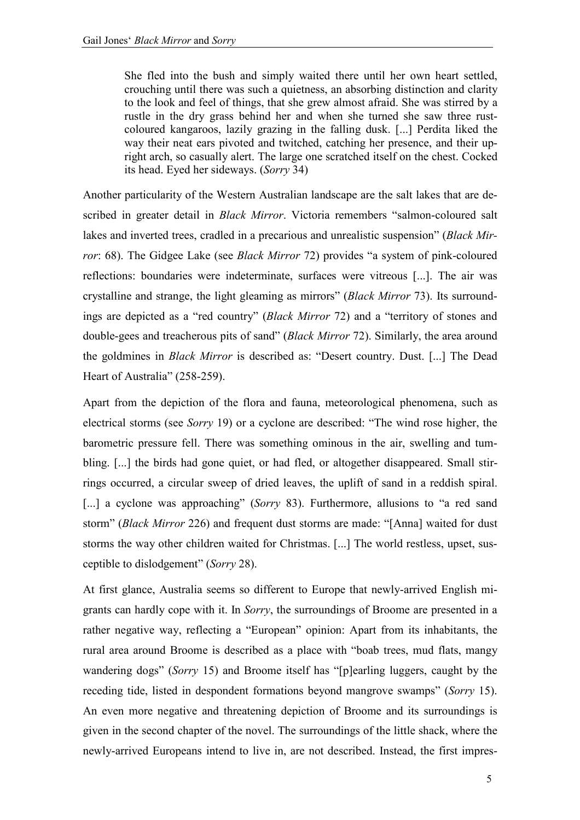She fled into the bush and simply waited there until her own heart settled, crouching until there was such a quietness, an absorbing distinction and clarity to the look and feel of things, that she grew almost afraid. She was stirred by a rustle in the dry grass behind her and when she turned she saw three rustcoloured kangaroos, lazily grazing in the falling dusk. [...] Perdita liked the way their neat ears pivoted and twitched, catching her presence, and their upright arch, so casually alert. The large one scratched itself on the chest. Cocked its head. Eyed her sideways. (*Sorry* 34)

Another particularity of the Western Australian landscape are the salt lakes that are described in greater detail in *Black Mirror*. Victoria remembers "salmon-coloured salt lakes and inverted trees, cradled in a precarious and unrealistic suspension" (*Black Mirror*: 68). The Gidgee Lake (see *Black Mirror* 72) provides "a system of pink-coloured reflections: boundaries were indeterminate, surfaces were vitreous [...]. The air was crystalline and strange, the light gleaming as mirrors" (*Black Mirror* 73). Its surroundings are depicted as a "red country" (*Black Mirror* 72) and a "territory of stones and double-gees and treacherous pits of sand" (*Black Mirror* 72). Similarly, the area around the goldmines in *Black Mirror* is described as: "Desert country. Dust. [...] The Dead Heart of Australia" (258-259).

Apart from the depiction of the flora and fauna, meteorological phenomena, such as electrical storms (see *Sorry* 19) or a cyclone are described: "The wind rose higher, the barometric pressure fell. There was something ominous in the air, swelling and tumbling. [...] the birds had gone quiet, or had fled, or altogether disappeared. Small stirrings occurred, a circular sweep of dried leaves, the uplift of sand in a reddish spiral. [...] a cyclone was approaching" (*Sorry* 83). Furthermore, allusions to "a red sand storm" (*Black Mirror* 226) and frequent dust storms are made: "[Anna] waited for dust storms the way other children waited for Christmas. [...] The world restless, upset, susceptible to dislodgement" (*Sorry* 28).

At first glance, Australia seems so different to Europe that newly-arrived English migrants can hardly cope with it. In *Sorry*, the surroundings of Broome are presented in a rather negative way, reflecting a "European" opinion: Apart from its inhabitants, the rural area around Broome is described as a place with "boab trees, mud flats, mangy wandering dogs" (*Sorry* 15) and Broome itself has "[p]earling luggers, caught by the receding tide, listed in despondent formations beyond mangrove swamps" (*Sorry* 15). An even more negative and threatening depiction of Broome and its surroundings is given in the second chapter of the novel. The surroundings of the little shack, where the newly-arrived Europeans intend to live in, are not described. Instead, the first impres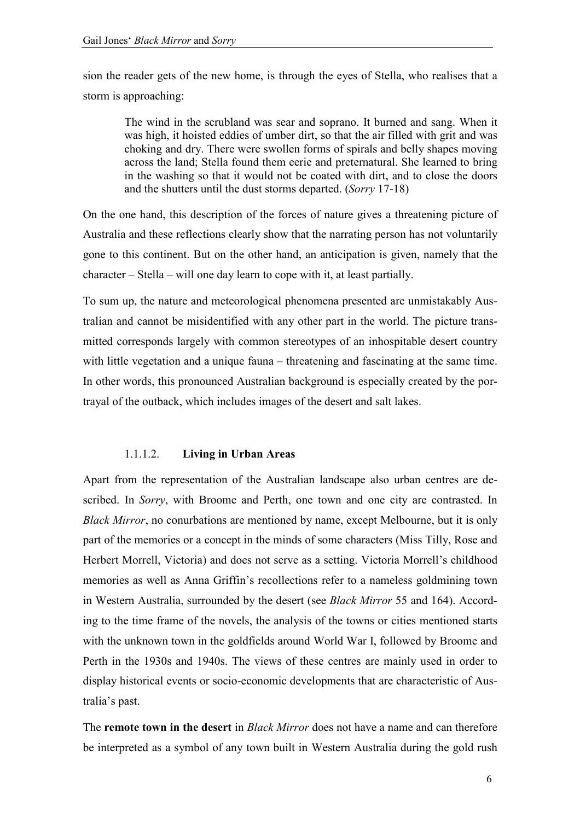sion the reader gets of the new home, is through the eyes of Stella, who realises that a storm is approaching:

The wind in the scrubland was sear and soprano. It burned and sang. When it was high, it hoisted eddies of umber dirt, so that the air filled with grit and was choking and dry. There were swollen forms of spirals and belly shapes moving across the land; Stella found them eerie and preternatural. She learned to bring in the washing so that it would not be coated with dirt, and to close the doors and the shutters until the dust storms departed. (*Sorry* 17-18)

On the one hand, this description of the forces of nature gives a threatening picture of Australia and these reflections clearly show that the narrating person has not voluntarily gone to this continent. But on the other hand, an anticipation is given, namely that the character – Stella – will one day learn to cope with it, at least partially.

To sum up, the nature and meteorological phenomena presented are unmistakably Australian and cannot be misidentified with any other part in the world. The picture transmitted corresponds largely with common stereotypes of an inhospitable desert country with little vegetation and a unique fauna – threatening and fascinating at the same time. In other words, this pronounced Australian background is especially created by the portrayal of the outback, which includes images of the desert and salt lakes.

### 1.1.1.2. **Living in Urban Areas**

Apart from the representation of the Australian landscape also urban centres are described. In *Sorry*, with Broome and Perth, one town and one city are contrasted. In *Black Mirror*, no conurbations are mentioned by name, except Melbourne, but it is only part of the memories or a concept in the minds of some characters (Miss Tilly, Rose and Herbert Morrell, Victoria) and does not serve as a setting. Victoria Morrell's childhood memories as well as Anna Griffin's recollections refer to a nameless goldmining town in Western Australia, surrounded by the desert (see *Black Mirror* 55 and 164). According to the time frame of the novels, the analysis of the towns or cities mentioned starts with the unknown town in the goldfields around World War I, followed by Broome and Perth in the 1930s and 1940s. The views of these centres are mainly used in order to display historical events or socio-economic developments that are characteristic of Australia's past.

The **remote town in the desert** in *Black Mirror* does not have a name and can therefore be interpreted as a symbol of any town built in Western Australia during the gold rush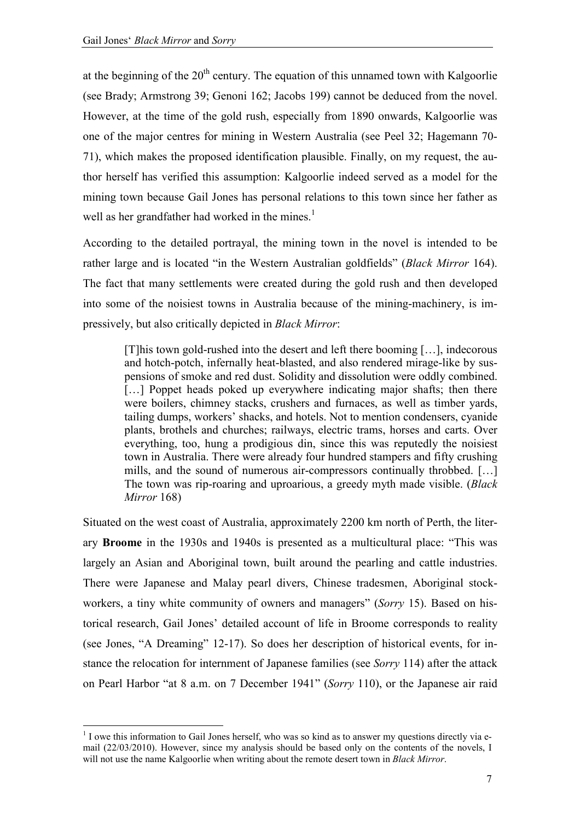at the beginning of the  $20<sup>th</sup>$  century. The equation of this unnamed town with Kalgoorlie (see Brady; Armstrong 39; Genoni 162; Jacobs 199) cannot be deduced from the novel. However, at the time of the gold rush, especially from 1890 onwards, Kalgoorlie was one of the major centres for mining in Western Australia (see Peel 32; Hagemann 70- 71), which makes the proposed identification plausible. Finally, on my request, the author herself has verified this assumption: Kalgoorlie indeed served as a model for the mining town because Gail Jones has personal relations to this town since her father as well as her grandfather had worked in the mines.<sup>1</sup>

According to the detailed portrayal, the mining town in the novel is intended to be rather large and is located "in the Western Australian goldfields" (*Black Mirror* 164). The fact that many settlements were created during the gold rush and then developed into some of the noisiest towns in Australia because of the mining-machinery, is impressively, but also critically depicted in *Black Mirror*:

[T]his town gold-rushed into the desert and left there booming […], indecorous and hotch-potch, infernally heat-blasted, and also rendered mirage-like by suspensions of smoke and red dust. Solidity and dissolution were oddly combined. [...] Poppet heads poked up everywhere indicating major shafts; then there were boilers, chimney stacks, crushers and furnaces, as well as timber yards, tailing dumps, workers' shacks, and hotels. Not to mention condensers, cyanide plants, brothels and churches; railways, electric trams, horses and carts. Over everything, too, hung a prodigious din, since this was reputedly the noisiest town in Australia. There were already four hundred stampers and fifty crushing mills, and the sound of numerous air-compressors continually throbbed. […] The town was rip-roaring and uproarious, a greedy myth made visible. (*Black Mirror* 168)

Situated on the west coast of Australia, approximately 2200 km north of Perth, the literary **Broome** in the 1930s and 1940s is presented as a multicultural place: "This was largely an Asian and Aboriginal town, built around the pearling and cattle industries. There were Japanese and Malay pearl divers, Chinese tradesmen, Aboriginal stockworkers, a tiny white community of owners and managers" (*Sorry* 15). Based on historical research, Gail Jones' detailed account of life in Broome corresponds to reality (see Jones, "A Dreaming" 12-17). So does her description of historical events, for instance the relocation for internment of Japanese families (see *Sorry* 114) after the attack on Pearl Harbor "at 8 a.m. on 7 December 1941" (*Sorry* 110), or the Japanese air raid

l

 $<sup>1</sup>$  I owe this information to Gail Jones herself, who was so kind as to answer my questions directly via e-</sup> mail (22/03/2010). However, since my analysis should be based only on the contents of the novels, I will not use the name Kalgoorlie when writing about the remote desert town in *Black Mirror*.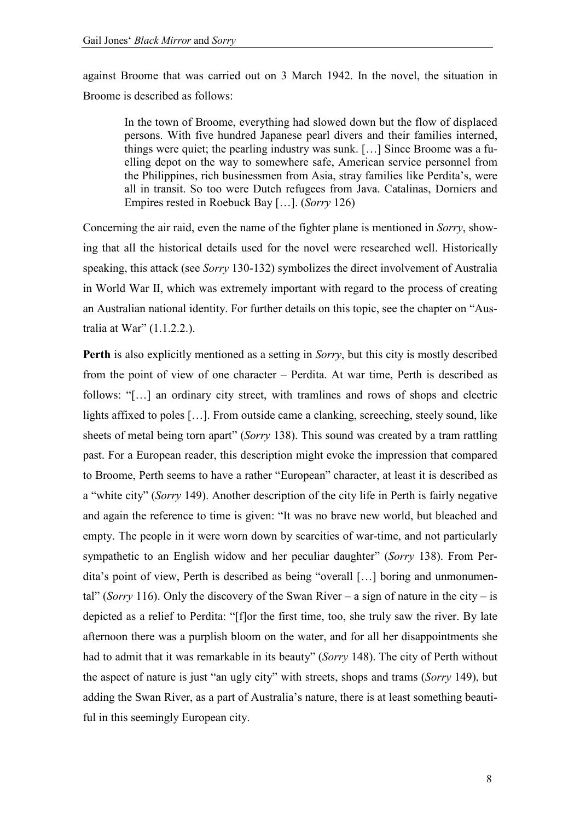against Broome that was carried out on 3 March 1942. In the novel, the situation in Broome is described as follows:

In the town of Broome, everything had slowed down but the flow of displaced persons. With five hundred Japanese pearl divers and their families interned, things were quiet; the pearling industry was sunk. […] Since Broome was a fuelling depot on the way to somewhere safe, American service personnel from the Philippines, rich businessmen from Asia, stray families like Perdita's, were all in transit. So too were Dutch refugees from Java. Catalinas, Dorniers and Empires rested in Roebuck Bay […]. (*Sorry* 126)

Concerning the air raid, even the name of the fighter plane is mentioned in *Sorry*, showing that all the historical details used for the novel were researched well. Historically speaking, this attack (see *Sorry* 130-132) symbolizes the direct involvement of Australia in World War II, which was extremely important with regard to the process of creating an Australian national identity. For further details on this topic, see the chapter on "Australia at War" (1.1.2.2.).

**Perth** is also explicitly mentioned as a setting in *Sorry*, but this city is mostly described from the point of view of one character – Perdita. At war time, Perth is described as follows: "[…] an ordinary city street, with tramlines and rows of shops and electric lights affixed to poles […]. From outside came a clanking, screeching, steely sound, like sheets of metal being torn apart" (*Sorry* 138). This sound was created by a tram rattling past. For a European reader, this description might evoke the impression that compared to Broome, Perth seems to have a rather "European" character, at least it is described as a "white city" (*Sorry* 149). Another description of the city life in Perth is fairly negative and again the reference to time is given: "It was no brave new world, but bleached and empty. The people in it were worn down by scarcities of war-time, and not particularly sympathetic to an English widow and her peculiar daughter" (*Sorry* 138). From Perdita's point of view, Perth is described as being "overall […] boring and unmonumental" (*Sorry* 116). Only the discovery of the Swan River – a sign of nature in the city – is depicted as a relief to Perdita: "[f]or the first time, too, she truly saw the river. By late afternoon there was a purplish bloom on the water, and for all her disappointments she had to admit that it was remarkable in its beauty" (*Sorry* 148). The city of Perth without the aspect of nature is just "an ugly city" with streets, shops and trams (*Sorry* 149), but adding the Swan River, as a part of Australia's nature, there is at least something beautiful in this seemingly European city.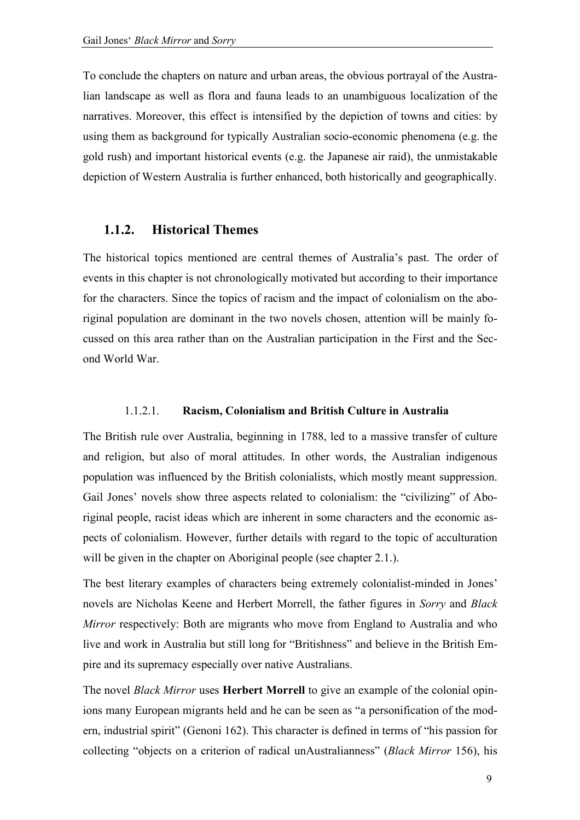To conclude the chapters on nature and urban areas, the obvious portrayal of the Australian landscape as well as flora and fauna leads to an unambiguous localization of the narratives. Moreover, this effect is intensified by the depiction of towns and cities: by using them as background for typically Australian socio-economic phenomena (e.g. the gold rush) and important historical events (e.g. the Japanese air raid), the unmistakable depiction of Western Australia is further enhanced, both historically and geographically.

### **1.1.2. Historical Themes**

The historical topics mentioned are central themes of Australia's past. The order of events in this chapter is not chronologically motivated but according to their importance for the characters. Since the topics of racism and the impact of colonialism on the aboriginal population are dominant in the two novels chosen, attention will be mainly focussed on this area rather than on the Australian participation in the First and the Second World War.

#### 1.1.2.1. **Racism, Colonialism and British Culture in Australia**

The British rule over Australia, beginning in 1788, led to a massive transfer of culture and religion, but also of moral attitudes. In other words, the Australian indigenous population was influenced by the British colonialists, which mostly meant suppression. Gail Jones' novels show three aspects related to colonialism: the "civilizing" of Aboriginal people, racist ideas which are inherent in some characters and the economic aspects of colonialism. However, further details with regard to the topic of acculturation will be given in the chapter on Aboriginal people (see chapter 2.1.).

The best literary examples of characters being extremely colonialist-minded in Jones' novels are Nicholas Keene and Herbert Morrell, the father figures in *Sorry* and *Black Mirror* respectively: Both are migrants who move from England to Australia and who live and work in Australia but still long for "Britishness" and believe in the British Empire and its supremacy especially over native Australians.

The novel *Black Mirror* uses **Herbert Morrell** to give an example of the colonial opinions many European migrants held and he can be seen as "a personification of the modern, industrial spirit" (Genoni 162). This character is defined in terms of "his passion for collecting "objects on a criterion of radical unAustralianness" (*Black Mirror* 156), his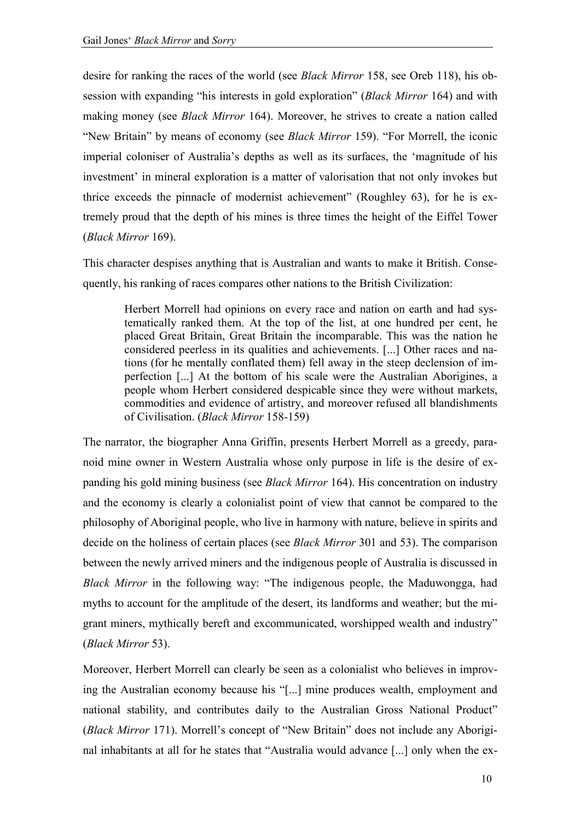desire for ranking the races of the world (see *Black Mirror* 158, see Oreb 118), his obsession with expanding "his interests in gold exploration" (*Black Mirror* 164) and with making money (see *Black Mirror* 164). Moreover, he strives to create a nation called "New Britain" by means of economy (see *Black Mirror* 159). "For Morrell, the iconic imperial coloniser of Australia's depths as well as its surfaces, the 'magnitude of his investment' in mineral exploration is a matter of valorisation that not only invokes but thrice exceeds the pinnacle of modernist achievement" (Roughley 63), for he is extremely proud that the depth of his mines is three times the height of the Eiffel Tower (*Black Mirror* 169).

This character despises anything that is Australian and wants to make it British. Consequently, his ranking of races compares other nations to the British Civilization:

Herbert Morrell had opinions on every race and nation on earth and had systematically ranked them. At the top of the list, at one hundred per cent, he placed Great Britain, Great Britain the incomparable. This was the nation he considered peerless in its qualities and achievements. [...] Other races and nations (for he mentally conflated them) fell away in the steep declension of imperfection [...] At the bottom of his scale were the Australian Aborigines, a people whom Herbert considered despicable since they were without markets, commodities and evidence of artistry, and moreover refused all blandishments of Civilisation. (*Black Mirror* 158-159)

The narrator, the biographer Anna Griffin, presents Herbert Morrell as a greedy, paranoid mine owner in Western Australia whose only purpose in life is the desire of expanding his gold mining business (see *Black Mirror* 164). His concentration on industry and the economy is clearly a colonialist point of view that cannot be compared to the philosophy of Aboriginal people, who live in harmony with nature, believe in spirits and decide on the holiness of certain places (see *Black Mirror* 301 and 53). The comparison between the newly arrived miners and the indigenous people of Australia is discussed in *Black Mirror* in the following way: "The indigenous people, the Maduwongga, had myths to account for the amplitude of the desert, its landforms and weather; but the migrant miners, mythically bereft and excommunicated, worshipped wealth and industry" (*Black Mirror* 53).

Moreover, Herbert Morrell can clearly be seen as a colonialist who believes in improving the Australian economy because his "[...] mine produces wealth, employment and national stability, and contributes daily to the Australian Gross National Product" (*Black Mirror* 171). Morrell's concept of "New Britain" does not include any Aboriginal inhabitants at all for he states that "Australia would advance [...] only when the ex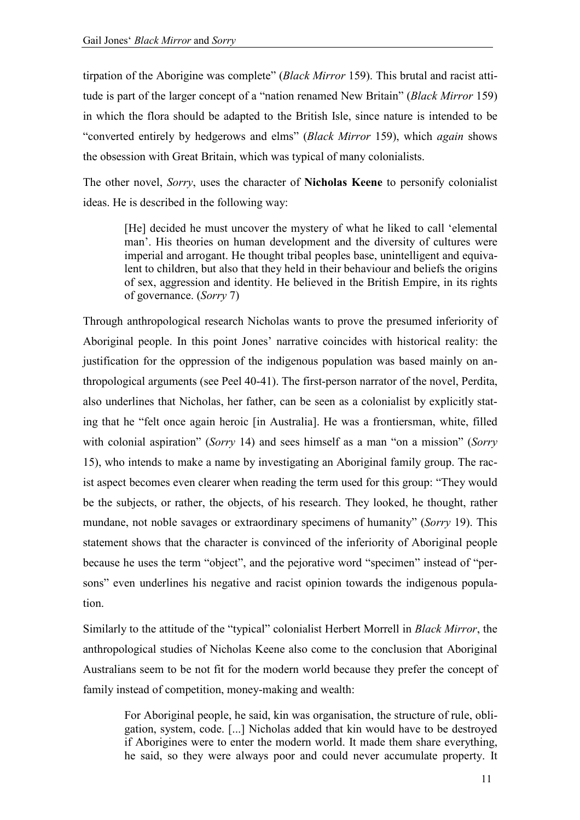tirpation of the Aborigine was complete" (*Black Mirror* 159). This brutal and racist attitude is part of the larger concept of a "nation renamed New Britain" (*Black Mirror* 159) in which the flora should be adapted to the British Isle, since nature is intended to be "converted entirely by hedgerows and elms" (*Black Mirror* 159), which *again* shows the obsession with Great Britain, which was typical of many colonialists.

The other novel, *Sorry*, uses the character of **Nicholas Keene** to personify colonialist ideas. He is described in the following way:

[He] decided he must uncover the mystery of what he liked to call 'elemental man'. His theories on human development and the diversity of cultures were imperial and arrogant. He thought tribal peoples base, unintelligent and equivalent to children, but also that they held in their behaviour and beliefs the origins of sex, aggression and identity. He believed in the British Empire, in its rights of governance. (*Sorry* 7)

Through anthropological research Nicholas wants to prove the presumed inferiority of Aboriginal people. In this point Jones' narrative coincides with historical reality: the justification for the oppression of the indigenous population was based mainly on anthropological arguments (see Peel 40-41). The first-person narrator of the novel, Perdita, also underlines that Nicholas, her father, can be seen as a colonialist by explicitly stating that he "felt once again heroic [in Australia]. He was a frontiersman, white, filled with colonial aspiration" (*Sorry* 14) and sees himself as a man "on a mission" (*Sorry* 15), who intends to make a name by investigating an Aboriginal family group. The racist aspect becomes even clearer when reading the term used for this group: "They would be the subjects, or rather, the objects, of his research. They looked, he thought, rather mundane, not noble savages or extraordinary specimens of humanity" (*Sorry* 19). This statement shows that the character is convinced of the inferiority of Aboriginal people because he uses the term "object", and the pejorative word "specimen" instead of "persons" even underlines his negative and racist opinion towards the indigenous population.

Similarly to the attitude of the "typical" colonialist Herbert Morrell in *Black Mirror*, the anthropological studies of Nicholas Keene also come to the conclusion that Aboriginal Australians seem to be not fit for the modern world because they prefer the concept of family instead of competition, money-making and wealth:

For Aboriginal people, he said, kin was organisation, the structure of rule, obligation, system, code. [...] Nicholas added that kin would have to be destroyed if Aborigines were to enter the modern world. It made them share everything, he said, so they were always poor and could never accumulate property. It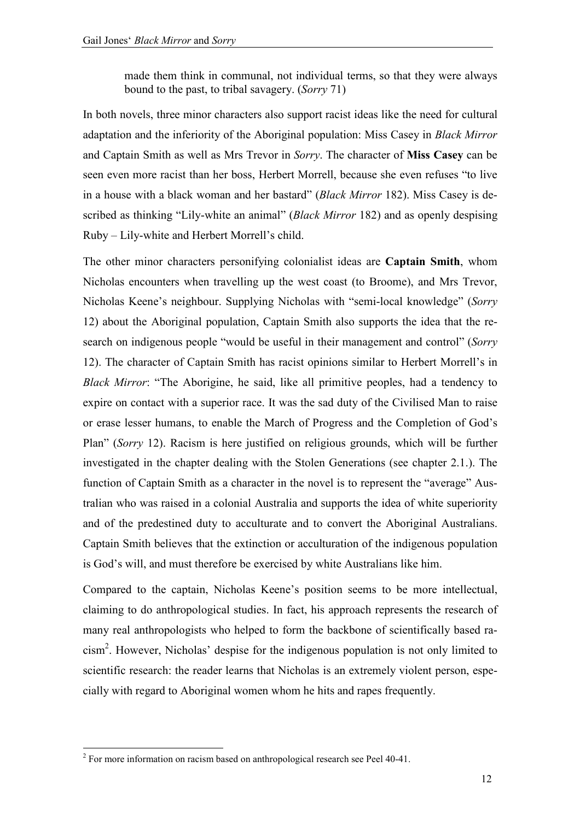made them think in communal, not individual terms, so that they were always bound to the past, to tribal savagery. (*Sorry* 71)

In both novels, three minor characters also support racist ideas like the need for cultural adaptation and the inferiority of the Aboriginal population: Miss Casey in *Black Mirror* and Captain Smith as well as Mrs Trevor in *Sorry*. The character of **Miss Casey** can be seen even more racist than her boss, Herbert Morrell, because she even refuses "to live in a house with a black woman and her bastard" (*Black Mirror* 182). Miss Casey is described as thinking "Lily-white an animal" (*Black Mirror* 182) and as openly despising Ruby – Lily-white and Herbert Morrell's child.

The other minor characters personifying colonialist ideas are **Captain Smith**, whom Nicholas encounters when travelling up the west coast (to Broome), and Mrs Trevor, Nicholas Keene's neighbour. Supplying Nicholas with "semi-local knowledge" (*Sorry* 12) about the Aboriginal population, Captain Smith also supports the idea that the research on indigenous people "would be useful in their management and control" (*Sorry* 12). The character of Captain Smith has racist opinions similar to Herbert Morrell's in *Black Mirror*: "The Aborigine, he said, like all primitive peoples, had a tendency to expire on contact with a superior race. It was the sad duty of the Civilised Man to raise or erase lesser humans, to enable the March of Progress and the Completion of God's Plan" (*Sorry* 12). Racism is here justified on religious grounds, which will be further investigated in the chapter dealing with the Stolen Generations (see chapter 2.1.). The function of Captain Smith as a character in the novel is to represent the "average" Australian who was raised in a colonial Australia and supports the idea of white superiority and of the predestined duty to acculturate and to convert the Aboriginal Australians. Captain Smith believes that the extinction or acculturation of the indigenous population is God's will, and must therefore be exercised by white Australians like him.

Compared to the captain, Nicholas Keene's position seems to be more intellectual, claiming to do anthropological studies. In fact, his approach represents the research of many real anthropologists who helped to form the backbone of scientifically based racism<sup>2</sup> . However, Nicholas' despise for the indigenous population is not only limited to scientific research: the reader learns that Nicholas is an extremely violent person, especially with regard to Aboriginal women whom he hits and rapes frequently.

 $\overline{a}$ 

<sup>&</sup>lt;sup>2</sup> For more information on racism based on anthropological research see Peel 40-41.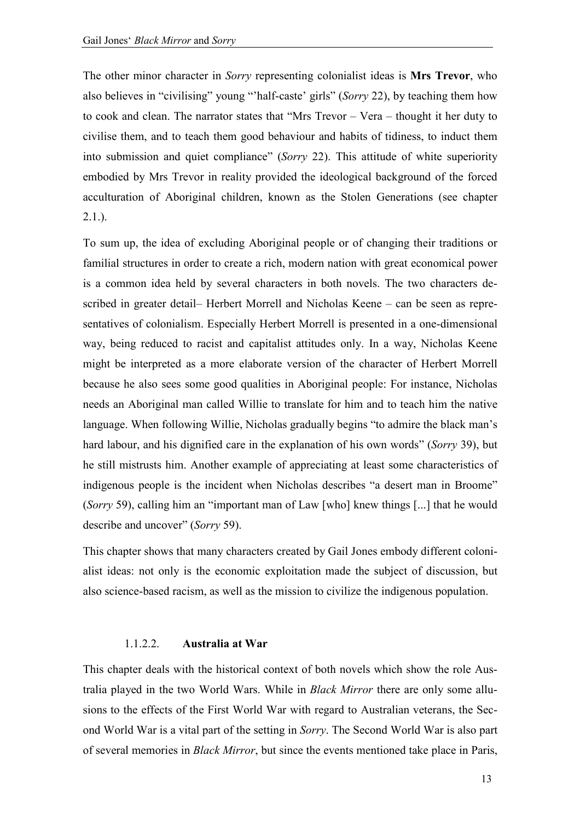The other minor character in *Sorry* representing colonialist ideas is **Mrs Trevor**, who also believes in "civilising" young "'half-caste' girls" (*Sorry* 22), by teaching them how to cook and clean. The narrator states that "Mrs Trevor – Vera – thought it her duty to civilise them, and to teach them good behaviour and habits of tidiness, to induct them into submission and quiet compliance" (*Sorry* 22). This attitude of white superiority embodied by Mrs Trevor in reality provided the ideological background of the forced acculturation of Aboriginal children, known as the Stolen Generations (see chapter  $2.1.$ ).

To sum up, the idea of excluding Aboriginal people or of changing their traditions or familial structures in order to create a rich, modern nation with great economical power is a common idea held by several characters in both novels. The two characters described in greater detail– Herbert Morrell and Nicholas Keene – can be seen as representatives of colonialism. Especially Herbert Morrell is presented in a one-dimensional way, being reduced to racist and capitalist attitudes only. In a way, Nicholas Keene might be interpreted as a more elaborate version of the character of Herbert Morrell because he also sees some good qualities in Aboriginal people: For instance, Nicholas needs an Aboriginal man called Willie to translate for him and to teach him the native language. When following Willie, Nicholas gradually begins "to admire the black man's hard labour, and his dignified care in the explanation of his own words" (*Sorry* 39), but he still mistrusts him. Another example of appreciating at least some characteristics of indigenous people is the incident when Nicholas describes "a desert man in Broome" (*Sorry* 59), calling him an "important man of Law [who] knew things [...] that he would describe and uncover" (*Sorry* 59).

This chapter shows that many characters created by Gail Jones embody different colonialist ideas: not only is the economic exploitation made the subject of discussion, but also science-based racism, as well as the mission to civilize the indigenous population.

#### 1.1.2.2. **Australia at War**

This chapter deals with the historical context of both novels which show the role Australia played in the two World Wars. While in *Black Mirror* there are only some allusions to the effects of the First World War with regard to Australian veterans, the Second World War is a vital part of the setting in *Sorry*. The Second World War is also part of several memories in *Black Mirror*, but since the events mentioned take place in Paris,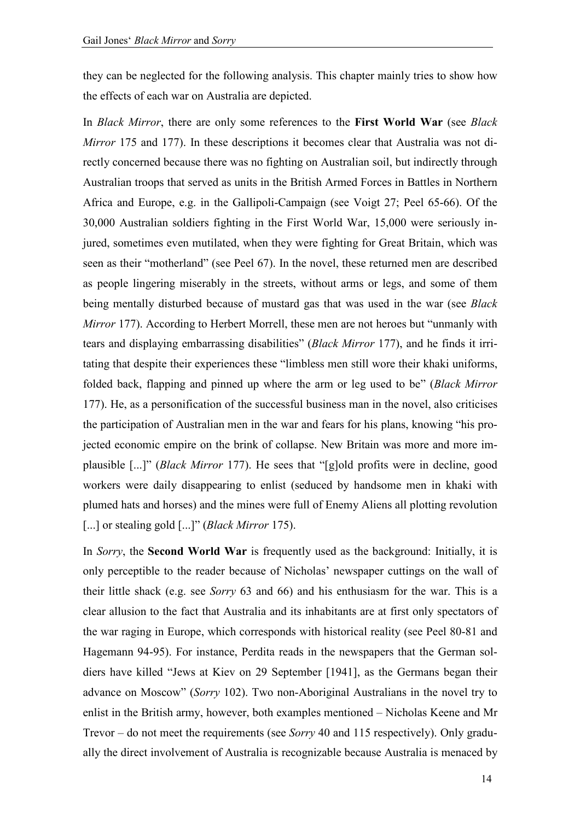they can be neglected for the following analysis. This chapter mainly tries to show how the effects of each war on Australia are depicted.

In *Black Mirror*, there are only some references to the **First World War** (see *Black Mirror* 175 and 177). In these descriptions it becomes clear that Australia was not directly concerned because there was no fighting on Australian soil, but indirectly through Australian troops that served as units in the British Armed Forces in Battles in Northern Africa and Europe, e.g. in the Gallipoli-Campaign (see Voigt 27; Peel 65-66). Of the 30,000 Australian soldiers fighting in the First World War, 15,000 were seriously injured, sometimes even mutilated, when they were fighting for Great Britain, which was seen as their "motherland" (see Peel 67). In the novel, these returned men are described as people lingering miserably in the streets, without arms or legs, and some of them being mentally disturbed because of mustard gas that was used in the war (see *Black Mirror* 177). According to Herbert Morrell, these men are not heroes but "unmanly with tears and displaying embarrassing disabilities" (*Black Mirror* 177), and he finds it irritating that despite their experiences these "limbless men still wore their khaki uniforms, folded back, flapping and pinned up where the arm or leg used to be" (*Black Mirror* 177). He, as a personification of the successful business man in the novel, also criticises the participation of Australian men in the war and fears for his plans, knowing "his projected economic empire on the brink of collapse. New Britain was more and more implausible [...]" (*Black Mirror* 177). He sees that "[g]old profits were in decline, good workers were daily disappearing to enlist (seduced by handsome men in khaki with plumed hats and horses) and the mines were full of Enemy Aliens all plotting revolution [...] or stealing gold [...]" (*Black Mirror* 175).

In *Sorry*, the **Second World War** is frequently used as the background: Initially, it is only perceptible to the reader because of Nicholas' newspaper cuttings on the wall of their little shack (e.g. see *Sorry* 63 and 66) and his enthusiasm for the war. This is a clear allusion to the fact that Australia and its inhabitants are at first only spectators of the war raging in Europe, which corresponds with historical reality (see Peel 80-81 and Hagemann 94-95). For instance, Perdita reads in the newspapers that the German soldiers have killed "Jews at Kiev on 29 September [1941], as the Germans began their advance on Moscow" (*Sorry* 102). Two non-Aboriginal Australians in the novel try to enlist in the British army, however, both examples mentioned – Nicholas Keene and Mr Trevor – do not meet the requirements (see *Sorry* 40 and 115 respectively). Only gradually the direct involvement of Australia is recognizable because Australia is menaced by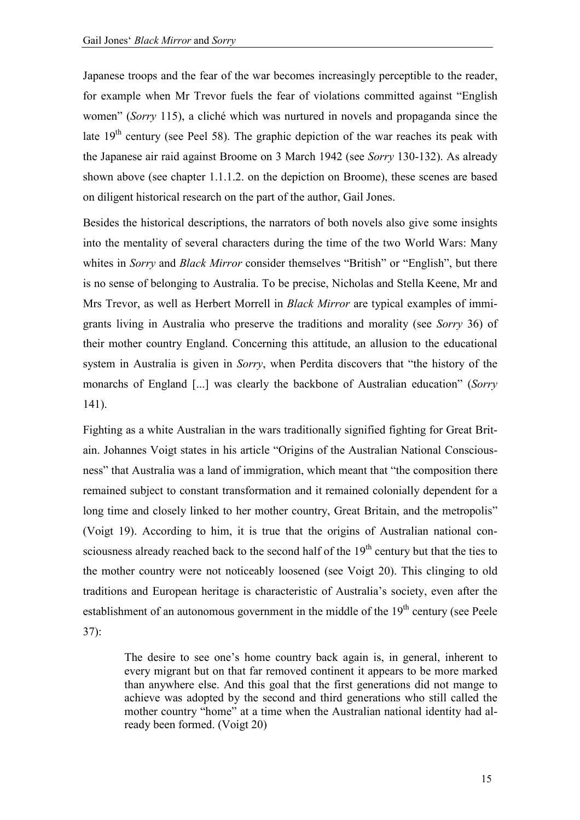Japanese troops and the fear of the war becomes increasingly perceptible to the reader, for example when Mr Trevor fuels the fear of violations committed against "English women" (*Sorry* 115), a cliché which was nurtured in novels and propaganda since the late  $19<sup>th</sup>$  century (see Peel 58). The graphic depiction of the war reaches its peak with the Japanese air raid against Broome on 3 March 1942 (see *Sorry* 130-132). As already shown above (see chapter 1.1.1.2. on the depiction on Broome), these scenes are based on diligent historical research on the part of the author, Gail Jones.

Besides the historical descriptions, the narrators of both novels also give some insights into the mentality of several characters during the time of the two World Wars: Many whites in *Sorry* and *Black Mirror* consider themselves "British" or "English", but there is no sense of belonging to Australia. To be precise, Nicholas and Stella Keene, Mr and Mrs Trevor, as well as Herbert Morrell in *Black Mirror* are typical examples of immigrants living in Australia who preserve the traditions and morality (see *Sorry* 36) of their mother country England. Concerning this attitude, an allusion to the educational system in Australia is given in *Sorry*, when Perdita discovers that "the history of the monarchs of England [...] was clearly the backbone of Australian education" (*Sorry* 141).

Fighting as a white Australian in the wars traditionally signified fighting for Great Britain. Johannes Voigt states in his article "Origins of the Australian National Consciousness" that Australia was a land of immigration, which meant that "the composition there remained subject to constant transformation and it remained colonially dependent for a long time and closely linked to her mother country, Great Britain, and the metropolis" (Voigt 19). According to him, it is true that the origins of Australian national consciousness already reached back to the second half of the  $19<sup>th</sup>$  century but that the ties to the mother country were not noticeably loosened (see Voigt 20). This clinging to old traditions and European heritage is characteristic of Australia's society, even after the establishment of an autonomous government in the middle of the  $19<sup>th</sup>$  century (see Peele 37):

The desire to see one's home country back again is, in general, inherent to every migrant but on that far removed continent it appears to be more marked than anywhere else. And this goal that the first generations did not mange to achieve was adopted by the second and third generations who still called the mother country "home" at a time when the Australian national identity had already been formed. (Voigt 20)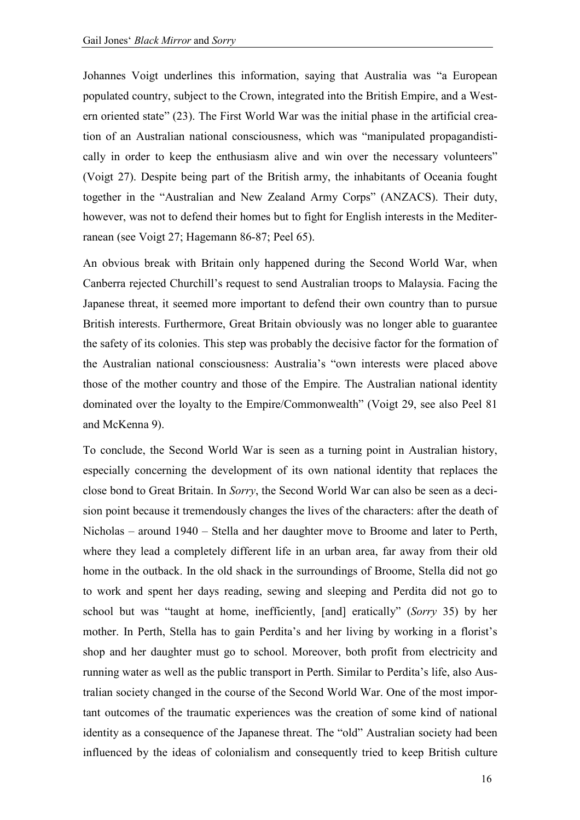Johannes Voigt underlines this information, saying that Australia was "a European populated country, subject to the Crown, integrated into the British Empire, and a Western oriented state" (23). The First World War was the initial phase in the artificial creation of an Australian national consciousness, which was "manipulated propagandistically in order to keep the enthusiasm alive and win over the necessary volunteers" (Voigt 27). Despite being part of the British army, the inhabitants of Oceania fought together in the "Australian and New Zealand Army Corps" (ANZACS). Their duty, however, was not to defend their homes but to fight for English interests in the Mediterranean (see Voigt 27; Hagemann 86-87; Peel 65).

An obvious break with Britain only happened during the Second World War, when Canberra rejected Churchill's request to send Australian troops to Malaysia. Facing the Japanese threat, it seemed more important to defend their own country than to pursue British interests. Furthermore, Great Britain obviously was no longer able to guarantee the safety of its colonies. This step was probably the decisive factor for the formation of the Australian national consciousness: Australia's "own interests were placed above those of the mother country and those of the Empire. The Australian national identity dominated over the loyalty to the Empire/Commonwealth" (Voigt 29, see also Peel 81 and McKenna 9).

To conclude, the Second World War is seen as a turning point in Australian history, especially concerning the development of its own national identity that replaces the close bond to Great Britain. In *Sorry*, the Second World War can also be seen as a decision point because it tremendously changes the lives of the characters: after the death of Nicholas – around 1940 – Stella and her daughter move to Broome and later to Perth, where they lead a completely different life in an urban area, far away from their old home in the outback. In the old shack in the surroundings of Broome, Stella did not go to work and spent her days reading, sewing and sleeping and Perdita did not go to school but was "taught at home, inefficiently, [and] eratically" (*Sorry* 35) by her mother. In Perth, Stella has to gain Perdita's and her living by working in a florist's shop and her daughter must go to school. Moreover, both profit from electricity and running water as well as the public transport in Perth. Similar to Perdita's life, also Australian society changed in the course of the Second World War. One of the most important outcomes of the traumatic experiences was the creation of some kind of national identity as a consequence of the Japanese threat. The "old" Australian society had been influenced by the ideas of colonialism and consequently tried to keep British culture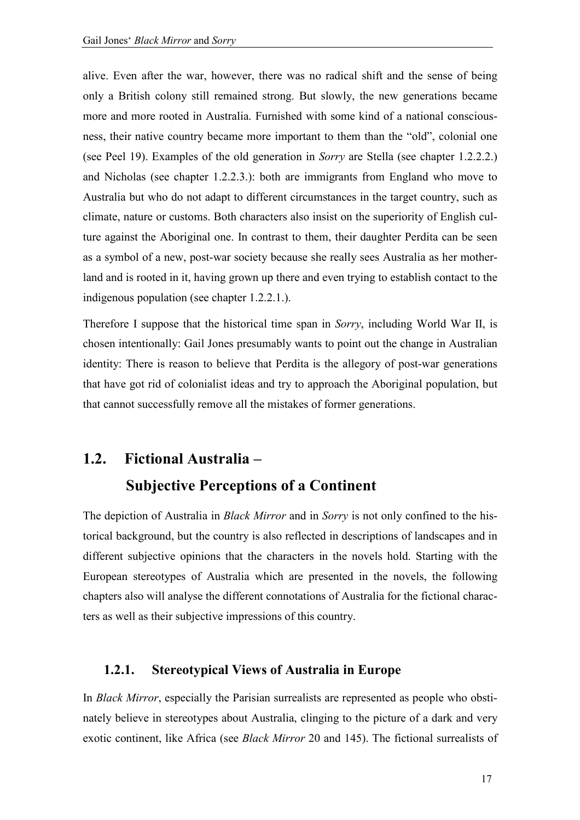alive. Even after the war, however, there was no radical shift and the sense of being only a British colony still remained strong. But slowly, the new generations became more and more rooted in Australia. Furnished with some kind of a national consciousness, their native country became more important to them than the "old", colonial one (see Peel 19). Examples of the old generation in *Sorry* are Stella (see chapter 1.2.2.2.) and Nicholas (see chapter 1.2.2.3.): both are immigrants from England who move to Australia but who do not adapt to different circumstances in the target country, such as climate, nature or customs. Both characters also insist on the superiority of English culture against the Aboriginal one. In contrast to them, their daughter Perdita can be seen as a symbol of a new, post-war society because she really sees Australia as her motherland and is rooted in it, having grown up there and even trying to establish contact to the indigenous population (see chapter 1.2.2.1.).

Therefore I suppose that the historical time span in *Sorry*, including World War II, is chosen intentionally: Gail Jones presumably wants to point out the change in Australian identity: There is reason to believe that Perdita is the allegory of post-war generations that have got rid of colonialist ideas and try to approach the Aboriginal population, but that cannot successfully remove all the mistakes of former generations.

### **1.2. Fictional Australia –**

### **Subjective Perceptions of a Continent**

The depiction of Australia in *Black Mirror* and in *Sorry* is not only confined to the historical background, but the country is also reflected in descriptions of landscapes and in different subjective opinions that the characters in the novels hold. Starting with the European stereotypes of Australia which are presented in the novels, the following chapters also will analyse the different connotations of Australia for the fictional characters as well as their subjective impressions of this country.

#### **1.2.1. Stereotypical Views of Australia in Europe**

In *Black Mirror*, especially the Parisian surrealists are represented as people who obstinately believe in stereotypes about Australia, clinging to the picture of a dark and very exotic continent, like Africa (see *Black Mirror* 20 and 145). The fictional surrealists of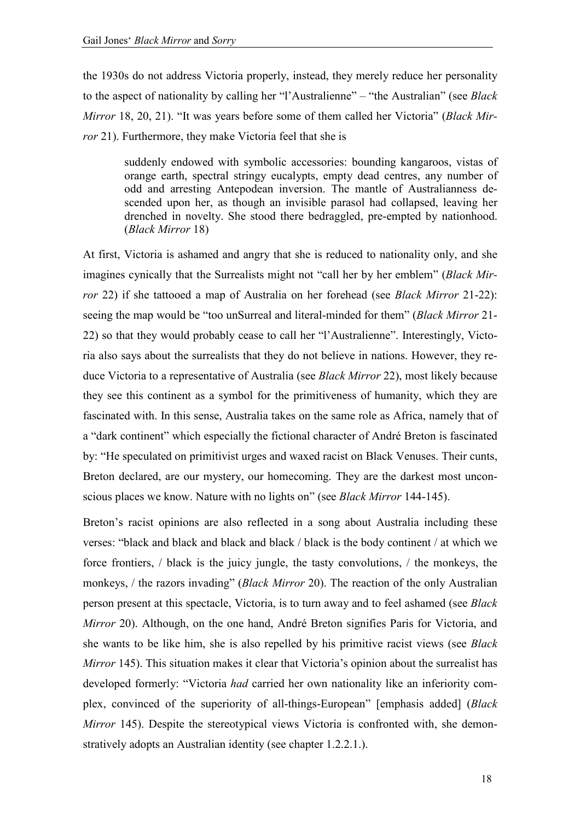the 1930s do not address Victoria properly, instead, they merely reduce her personality to the aspect of nationality by calling her "l'Australienne" – "the Australian" (see *Black Mirror* 18, 20, 21). "It was years before some of them called her Victoria" (*Black Mirror* 21). Furthermore, they make Victoria feel that she is

suddenly endowed with symbolic accessories: bounding kangaroos, vistas of orange earth, spectral stringy eucalypts, empty dead centres, any number of odd and arresting Antepodean inversion. The mantle of Australianness descended upon her, as though an invisible parasol had collapsed, leaving her drenched in novelty. She stood there bedraggled, pre-empted by nationhood. (*Black Mirror* 18)

At first, Victoria is ashamed and angry that she is reduced to nationality only, and she imagines cynically that the Surrealists might not "call her by her emblem" (*Black Mirror* 22) if she tattooed a map of Australia on her forehead (see *Black Mirror* 21-22): seeing the map would be "too unSurreal and literal-minded for them" (*Black Mirror* 21- 22) so that they would probably cease to call her "l'Australienne". Interestingly, Victoria also says about the surrealists that they do not believe in nations. However, they reduce Victoria to a representative of Australia (see *Black Mirror* 22), most likely because they see this continent as a symbol for the primitiveness of humanity, which they are fascinated with. In this sense, Australia takes on the same role as Africa, namely that of a "dark continent" which especially the fictional character of André Breton is fascinated by: "He speculated on primitivist urges and waxed racist on Black Venuses. Their cunts, Breton declared, are our mystery, our homecoming. They are the darkest most unconscious places we know. Nature with no lights on" (see *Black Mirror* 144-145).

Breton's racist opinions are also reflected in a song about Australia including these verses: "black and black and black and black / black is the body continent / at which we force frontiers, / black is the juicy jungle, the tasty convolutions, / the monkeys, the monkeys, / the razors invading" (*Black Mirror* 20). The reaction of the only Australian person present at this spectacle, Victoria, is to turn away and to feel ashamed (see *Black Mirror* 20). Although, on the one hand, André Breton signifies Paris for Victoria, and she wants to be like him, she is also repelled by his primitive racist views (see *Black Mirror* 145). This situation makes it clear that Victoria's opinion about the surrealist has developed formerly: "Victoria *had* carried her own nationality like an inferiority complex, convinced of the superiority of all-things-European" [emphasis added] (*Black Mirror* 145). Despite the stereotypical views Victoria is confronted with, she demonstratively adopts an Australian identity (see chapter 1.2.2.1.).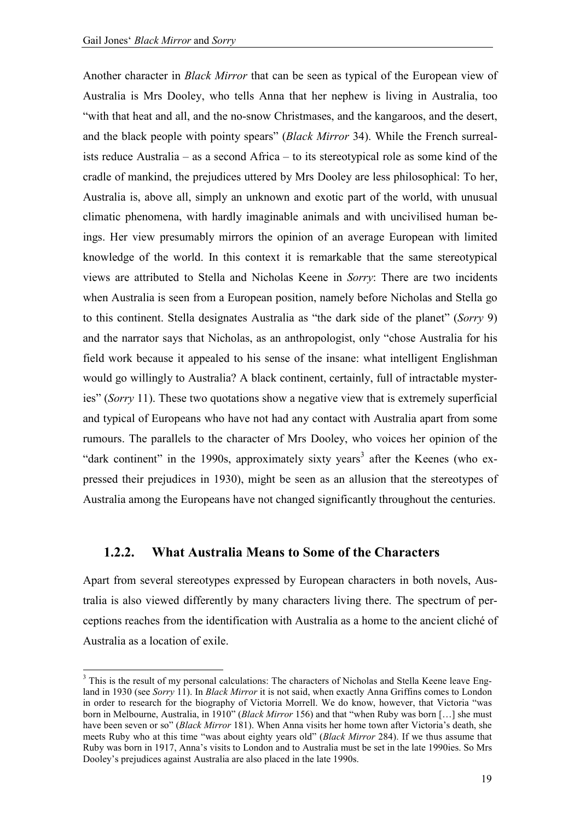$\overline{a}$ 

Another character in *Black Mirror* that can be seen as typical of the European view of Australia is Mrs Dooley, who tells Anna that her nephew is living in Australia, too "with that heat and all, and the no-snow Christmases, and the kangaroos, and the desert, and the black people with pointy spears" (*Black Mirror* 34). While the French surrealists reduce Australia – as a second Africa – to its stereotypical role as some kind of the cradle of mankind, the prejudices uttered by Mrs Dooley are less philosophical: To her, Australia is, above all, simply an unknown and exotic part of the world, with unusual climatic phenomena, with hardly imaginable animals and with uncivilised human beings. Her view presumably mirrors the opinion of an average European with limited knowledge of the world. In this context it is remarkable that the same stereotypical views are attributed to Stella and Nicholas Keene in *Sorry*: There are two incidents when Australia is seen from a European position, namely before Nicholas and Stella go to this continent. Stella designates Australia as "the dark side of the planet" (*Sorry* 9) and the narrator says that Nicholas, as an anthropologist, only "chose Australia for his field work because it appealed to his sense of the insane: what intelligent Englishman would go willingly to Australia? A black continent, certainly, full of intractable mysteries" (*Sorry* 11). These two quotations show a negative view that is extremely superficial and typical of Europeans who have not had any contact with Australia apart from some rumours. The parallels to the character of Mrs Dooley, who voices her opinion of the "dark continent" in the 1990s, approximately sixty years<sup>3</sup> after the Keenes (who expressed their prejudices in 1930), might be seen as an allusion that the stereotypes of Australia among the Europeans have not changed significantly throughout the centuries.

#### **1.2.2. What Australia Means to Some of the Characters**

Apart from several stereotypes expressed by European characters in both novels, Australia is also viewed differently by many characters living there. The spectrum of perceptions reaches from the identification with Australia as a home to the ancient cliché of Australia as a location of exile.

<sup>&</sup>lt;sup>3</sup> This is the result of my personal calculations: The characters of Nicholas and Stella Keene leave England in 1930 (see *Sorry* 11). In *Black Mirror* it is not said, when exactly Anna Griffins comes to London in order to research for the biography of Victoria Morrell. We do know, however, that Victoria "was born in Melbourne, Australia, in 1910" (*Black Mirror* 156) and that "when Ruby was born […] she must have been seven or so" (*Black Mirror* 181). When Anna visits her home town after Victoria's death, she meets Ruby who at this time "was about eighty years old" (*Black Mirror* 284). If we thus assume that Ruby was born in 1917, Anna's visits to London and to Australia must be set in the late 1990ies. So Mrs Dooley's prejudices against Australia are also placed in the late 1990s.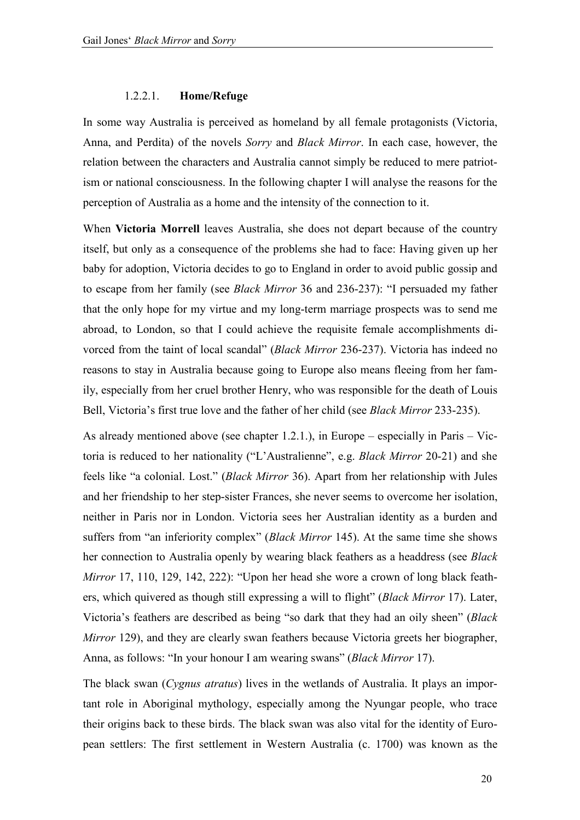#### 1.2.2.1. **Home/Refuge**

In some way Australia is perceived as homeland by all female protagonists (Victoria, Anna, and Perdita) of the novels *Sorry* and *Black Mirror*. In each case, however, the relation between the characters and Australia cannot simply be reduced to mere patriotism or national consciousness. In the following chapter I will analyse the reasons for the perception of Australia as a home and the intensity of the connection to it.

When **Victoria Morrell** leaves Australia, she does not depart because of the country itself, but only as a consequence of the problems she had to face: Having given up her baby for adoption, Victoria decides to go to England in order to avoid public gossip and to escape from her family (see *Black Mirror* 36 and 236-237): "I persuaded my father that the only hope for my virtue and my long-term marriage prospects was to send me abroad, to London, so that I could achieve the requisite female accomplishments divorced from the taint of local scandal" (*Black Mirror* 236-237). Victoria has indeed no reasons to stay in Australia because going to Europe also means fleeing from her family, especially from her cruel brother Henry, who was responsible for the death of Louis Bell, Victoria's first true love and the father of her child (see *Black Mirror* 233-235).

As already mentioned above (see chapter 1.2.1.), in Europe – especially in Paris – Victoria is reduced to her nationality ("L'Australienne", e.g. *Black Mirror* 20-21) and she feels like "a colonial. Lost." (*Black Mirror* 36). Apart from her relationship with Jules and her friendship to her step-sister Frances, she never seems to overcome her isolation, neither in Paris nor in London. Victoria sees her Australian identity as a burden and suffers from "an inferiority complex" (*Black Mirror* 145). At the same time she shows her connection to Australia openly by wearing black feathers as a headdress (see *Black Mirror* 17, 110, 129, 142, 222): "Upon her head she wore a crown of long black feathers, which quivered as though still expressing a will to flight" (*Black Mirror* 17). Later, Victoria's feathers are described as being "so dark that they had an oily sheen" (*Black Mirror* 129), and they are clearly swan feathers because Victoria greets her biographer, Anna, as follows: "In your honour I am wearing swans" (*Black Mirror* 17).

The black swan (*Cygnus atratus*) lives in the wetlands of Australia. It plays an important role in Aboriginal mythology, especially among the Nyungar people, who trace their origins back to these birds. The black swan was also vital for the identity of European settlers: The first settlement in Western Australia (c. 1700) was known as the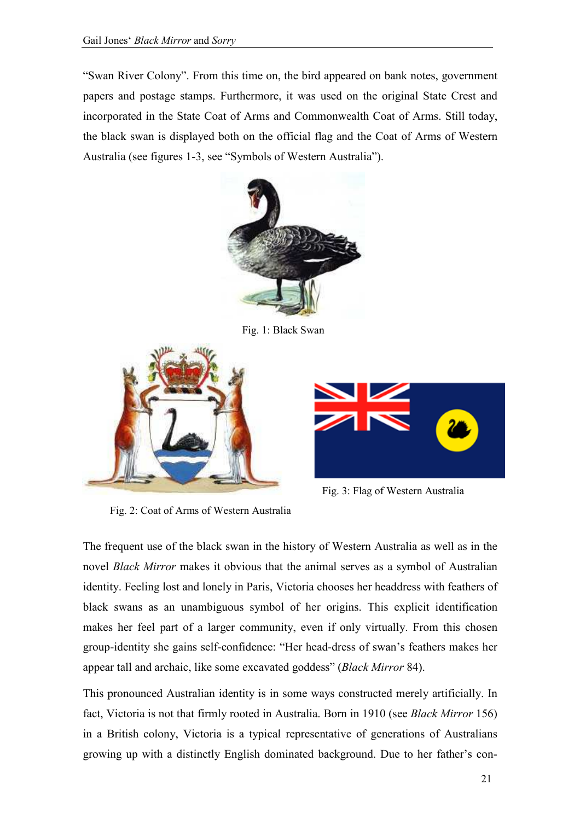"Swan River Colony". From this time on, the bird appeared on bank notes, government papers and postage stamps. Furthermore, it was used on the original State Crest and incorporated in the State Coat of Arms and Commonwealth Coat of Arms. Still today, the black swan is displayed both on the official flag and the Coat of Arms of Western Australia (see figures 1-3, see "Symbols of Western Australia").



Fig. 1: Black Swan



Fig. 2: Coat of Arms of Western Australia



Fig. 3: Flag of Western Australia

The frequent use of the black swan in the history of Western Australia as well as in the novel *Black Mirror* makes it obvious that the animal serves as a symbol of Australian identity. Feeling lost and lonely in Paris, Victoria chooses her headdress with feathers of black swans as an unambiguous symbol of her origins. This explicit identification makes her feel part of a larger community, even if only virtually. From this chosen group-identity she gains self-confidence: "Her head-dress of swan's feathers makes her appear tall and archaic, like some excavated goddess" (*Black Mirror* 84).

This pronounced Australian identity is in some ways constructed merely artificially. In fact, Victoria is not that firmly rooted in Australia. Born in 1910 (see *Black Mirror* 156) in a British colony, Victoria is a typical representative of generations of Australians growing up with a distinctly English dominated background. Due to her father's con-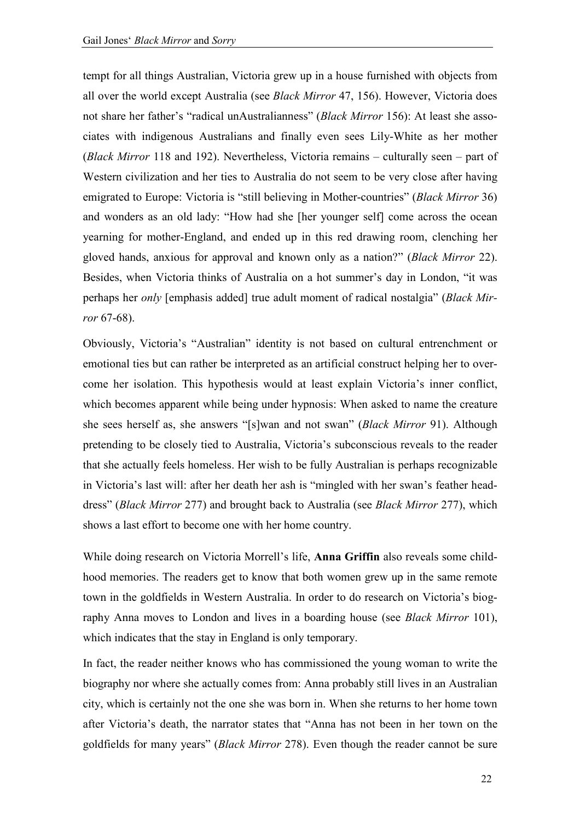tempt for all things Australian, Victoria grew up in a house furnished with objects from all over the world except Australia (see *Black Mirror* 47, 156). However, Victoria does not share her father's "radical unAustralianness" (*Black Mirror* 156): At least she associates with indigenous Australians and finally even sees Lily-White as her mother (*Black Mirror* 118 and 192). Nevertheless, Victoria remains – culturally seen – part of Western civilization and her ties to Australia do not seem to be very close after having emigrated to Europe: Victoria is "still believing in Mother-countries" (*Black Mirror* 36) and wonders as an old lady: "How had she [her younger self] come across the ocean yearning for mother-England, and ended up in this red drawing room, clenching her gloved hands, anxious for approval and known only as a nation?" (*Black Mirror* 22). Besides, when Victoria thinks of Australia on a hot summer's day in London, "it was perhaps her *only* [emphasis added] true adult moment of radical nostalgia" (*Black Mirror* 67-68).

Obviously, Victoria's "Australian" identity is not based on cultural entrenchment or emotional ties but can rather be interpreted as an artificial construct helping her to overcome her isolation. This hypothesis would at least explain Victoria's inner conflict, which becomes apparent while being under hypnosis: When asked to name the creature she sees herself as, she answers "[s]wan and not swan" (*Black Mirror* 91). Although pretending to be closely tied to Australia, Victoria's subconscious reveals to the reader that she actually feels homeless. Her wish to be fully Australian is perhaps recognizable in Victoria's last will: after her death her ash is "mingled with her swan's feather headdress" (*Black Mirror* 277) and brought back to Australia (see *Black Mirror* 277), which shows a last effort to become one with her home country.

While doing research on Victoria Morrell's life, **Anna Griffin** also reveals some childhood memories. The readers get to know that both women grew up in the same remote town in the goldfields in Western Australia. In order to do research on Victoria's biography Anna moves to London and lives in a boarding house (see *Black Mirror* 101), which indicates that the stay in England is only temporary.

In fact, the reader neither knows who has commissioned the young woman to write the biography nor where she actually comes from: Anna probably still lives in an Australian city, which is certainly not the one she was born in. When she returns to her home town after Victoria's death, the narrator states that "Anna has not been in her town on the goldfields for many years" (*Black Mirror* 278). Even though the reader cannot be sure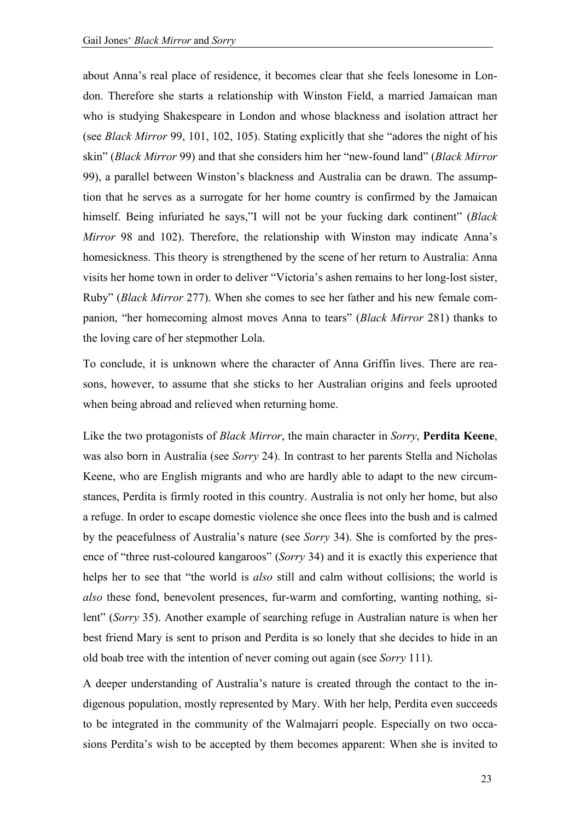about Anna's real place of residence, it becomes clear that she feels lonesome in London. Therefore she starts a relationship with Winston Field, a married Jamaican man who is studying Shakespeare in London and whose blackness and isolation attract her (see *Black Mirror* 99, 101, 102, 105). Stating explicitly that she "adores the night of his skin" (*Black Mirror* 99) and that she considers him her "new-found land" (*Black Mirror* 99), a parallel between Winston's blackness and Australia can be drawn. The assumption that he serves as a surrogate for her home country is confirmed by the Jamaican himself. Being infuriated he says,"I will not be your fucking dark continent" (*Black Mirror* 98 and 102). Therefore, the relationship with Winston may indicate Anna's homesickness. This theory is strengthened by the scene of her return to Australia: Anna visits her home town in order to deliver "Victoria's ashen remains to her long-lost sister, Ruby" (*Black Mirror* 277). When she comes to see her father and his new female companion, "her homecoming almost moves Anna to tears" (*Black Mirror* 281) thanks to the loving care of her stepmother Lola.

To conclude, it is unknown where the character of Anna Griffin lives. There are reasons, however, to assume that she sticks to her Australian origins and feels uprooted when being abroad and relieved when returning home.

Like the two protagonists of *Black Mirror*, the main character in *Sorry*, **Perdita Keene**, was also born in Australia (see *Sorry* 24). In contrast to her parents Stella and Nicholas Keene, who are English migrants and who are hardly able to adapt to the new circumstances, Perdita is firmly rooted in this country. Australia is not only her home, but also a refuge. In order to escape domestic violence she once flees into the bush and is calmed by the peacefulness of Australia's nature (see *Sorry* 34). She is comforted by the presence of "three rust-coloured kangaroos" (*Sorry* 34) and it is exactly this experience that helps her to see that "the world is *also* still and calm without collisions; the world is *also* these fond, benevolent presences, fur-warm and comforting, wanting nothing, silent" (*Sorry* 35). Another example of searching refuge in Australian nature is when her best friend Mary is sent to prison and Perdita is so lonely that she decides to hide in an old boab tree with the intention of never coming out again (see *Sorry* 111).

A deeper understanding of Australia's nature is created through the contact to the indigenous population, mostly represented by Mary. With her help, Perdita even succeeds to be integrated in the community of the Walmajarri people. Especially on two occasions Perdita's wish to be accepted by them becomes apparent: When she is invited to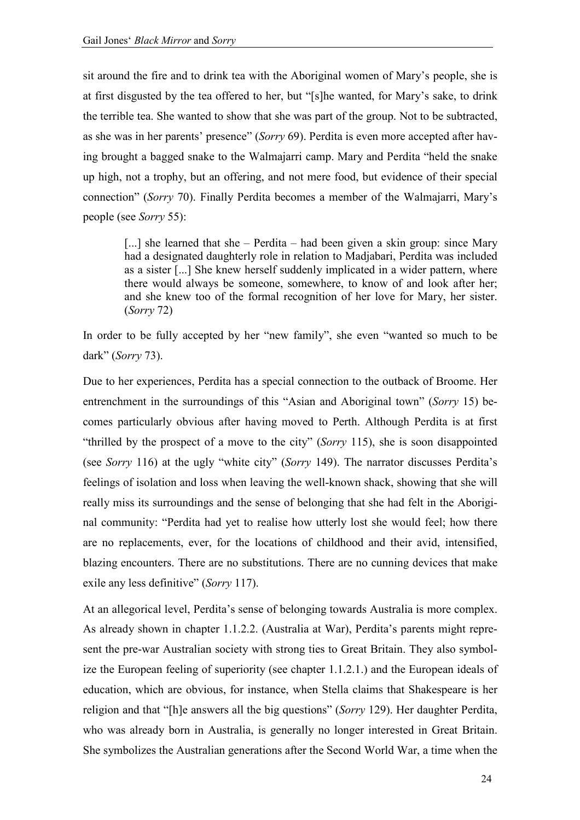sit around the fire and to drink tea with the Aboriginal women of Mary's people, she is at first disgusted by the tea offered to her, but "[s]he wanted, for Mary's sake, to drink the terrible tea. She wanted to show that she was part of the group. Not to be subtracted, as she was in her parents' presence" (*Sorry* 69). Perdita is even more accepted after having brought a bagged snake to the Walmajarri camp. Mary and Perdita "held the snake up high, not a trophy, but an offering, and not mere food, but evidence of their special connection" (*Sorry* 70). Finally Perdita becomes a member of the Walmajarri, Mary's people (see *Sorry* 55):

[...] she learned that she – Perdita – had been given a skin group: since Mary had a designated daughterly role in relation to Madjabari, Perdita was included as a sister [...] She knew herself suddenly implicated in a wider pattern, where there would always be someone, somewhere, to know of and look after her; and she knew too of the formal recognition of her love for Mary, her sister. (*Sorry* 72)

In order to be fully accepted by her "new family", she even "wanted so much to be dark" (*Sorry* 73).

Due to her experiences, Perdita has a special connection to the outback of Broome. Her entrenchment in the surroundings of this "Asian and Aboriginal town" (*Sorry* 15) becomes particularly obvious after having moved to Perth. Although Perdita is at first "thrilled by the prospect of a move to the city" (*Sorry* 115), she is soon disappointed (see *Sorry* 116) at the ugly "white city" (*Sorry* 149). The narrator discusses Perdita's feelings of isolation and loss when leaving the well-known shack, showing that she will really miss its surroundings and the sense of belonging that she had felt in the Aboriginal community: "Perdita had yet to realise how utterly lost she would feel; how there are no replacements, ever, for the locations of childhood and their avid, intensified, blazing encounters. There are no substitutions. There are no cunning devices that make exile any less definitive" (*Sorry* 117).

At an allegorical level, Perdita's sense of belonging towards Australia is more complex. As already shown in chapter 1.1.2.2. (Australia at War), Perdita's parents might represent the pre-war Australian society with strong ties to Great Britain. They also symbolize the European feeling of superiority (see chapter 1.1.2.1.) and the European ideals of education, which are obvious, for instance, when Stella claims that Shakespeare is her religion and that "[h]e answers all the big questions" (*Sorry* 129). Her daughter Perdita, who was already born in Australia, is generally no longer interested in Great Britain. She symbolizes the Australian generations after the Second World War, a time when the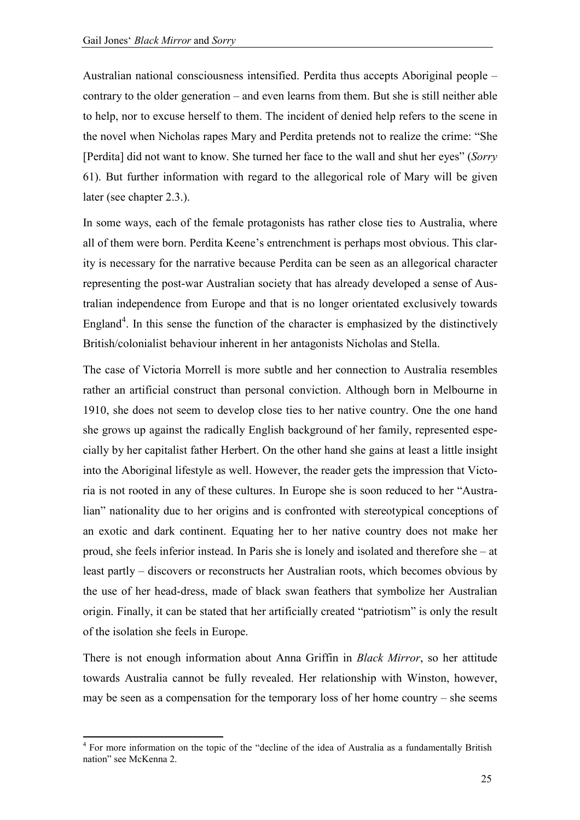Australian national consciousness intensified. Perdita thus accepts Aboriginal people – contrary to the older generation – and even learns from them. But she is still neither able to help, nor to excuse herself to them. The incident of denied help refers to the scene in the novel when Nicholas rapes Mary and Perdita pretends not to realize the crime: "She [Perdita] did not want to know. She turned her face to the wall and shut her eyes" (*Sorry* 61). But further information with regard to the allegorical role of Mary will be given later (see chapter 2.3.).

In some ways, each of the female protagonists has rather close ties to Australia, where all of them were born. Perdita Keene's entrenchment is perhaps most obvious. This clarity is necessary for the narrative because Perdita can be seen as an allegorical character representing the post-war Australian society that has already developed a sense of Australian independence from Europe and that is no longer orientated exclusively towards England<sup>4</sup>. In this sense the function of the character is emphasized by the distinctively British/colonialist behaviour inherent in her antagonists Nicholas and Stella.

The case of Victoria Morrell is more subtle and her connection to Australia resembles rather an artificial construct than personal conviction. Although born in Melbourne in 1910, she does not seem to develop close ties to her native country. One the one hand she grows up against the radically English background of her family, represented especially by her capitalist father Herbert. On the other hand she gains at least a little insight into the Aboriginal lifestyle as well. However, the reader gets the impression that Victoria is not rooted in any of these cultures. In Europe she is soon reduced to her "Australian" nationality due to her origins and is confronted with stereotypical conceptions of an exotic and dark continent. Equating her to her native country does not make her proud, she feels inferior instead. In Paris she is lonely and isolated and therefore she – at least partly – discovers or reconstructs her Australian roots, which becomes obvious by the use of her head-dress, made of black swan feathers that symbolize her Australian origin. Finally, it can be stated that her artificially created "patriotism" is only the result of the isolation she feels in Europe.

There is not enough information about Anna Griffin in *Black Mirror*, so her attitude towards Australia cannot be fully revealed. Her relationship with Winston, however, may be seen as a compensation for the temporary loss of her home country – she seems

 $\overline{a}$ 

<sup>&</sup>lt;sup>4</sup> For more information on the topic of the "decline of the idea of Australia as a fundamentally British nation" see McKenna 2.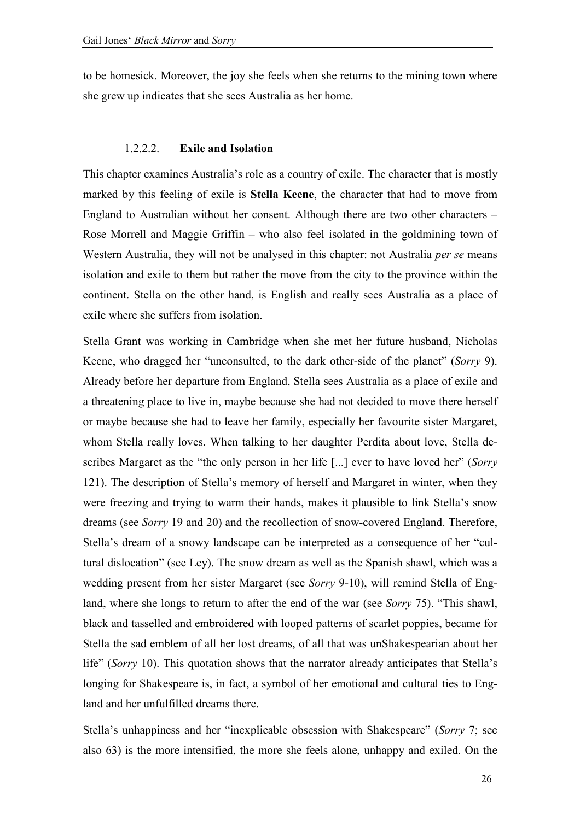to be homesick. Moreover, the joy she feels when she returns to the mining town where she grew up indicates that she sees Australia as her home.

#### 1.2.2.2. **Exile and Isolation**

This chapter examines Australia's role as a country of exile. The character that is mostly marked by this feeling of exile is **Stella Keene**, the character that had to move from England to Australian without her consent. Although there are two other characters – Rose Morrell and Maggie Griffin – who also feel isolated in the goldmining town of Western Australia, they will not be analysed in this chapter: not Australia *per se* means isolation and exile to them but rather the move from the city to the province within the continent. Stella on the other hand, is English and really sees Australia as a place of exile where she suffers from isolation.

Stella Grant was working in Cambridge when she met her future husband, Nicholas Keene, who dragged her "unconsulted, to the dark other-side of the planet" (*Sorry* 9). Already before her departure from England, Stella sees Australia as a place of exile and a threatening place to live in, maybe because she had not decided to move there herself or maybe because she had to leave her family, especially her favourite sister Margaret, whom Stella really loves. When talking to her daughter Perdita about love, Stella describes Margaret as the "the only person in her life [...] ever to have loved her" (*Sorry* 121). The description of Stella's memory of herself and Margaret in winter, when they were freezing and trying to warm their hands, makes it plausible to link Stella's snow dreams (see *Sorry* 19 and 20) and the recollection of snow-covered England. Therefore, Stella's dream of a snowy landscape can be interpreted as a consequence of her "cultural dislocation" (see Ley). The snow dream as well as the Spanish shawl, which was a wedding present from her sister Margaret (see *Sorry* 9-10), will remind Stella of England, where she longs to return to after the end of the war (see *Sorry* 75). "This shawl, black and tasselled and embroidered with looped patterns of scarlet poppies, became for Stella the sad emblem of all her lost dreams, of all that was unShakespearian about her life" (*Sorry* 10). This quotation shows that the narrator already anticipates that Stella's longing for Shakespeare is, in fact, a symbol of her emotional and cultural ties to England and her unfulfilled dreams there.

Stella's unhappiness and her "inexplicable obsession with Shakespeare" (*Sorry* 7; see also 63) is the more intensified, the more she feels alone, unhappy and exiled. On the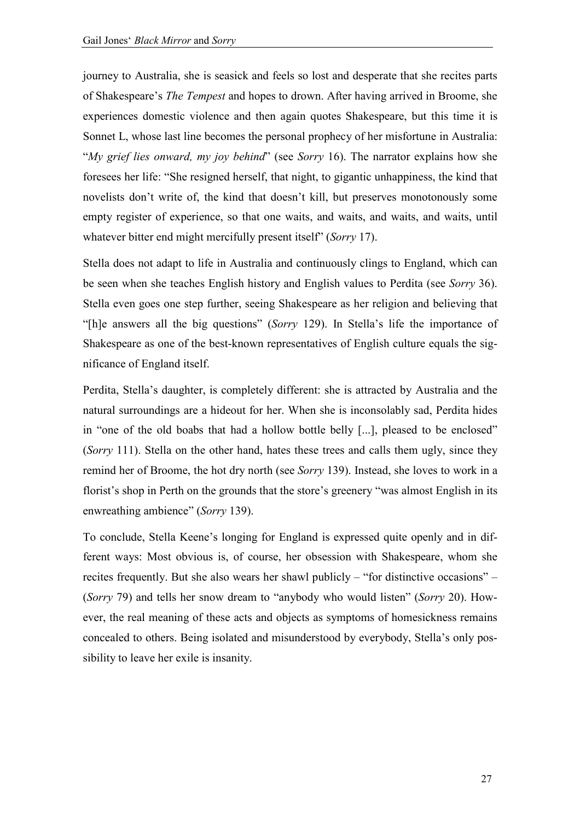journey to Australia, she is seasick and feels so lost and desperate that she recites parts of Shakespeare's *The Tempest* and hopes to drown. After having arrived in Broome, she experiences domestic violence and then again quotes Shakespeare, but this time it is Sonnet L, whose last line becomes the personal prophecy of her misfortune in Australia: "*My grief lies onward, my joy behind*" (see *Sorry* 16). The narrator explains how she foresees her life: "She resigned herself, that night, to gigantic unhappiness, the kind that novelists don't write of, the kind that doesn't kill, but preserves monotonously some empty register of experience, so that one waits, and waits, and waits, and waits, until whatever bitter end might mercifully present itself" (*Sorry* 17).

Stella does not adapt to life in Australia and continuously clings to England, which can be seen when she teaches English history and English values to Perdita (see *Sorry* 36). Stella even goes one step further, seeing Shakespeare as her religion and believing that "[h]e answers all the big questions" (*Sorry* 129). In Stella's life the importance of Shakespeare as one of the best-known representatives of English culture equals the significance of England itself.

Perdita, Stella's daughter, is completely different: she is attracted by Australia and the natural surroundings are a hideout for her. When she is inconsolably sad, Perdita hides in "one of the old boabs that had a hollow bottle belly [...], pleased to be enclosed" (*Sorry* 111). Stella on the other hand, hates these trees and calls them ugly, since they remind her of Broome, the hot dry north (see *Sorry* 139). Instead, she loves to work in a florist's shop in Perth on the grounds that the store's greenery "was almost English in its enwreathing ambience" (*Sorry* 139).

To conclude, Stella Keene's longing for England is expressed quite openly and in different ways: Most obvious is, of course, her obsession with Shakespeare, whom she recites frequently. But she also wears her shawl publicly – "for distinctive occasions" – (*Sorry* 79) and tells her snow dream to "anybody who would listen" (*Sorry* 20). However, the real meaning of these acts and objects as symptoms of homesickness remains concealed to others. Being isolated and misunderstood by everybody, Stella's only possibility to leave her exile is insanity.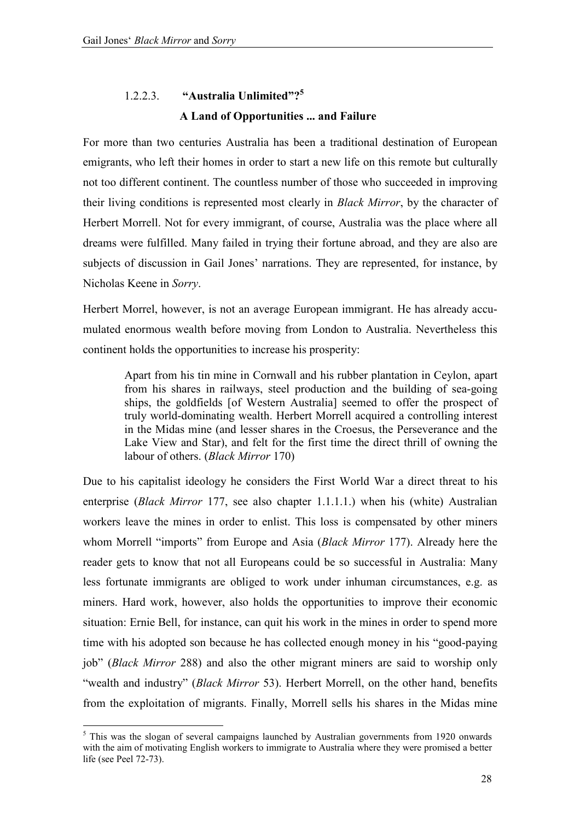## 1.2.2.3. **"Australia Unlimited"?<sup>5</sup> A Land of Opportunities ... and Failure**

For more than two centuries Australia has been a traditional destination of European emigrants, who left their homes in order to start a new life on this remote but culturally not too different continent. The countless number of those who succeeded in improving their living conditions is represented most clearly in *Black Mirror*, by the character of Herbert Morrell. Not for every immigrant, of course, Australia was the place where all dreams were fulfilled. Many failed in trying their fortune abroad, and they are also are subjects of discussion in Gail Jones' narrations. They are represented, for instance, by Nicholas Keene in *Sorry*.

Herbert Morrel, however, is not an average European immigrant. He has already accumulated enormous wealth before moving from London to Australia. Nevertheless this continent holds the opportunities to increase his prosperity:

Apart from his tin mine in Cornwall and his rubber plantation in Ceylon, apart from his shares in railways, steel production and the building of sea-going ships, the goldfields [of Western Australia] seemed to offer the prospect of truly world-dominating wealth. Herbert Morrell acquired a controlling interest in the Midas mine (and lesser shares in the Croesus, the Perseverance and the Lake View and Star), and felt for the first time the direct thrill of owning the labour of others. (*Black Mirror* 170)

Due to his capitalist ideology he considers the First World War a direct threat to his enterprise (*Black Mirror* 177, see also chapter 1.1.1.1.) when his (white) Australian workers leave the mines in order to enlist. This loss is compensated by other miners whom Morrell "imports" from Europe and Asia (*Black Mirror* 177). Already here the reader gets to know that not all Europeans could be so successful in Australia: Many less fortunate immigrants are obliged to work under inhuman circumstances, e.g. as miners. Hard work, however, also holds the opportunities to improve their economic situation: Ernie Bell, for instance, can quit his work in the mines in order to spend more time with his adopted son because he has collected enough money in his "good-paying job" (*Black Mirror* 288) and also the other migrant miners are said to worship only "wealth and industry" (*Black Mirror* 53). Herbert Morrell, on the other hand, benefits from the exploitation of migrants. Finally, Morrell sells his shares in the Midas mine

l

<sup>&</sup>lt;sup>5</sup> This was the slogan of several campaigns launched by Australian governments from 1920 onwards with the aim of motivating English workers to immigrate to Australia where they were promised a better life (see Peel 72-73).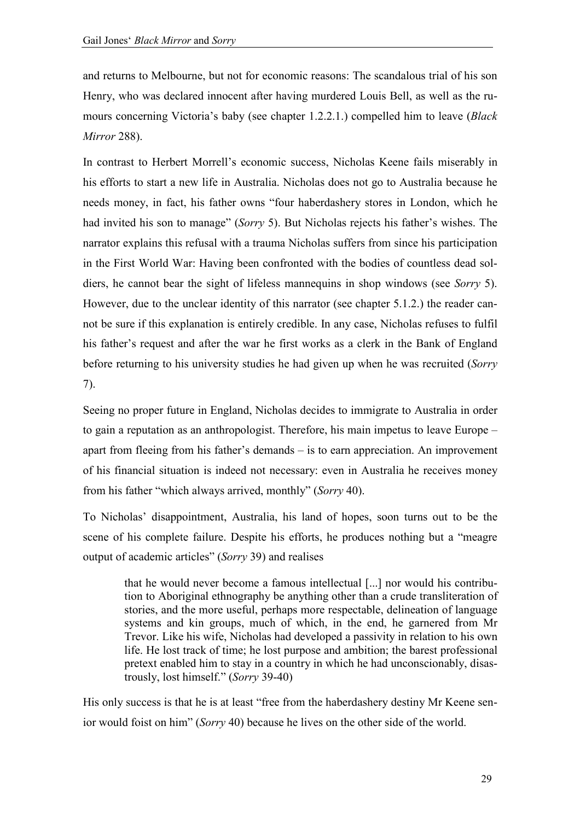and returns to Melbourne, but not for economic reasons: The scandalous trial of his son Henry, who was declared innocent after having murdered Louis Bell, as well as the rumours concerning Victoria's baby (see chapter 1.2.2.1.) compelled him to leave (*Black Mirror* 288).

In contrast to Herbert Morrell's economic success, Nicholas Keene fails miserably in his efforts to start a new life in Australia. Nicholas does not go to Australia because he needs money, in fact, his father owns "four haberdashery stores in London, which he had invited his son to manage" (*Sorry* 5). But Nicholas rejects his father's wishes. The narrator explains this refusal with a trauma Nicholas suffers from since his participation in the First World War: Having been confronted with the bodies of countless dead soldiers, he cannot bear the sight of lifeless mannequins in shop windows (see *Sorry* 5). However, due to the unclear identity of this narrator (see chapter 5.1.2.) the reader cannot be sure if this explanation is entirely credible. In any case, Nicholas refuses to fulfil his father's request and after the war he first works as a clerk in the Bank of England before returning to his university studies he had given up when he was recruited (*Sorry* 7).

Seeing no proper future in England, Nicholas decides to immigrate to Australia in order to gain a reputation as an anthropologist. Therefore, his main impetus to leave Europe – apart from fleeing from his father's demands – is to earn appreciation. An improvement of his financial situation is indeed not necessary: even in Australia he receives money from his father "which always arrived, monthly" (*Sorry* 40).

To Nicholas' disappointment, Australia, his land of hopes, soon turns out to be the scene of his complete failure. Despite his efforts, he produces nothing but a "meagre output of academic articles" (*Sorry* 39) and realises

that he would never become a famous intellectual [...] nor would his contribution to Aboriginal ethnography be anything other than a crude transliteration of stories, and the more useful, perhaps more respectable, delineation of language systems and kin groups, much of which, in the end, he garnered from Mr Trevor. Like his wife, Nicholas had developed a passivity in relation to his own life. He lost track of time; he lost purpose and ambition; the barest professional pretext enabled him to stay in a country in which he had unconscionably, disastrously, lost himself." (*Sorry* 39-40)

His only success is that he is at least "free from the haberdashery destiny Mr Keene senior would foist on him" (*Sorry* 40) because he lives on the other side of the world.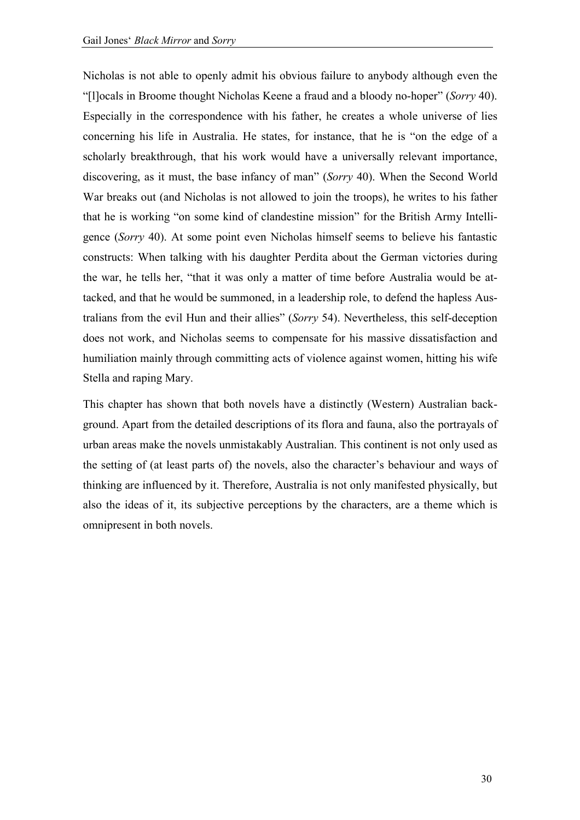Nicholas is not able to openly admit his obvious failure to anybody although even the "[l]ocals in Broome thought Nicholas Keene a fraud and a bloody no-hoper" (*Sorry* 40). Especially in the correspondence with his father, he creates a whole universe of lies concerning his life in Australia. He states, for instance, that he is "on the edge of a scholarly breakthrough, that his work would have a universally relevant importance, discovering, as it must, the base infancy of man" (*Sorry* 40). When the Second World War breaks out (and Nicholas is not allowed to join the troops), he writes to his father that he is working "on some kind of clandestine mission" for the British Army Intelligence (*Sorry* 40). At some point even Nicholas himself seems to believe his fantastic constructs: When talking with his daughter Perdita about the German victories during the war, he tells her, "that it was only a matter of time before Australia would be attacked, and that he would be summoned, in a leadership role, to defend the hapless Australians from the evil Hun and their allies" (*Sorry* 54). Nevertheless, this self-deception does not work, and Nicholas seems to compensate for his massive dissatisfaction and humiliation mainly through committing acts of violence against women, hitting his wife Stella and raping Mary.

This chapter has shown that both novels have a distinctly (Western) Australian background. Apart from the detailed descriptions of its flora and fauna, also the portrayals of urban areas make the novels unmistakably Australian. This continent is not only used as the setting of (at least parts of) the novels, also the character's behaviour and ways of thinking are influenced by it. Therefore, Australia is not only manifested physically, but also the ideas of it, its subjective perceptions by the characters, are a theme which is omnipresent in both novels.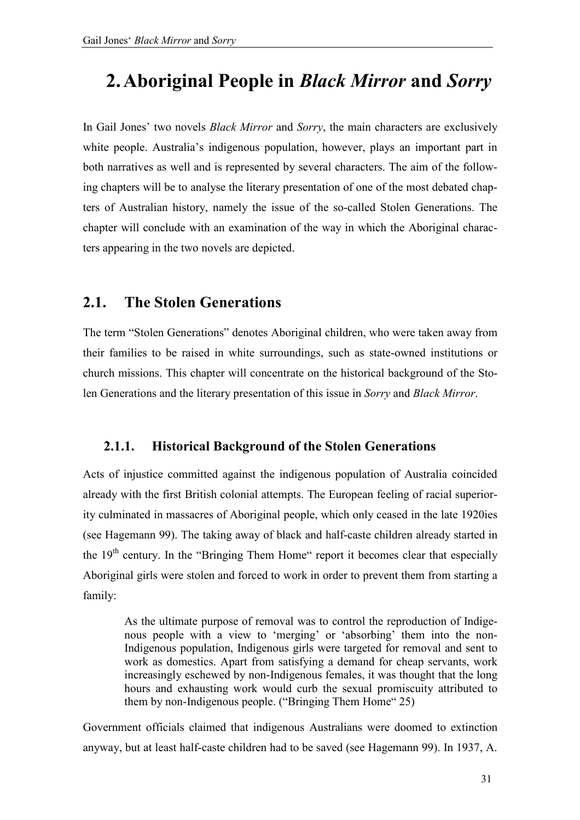## **2.Aboriginal People in** *Black Mirror* **and** *Sorry*

In Gail Jones' two novels *Black Mirror* and *Sorry*, the main characters are exclusively white people. Australia's indigenous population, however, plays an important part in both narratives as well and is represented by several characters. The aim of the following chapters will be to analyse the literary presentation of one of the most debated chapters of Australian history, namely the issue of the so-called Stolen Generations. The chapter will conclude with an examination of the way in which the Aboriginal characters appearing in the two novels are depicted.

### **2.1. The Stolen Generations**

The term "Stolen Generations" denotes Aboriginal children, who were taken away from their families to be raised in white surroundings, such as state-owned institutions or church missions. This chapter will concentrate on the historical background of the Stolen Generations and the literary presentation of this issue in *Sorry* and *Black Mirror*.

### **2.1.1. Historical Background of the Stolen Generations**

Acts of injustice committed against the indigenous population of Australia coincided already with the first British colonial attempts. The European feeling of racial superiority culminated in massacres of Aboriginal people, which only ceased in the late 1920ies (see Hagemann 99). The taking away of black and half-caste children already started in the 19<sup>th</sup> century. In the "Bringing Them Home" report it becomes clear that especially Aboriginal girls were stolen and forced to work in order to prevent them from starting a family:

As the ultimate purpose of removal was to control the reproduction of Indigenous people with a view to 'merging' or 'absorbing' them into the non-Indigenous population, Indigenous girls were targeted for removal and sent to work as domestics. Apart from satisfying a demand for cheap servants, work increasingly eschewed by non-Indigenous females, it was thought that the long hours and exhausting work would curb the sexual promiscuity attributed to them by non-Indigenous people. ("Bringing Them Home" 25)

Government officials claimed that indigenous Australians were doomed to extinction anyway, but at least half-caste children had to be saved (see Hagemann 99). In 1937, A.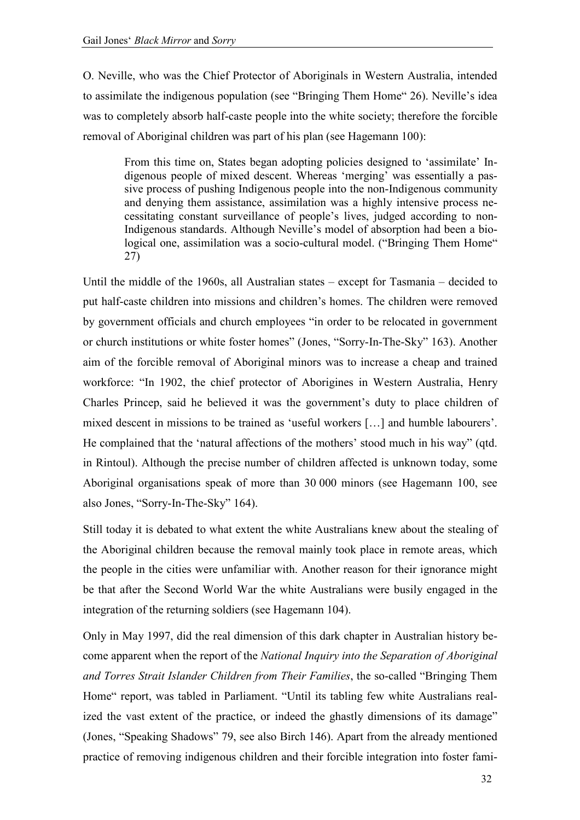O. Neville, who was the Chief Protector of Aboriginals in Western Australia, intended to assimilate the indigenous population (see "Bringing Them Home" 26). Neville's idea was to completely absorb half-caste people into the white society; therefore the forcible removal of Aboriginal children was part of his plan (see Hagemann 100):

From this time on, States began adopting policies designed to 'assimilate' Indigenous people of mixed descent. Whereas 'merging' was essentially a passive process of pushing Indigenous people into the non-Indigenous community and denying them assistance, assimilation was a highly intensive process necessitating constant surveillance of people's lives, judged according to non-Indigenous standards. Although Neville's model of absorption had been a biological one, assimilation was a socio-cultural model. ("Bringing Them Home" 27)

Until the middle of the 1960s, all Australian states – except for Tasmania – decided to put half-caste children into missions and children's homes. The children were removed by government officials and church employees "in order to be relocated in government or church institutions or white foster homes" (Jones, "Sοrry-In-The-Sky" 163). Another aim of the forcible removal of Aboriginal minors was to increase a cheap and trained workforce: "In 1902, the chief protector of Aborigines in Western Australia, Henry Charles Princep, said he believed it was the government's duty to place children of mixed descent in missions to be trained as 'useful workers […] and humble labourers'. He complained that the 'natural affections of the mothers' stood much in his way" (qtd. in Rintoul). Although the precise number of children affected is unknown today, some Aboriginal organisations speak of more than 30 000 minors (see Hagemann 100, see also Jones, "Sοrry-In-The-Sky" 164).

Still today it is debated to what extent the white Australians knew about the stealing of the Aboriginal children because the removal mainly took place in remote areas, which the people in the cities were unfamiliar with. Another reason for their ignorance might be that after the Second World War the white Australians were busily engaged in the integration of the returning soldiers (see Hagemann 104).

Only in May 1997, did the real dimension of this dark chapter in Australian history become apparent when the report of the *National Inquiry into the Separation of Aboriginal and Torres Strait Islander Children from Their Families*, the so-called "Bringing Them Home" report, was tabled in Parliament. "Until its tabling few white Australians realized the vast extent of the practice, or indeed the ghastly dimensions of its damage" (Jones, "Speaking Shadows" 79, see also Birch 146). Apart from the already mentioned practice of removing indigenous children and their forcible integration into foster fami-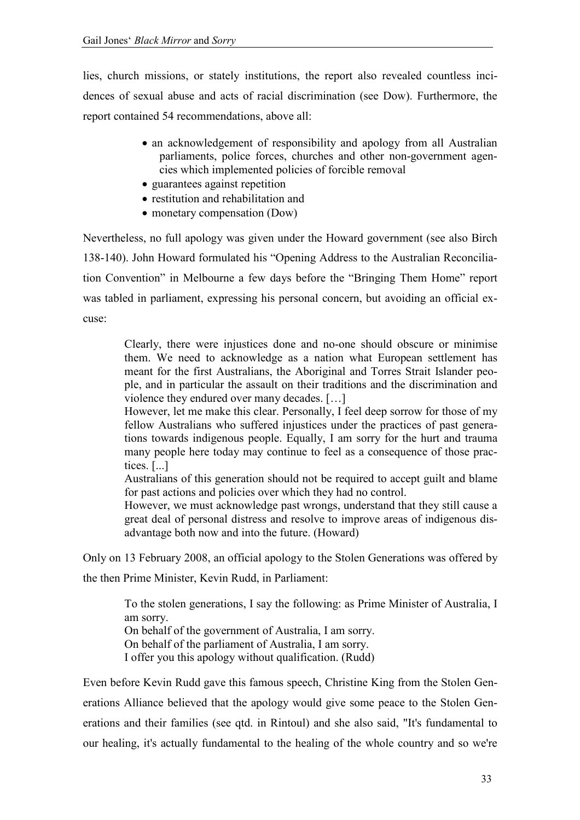lies, church missions, or stately institutions, the report also revealed countless incidences of sexual abuse and acts of racial discrimination (see Dow). Furthermore, the report contained 54 recommendations, above all:

- an acknowledgement of responsibility and apology from all Australian parliaments, police forces, churches and other non-government agencies which implemented policies of forcible removal
- guarantees against repetition
- restitution and rehabilitation and
- monetary compensation (Dow)

Nevertheless, no full apology was given under the Howard government (see also Birch 138-140). John Howard formulated his "Opening Address to the Australian Reconciliation Convention" in Melbourne a few days before the "Bringing Them Home" report was tabled in parliament, expressing his personal concern, but avoiding an official excuse:

Clearly, there were injustices done and no-one should obscure or minimise them. We need to acknowledge as a nation what European settlement has meant for the first Australians, the Aboriginal and Torres Strait Islander people, and in particular the assault on their traditions and the discrimination and violence they endured over many decades. […]

However, let me make this clear. Personally, I feel deep sorrow for those of my fellow Australians who suffered injustices under the practices of past generations towards indigenous people. Equally, I am sοrry for the hurt and trauma many people here today may continue to feel as a consequence of those practices. [...]

Australians of this generation should not be required to accept guilt and blame for past actions and policies over which they had no control.

However, we must acknowledge past wrongs, understand that they still cause a great deal of personal distress and resolve to improve areas of indigenous disadvantage both now and into the future. (Howard)

Only on 13 February 2008, an official apology to the Stolen Generations was offered by

the then Prime Minister, Kevin Rudd, in Parliament:

To the stolen generations, I say the following: as Prime Minister of Australia, I am sοrry.

On behalf of the government of Australia, I am sοrry.

On behalf of the parliament of Australia, I am sοrry.

I offer you this apology without qualification. (Rudd)

Even before Kevin Rudd gave this famous speech, Christine King from the Stolen Generations Alliance believed that the apology would give some peace to the Stolen Generations and their families (see qtd. in Rintoul) and she also said, "It's fundamental to our healing, it's actually fundamental to the healing of the whole country and so we're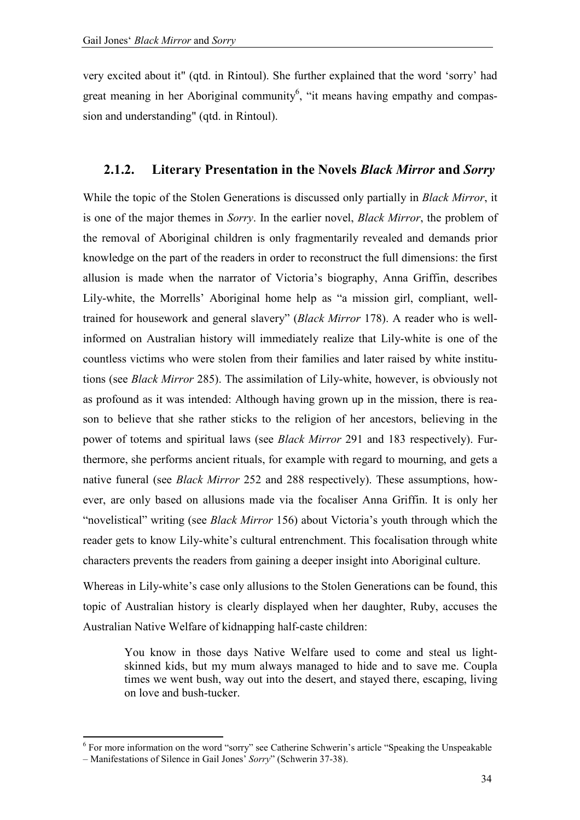very excited about it" (qtd. in Rintoul). She further explained that the word 'sοrry' had great meaning in her Aboriginal community<sup>6</sup>, "it means having empathy and compassion and understanding" (qtd. in Rintoul).

### **2.1.2.** Literary Presentation in the Novels *Black Mirror* and *Sorry*

While the topic of the Stolen Generations is discussed only partially in *Black Mirror*, it is one of the major themes in *Sorry*. In the earlier novel, *Black Mirror*, the problem of the removal of Aboriginal children is only fragmentarily revealed and demands prior knowledge on the part of the readers in order to reconstruct the full dimensions: the first allusion is made when the narrator of Victoria's biography, Anna Griffin, describes Lily-white, the Morrells' Aboriginal home help as "a mission girl, compliant, welltrained for housework and general slavery" (*Black Mirror* 178). A reader who is wellinformed on Australian history will immediately realize that Lily-white is one of the countless victims who were stolen from their families and later raised by white institutions (see *Black Mirror* 285). The assimilation of Lily-white, however, is obviously not as profound as it was intended: Although having grown up in the mission, there is reason to believe that she rather sticks to the religion of her ancestors, believing in the power of totems and spiritual laws (see *Black Mirror* 291 and 183 respectively). Furthermore, she performs ancient rituals, for example with regard to mourning, and gets a native funeral (see *Black Mirror* 252 and 288 respectively). These assumptions, however, are only based on allusions made via the focaliser Anna Griffin. It is only her "novelistical" writing (see *Black Mirror* 156) about Victoria's youth through which the reader gets to know Lily-white's cultural entrenchment. This focalisation through white characters prevents the readers from gaining a deeper insight into Aboriginal culture.

Whereas in Lily-white's case only allusions to the Stolen Generations can be found, this topic of Australian history is clearly displayed when her daughter, Ruby, accuses the Australian Native Welfare of kidnapping half-caste children:

You know in those days Native Welfare used to come and steal us lightskinned kids, but my mum always managed to hide and to save me. Coupla times we went bush, way out into the desert, and stayed there, escaping, living on love and bush-tucker.

 $\overline{a}$ 

<sup>&</sup>lt;sup>6</sup> For more information on the word "sorry" see Catherine Schwerin's article "Speaking the Unspeakable

<sup>–</sup> Manifestations of Silence in Gail Jones' *Sorry*" (Schwerin 37-38).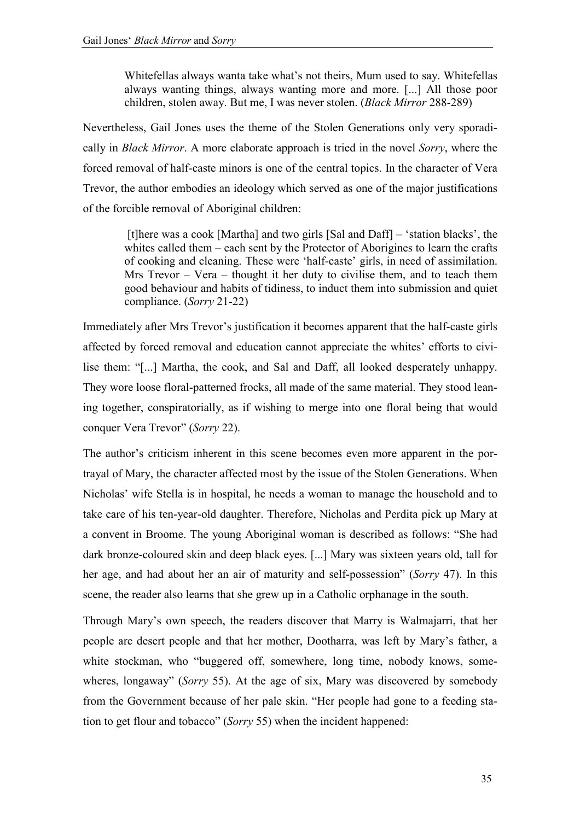Whitefellas always wanta take what's not theirs, Mum used to say. Whitefellas always wanting things, always wanting more and more. [...] All those poor children, stolen away. But me, I was never stolen. (*Black Mirror* 288-289)

Nevertheless, Gail Jones uses the theme of the Stolen Generations only very sporadically in *Black Mirror*. A more elaborate approach is tried in the novel *Sorry*, where the forced removal of half-caste minors is one of the central topics. In the character of Vera Trevor, the author embodies an ideology which served as one of the major justifications of the forcible removal of Aboriginal children:

 [t]here was a cook [Martha] and two girls [Sal and Daff] – 'station blacks', the whites called them – each sent by the Protector of Aborigines to learn the crafts of cooking and cleaning. These were 'half-caste' girls, in need of assimilation. Mrs Trevor – Vera – thought it her duty to civilise them, and to teach them good behaviour and habits of tidiness, to induct them into submission and quiet compliance. (*Sorry* 21-22)

Immediately after Mrs Trevor's justification it becomes apparent that the half-caste girls affected by forced removal and education cannot appreciate the whites' efforts to civilise them: "[...] Martha, the cook, and Sal and Daff, all looked desperately unhappy. They wore loose floral-patterned frocks, all made of the same material. They stood leaning together, conspiratorially, as if wishing to merge into one floral being that would conquer Vera Trevor" (*Sorry* 22).

The author's criticism inherent in this scene becomes even more apparent in the portrayal of Mary, the character affected most by the issue of the Stolen Generations. When Nicholas' wife Stella is in hospital, he needs a woman to manage the household and to take care of his ten-year-old daughter. Therefore, Nicholas and Perdita pick up Mary at a convent in Broome. The young Aboriginal woman is described as follows: "She had dark bronze-coloured skin and deep black eyes. [...] Mary was sixteen years old, tall for her age, and had about her an air of maturity and self-possession" (*Sorry* 47). In this scene, the reader also learns that she grew up in a Catholic orphanage in the south.

Through Mary's own speech, the readers discover that Marry is Walmajarri, that her people are desert people and that her mother, Dootharra, was left by Mary's father, a white stockman, who "buggered off, somewhere, long time, nobody knows, somewheres, longaway" (*Sorry* 55). At the age of six, Mary was discovered by somebody from the Government because of her pale skin. "Her people had gone to a feeding station to get flour and tobacco" (*Sorry* 55) when the incident happened: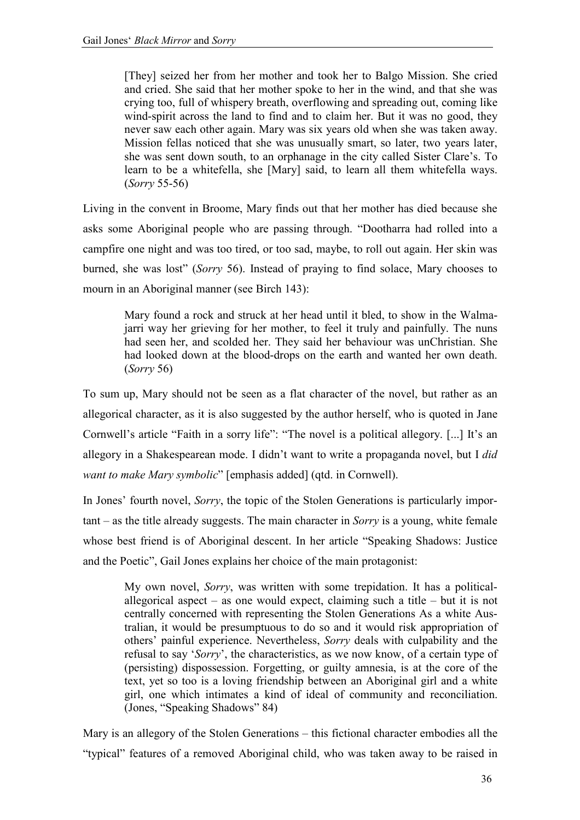[They] seized her from her mother and took her to Balgo Mission. She cried and cried. She said that her mother spoke to her in the wind, and that she was crying too, full of whispery breath, overflowing and spreading out, coming like wind-spirit across the land to find and to claim her. But it was no good, they never saw each other again. Mary was six years old when she was taken away. Mission fellas noticed that she was unusually smart, so later, two years later, she was sent down south, to an orphanage in the city called Sister Clare's. To learn to be a whitefella, she [Mary] said, to learn all them whitefella ways. (*Sorry* 55-56)

Living in the convent in Broome, Mary finds out that her mother has died because she asks some Aboriginal people who are passing through. "Dootharra had rolled into a campfire one night and was too tired, or too sad, maybe, to roll out again. Her skin was burned, she was lost" (*Sorry* 56). Instead of praying to find solace, Mary chooses to mourn in an Aboriginal manner (see Birch 143):

Mary found a rock and struck at her head until it bled, to show in the Walmajarri way her grieving for her mother, to feel it truly and painfully. The nuns had seen her, and scolded her. They said her behaviour was unChristian. She had looked down at the blood-drops on the earth and wanted her own death. (*Sorry* 56)

To sum up, Mary should not be seen as a flat character of the novel, but rather as an allegorical character, as it is also suggested by the author herself, who is quoted in Jane Cornwell's article "Faith in a sοrry life": "The novel is a political allegory. [...] It's an allegory in a Shakespearean mode. I didn't want to write a propaganda novel, but I *did want to make Mary symbolic*" [emphasis added] (qtd. in Cornwell).

In Jones' fourth novel, *Sorry*, the topic of the Stolen Generations is particularly important – as the title already suggests. The main character in *Sorry* is a young, white female whose best friend is of Aboriginal descent. In her article "Speaking Shadows: Justice and the Poetic", Gail Jones explains her choice of the main protagonist:

My own novel, *Sorry*, was written with some trepidation. It has a politicalallegorical aspect – as one would expect, claiming such a title – but it is not centrally concerned with representing the Stolen Generations As a white Australian, it would be presumptuous to do so and it would risk appropriation of others' painful experience. Nevertheless, *Sorry* deals with culpability and the refusal to say '*Sorry*', the characteristics, as we now know, of a certain type of (persisting) dispossession. Forgetting, or guilty amnesia, is at the core of the text, yet so too is a loving friendship between an Aboriginal girl and a white girl, one which intimates a kind of ideal of community and reconciliation. (Jones, "Speaking Shadows" 84)

Mary is an allegory of the Stolen Generations – this fictional character embodies all the "typical" features of a removed Aboriginal child, who was taken away to be raised in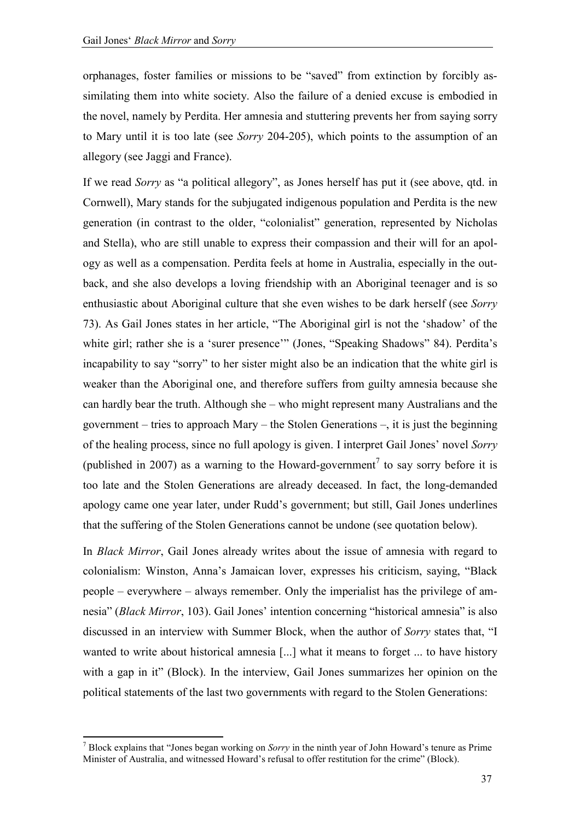orphanages, foster families or missions to be "saved" from extinction by forcibly assimilating them into white society. Also the failure of a denied excuse is embodied in the novel, namely by Perdita. Her amnesia and stuttering prevents her from saying sοrry to Mary until it is too late (see *Sorry* 204-205), which points to the assumption of an allegory (see Jaggi and France).

If we read *Sorry* as "a political allegory", as Jones herself has put it (see above, qtd. in Cornwell), Mary stands for the subjugated indigenous population and Perdita is the new generation (in contrast to the older, "colonialist" generation, represented by Nicholas and Stella), who are still unable to express their compassion and their will for an apology as well as a compensation. Perdita feels at home in Australia, especially in the outback, and she also develops a loving friendship with an Aboriginal teenager and is so enthusiastic about Aboriginal culture that she even wishes to be dark herself (see *Sorry* 73). As Gail Jones states in her article, "The Aboriginal girl is not the 'shadow' of the white girl; rather she is a 'surer presence'" (Jones, "Speaking Shadows" 84). Perdita's incapability to say "sοrry" to her sister might also be an indication that the white girl is weaker than the Aboriginal one, and therefore suffers from guilty amnesia because she can hardly bear the truth. Although she – who might represent many Australians and the government – tries to approach Mary – the Stolen Generations –, it is just the beginning of the healing process, since no full apology is given. I interpret Gail Jones' novel *Sorry* (published in 2007) as a warning to the Howard-government<sup>7</sup> to say sorry before it is too late and the Stolen Generations are already deceased. In fact, the long-demanded apology came one year later, under Rudd's government; but still, Gail Jones underlines that the suffering of the Stolen Generations cannot be undone (see quotation below).

In *Black Mirror*, Gail Jones already writes about the issue of amnesia with regard to colonialism: Winston, Anna's Jamaican lover, expresses his criticism, saying, "Black people – everywhere – always remember. Only the imperialist has the privilege of amnesia" (*Black Mirror*, 103). Gail Jones' intention concerning "historical amnesia" is also discussed in an interview with Summer Block, when the author of *Sorry* states that, "I wanted to write about historical amnesia [...] what it means to forget ... to have history with a gap in it" (Block). In the interview, Gail Jones summarizes her opinion on the political statements of the last two governments with regard to the Stolen Generations:

 $\overline{a}$ 

<sup>7</sup> Block explains that "Jones began working on *Sorry* in the ninth year of John Howard's tenure as Prime Minister of Australia, and witnessed Howard's refusal to offer restitution for the crime" (Block).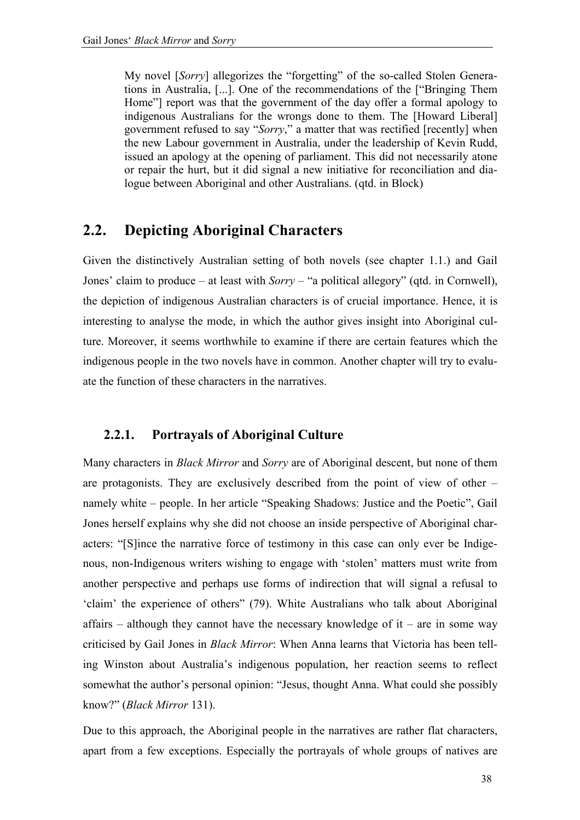My novel [*Sorry*] allegorizes the "forgetting" of the so-called Stolen Generations in Australia, [...]. One of the recommendations of the ["Bringing Them Home"] report was that the government of the day offer a formal apology to indigenous Australians for the wrongs done to them. The [Howard Liberal] government refused to say "*Sorry*," a matter that was rectified [recently] when the new Labour government in Australia, under the leadership of Kevin Rudd, issued an apology at the opening of parliament. This did not necessarily atone or repair the hurt, but it did signal a new initiative for reconciliation and dialogue between Aboriginal and other Australians. (qtd. in Block)

# **2.2. Depicting Aboriginal Characters**

Given the distinctively Australian setting of both novels (see chapter 1.1.) and Gail Jones' claim to produce – at least with *Sorry* – "a political allegory" (qtd. in Cornwell), the depiction of indigenous Australian characters is of crucial importance. Hence, it is interesting to analyse the mode, in which the author gives insight into Aboriginal culture. Moreover, it seems worthwhile to examine if there are certain features which the indigenous people in the two novels have in common. Another chapter will try to evaluate the function of these characters in the narratives.

### **2.2.1. Portrayals of Aboriginal Culture**

Many characters in *Black Mirror* and *Sorry* are of Aboriginal descent, but none of them are protagonists. They are exclusively described from the point of view of other – namely white – people. In her article "Speaking Shadows: Justice and the Poetic", Gail Jones herself explains why she did not choose an inside perspective of Aboriginal characters: "[S]ince the narrative force of testimony in this case can only ever be Indigenous, non-Indigenous writers wishing to engage with 'stolen' matters must write from another perspective and perhaps use forms of indirection that will signal a refusal to 'claim' the experience of others" (79). White Australians who talk about Aboriginal affairs – although they cannot have the necessary knowledge of it – are in some way criticised by Gail Jones in *Black Mirror*: When Anna learns that Victoria has been telling Winston about Australia's indigenous population, her reaction seems to reflect somewhat the author's personal opinion: "Jesus, thought Anna. What could she possibly know?" (*Black Mirror* 131).

Due to this approach, the Aboriginal people in the narratives are rather flat characters, apart from a few exceptions. Especially the portrayals of whole groups of natives are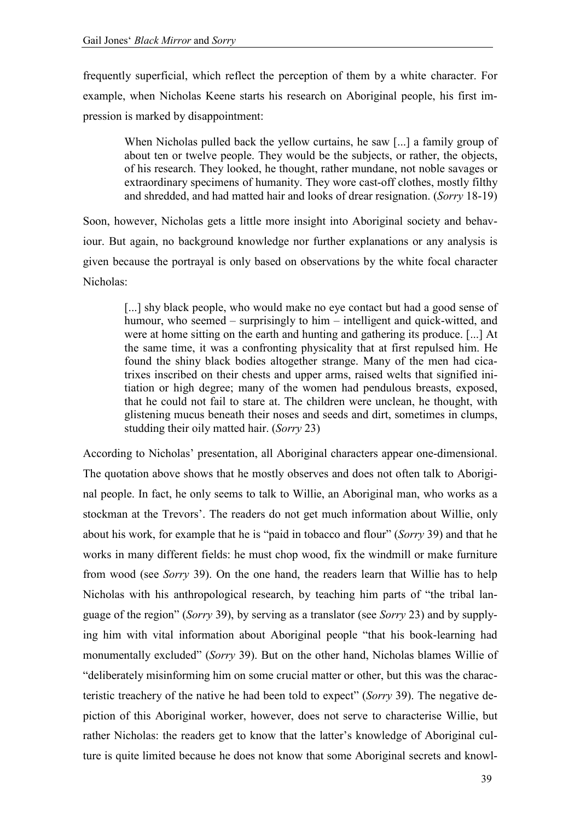frequently superficial, which reflect the perception of them by a white character. For example, when Nicholas Keene starts his research on Aboriginal people, his first impression is marked by disappointment:

When Nicholas pulled back the yellow curtains, he saw [...] a family group of about ten or twelve people. They would be the subjects, or rather, the objects, of his research. They looked, he thought, rather mundane, not noble savages or extraordinary specimens of humanity. They wore cast-off clothes, mostly filthy and shredded, and had matted hair and looks of drear resignation. (*Sorry* 18-19)

Soon, however, Nicholas gets a little more insight into Aboriginal society and behaviour. But again, no background knowledge nor further explanations or any analysis is given because the portrayal is only based on observations by the white focal character Nicholas:

[...] shy black people, who would make no eye contact but had a good sense of humour, who seemed – surprisingly to him – intelligent and quick-witted, and were at home sitting on the earth and hunting and gathering its produce. [...] At the same time, it was a confronting physicality that at first repulsed him. He found the shiny black bodies altogether strange. Many of the men had cicatrixes inscribed on their chests and upper arms, raised welts that signified initiation or high degree; many of the women had pendulous breasts, exposed, that he could not fail to stare at. The children were unclean, he thought, with glistening mucus beneath their noses and seeds and dirt, sometimes in clumps, studding their oily matted hair. (*Sorry* 23)

According to Nicholas' presentation, all Aboriginal characters appear one-dimensional. The quotation above shows that he mostly observes and does not often talk to Aboriginal people. In fact, he only seems to talk to Willie, an Aboriginal man, who works as a stockman at the Trevors'. The readers do not get much information about Willie, only about his work, for example that he is "paid in tobacco and flour" (*Sorry* 39) and that he works in many different fields: he must chop wood, fix the windmill or make furniture from wood (see *Sorry* 39). On the one hand, the readers learn that Willie has to help Nicholas with his anthropological research, by teaching him parts of "the tribal language of the region" (*Sorry* 39), by serving as a translator (see *Sorry* 23) and by supplying him with vital information about Aboriginal people "that his book-learning had monumentally excluded" (*Sorry* 39). But on the other hand, Nicholas blames Willie of "deliberately misinforming him on some crucial matter or other, but this was the characteristic treachery of the native he had been told to expect" (*Sorry* 39). The negative depiction of this Aboriginal worker, however, does not serve to characterise Willie, but rather Nicholas: the readers get to know that the latter's knowledge of Aboriginal culture is quite limited because he does not know that some Aboriginal secrets and knowl-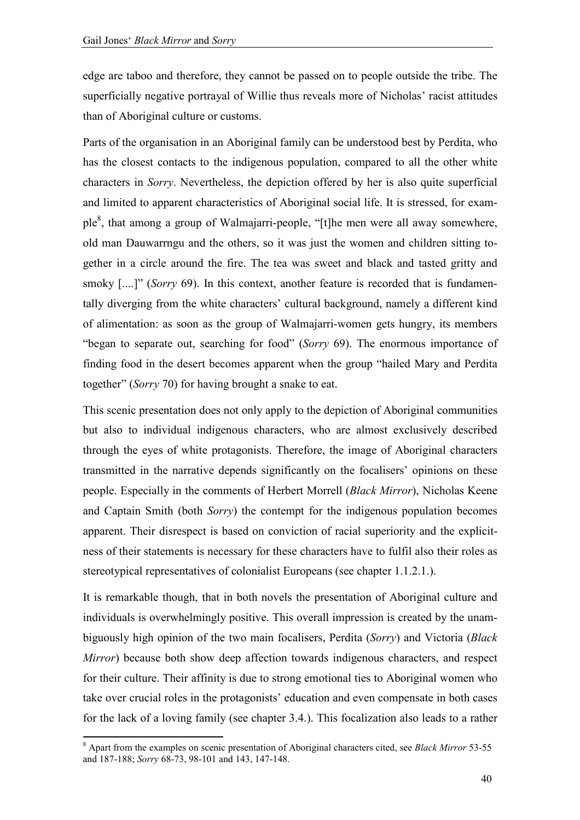edge are taboo and therefore, they cannot be passed on to people outside the tribe. The superficially negative portrayal of Willie thus reveals more of Nicholas' racist attitudes than of Aboriginal culture or customs.

Parts of the organisation in an Aboriginal family can be understood best by Perdita, who has the closest contacts to the indigenous population, compared to all the other white characters in *Sorry*. Nevertheless, the depiction offered by her is also quite superficial and limited to apparent characteristics of Aboriginal social life. It is stressed, for example<sup>8</sup>, that among a group of Walmajarri-people, "[t]he men were all away somewhere, old man Dauwarrngu and the others, so it was just the women and children sitting together in a circle around the fire. The tea was sweet and black and tasted gritty and smoky [....]" (*Sorry* 69). In this context, another feature is recorded that is fundamentally diverging from the white characters' cultural background, namely a different kind of alimentation: as soon as the group of Walmajarri-women gets hungry, its members "began to separate out, searching for food" (*Sorry* 69). The enormous importance of finding food in the desert becomes apparent when the group "hailed Mary and Perdita together" (*Sorry* 70) for having brought a snake to eat.

This scenic presentation does not only apply to the depiction of Aboriginal communities but also to individual indigenous characters, who are almost exclusively described through the eyes of white protagonists. Therefore, the image of Aboriginal characters transmitted in the narrative depends significantly on the focalisers' opinions on these people. Especially in the comments of Herbert Morrell (*Black Mirror*), Nicholas Keene and Captain Smith (both *Sorry*) the contempt for the indigenous population becomes apparent. Their disrespect is based on conviction of racial superiority and the explicitness of their statements is necessary for these characters have to fulfil also their roles as stereotypical representatives of colonialist Europeans (see chapter 1.1.2.1.).

It is remarkable though, that in both novels the presentation of Aboriginal culture and individuals is overwhelmingly positive. This overall impression is created by the unambiguously high opinion of the two main focalisers, Perdita (*Sorry*) and Victoria (*Black Mirror*) because both show deep affection towards indigenous characters, and respect for their culture. Their affinity is due to strong emotional ties to Aboriginal women who take over crucial roles in the protagonists' education and even compensate in both cases for the lack of a loving family (see chapter 3.4.). This focalization also leads to a rather

 $\overline{a}$ 

<sup>8</sup> Apart from the examples on scenic presentation of Aboriginal characters cited, see *Black Mirror* 53-55 and 187-188; *Sorry* 68-73, 98-101 and 143, 147-148.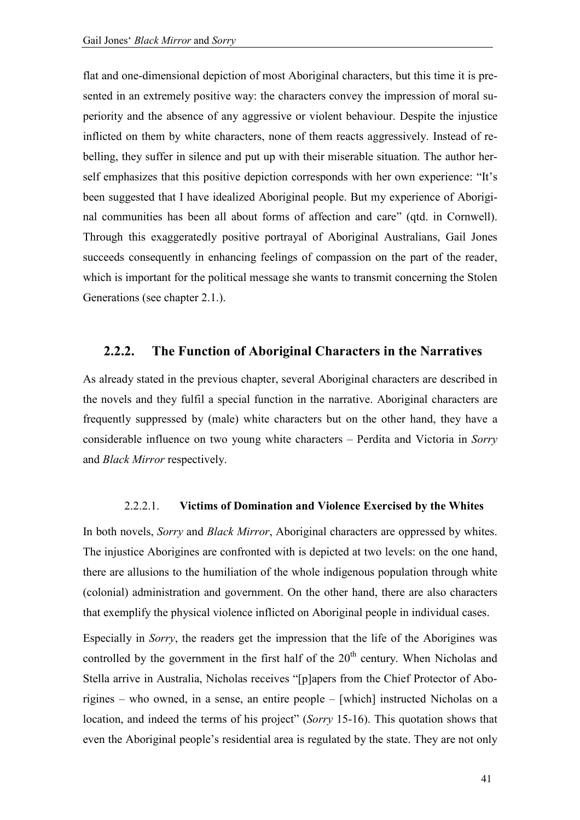flat and one-dimensional depiction of most Aboriginal characters, but this time it is presented in an extremely positive way: the characters convey the impression of moral superiority and the absence of any aggressive or violent behaviour. Despite the injustice inflicted on them by white characters, none of them reacts aggressively. Instead of rebelling, they suffer in silence and put up with their miserable situation. The author herself emphasizes that this positive depiction corresponds with her own experience: "It's been suggested that I have idealized Aboriginal people. But my experience of Aboriginal communities has been all about forms of affection and care" (qtd. in Cornwell). Through this exaggeratedly positive portrayal of Aboriginal Australians, Gail Jones succeeds consequently in enhancing feelings of compassion on the part of the reader, which is important for the political message she wants to transmit concerning the Stolen Generations (see chapter 2.1.).

### **2.2.2.** The Function of Aboriginal Characters in the Narratives

As already stated in the previous chapter, several Aboriginal characters are described in the novels and they fulfil a special function in the narrative. Aboriginal characters are frequently suppressed by (male) white characters but on the other hand, they have a considerable influence on two young white characters – Perdita and Victoria in *Sorry* and *Black Mirror* respectively.

#### 2.2.2.1. **Victims of Domination and Violence Exercised by the Whites**

In both novels, *Sorry* and *Black Mirror*, Aboriginal characters are oppressed by whites. The injustice Aborigines are confronted with is depicted at two levels: on the one hand, there are allusions to the humiliation of the whole indigenous population through white (colonial) administration and government. On the other hand, there are also characters that exemplify the physical violence inflicted on Aboriginal people in individual cases.

Especially in *Sorry*, the readers get the impression that the life of the Aborigines was controlled by the government in the first half of the  $20<sup>th</sup>$  century. When Nicholas and Stella arrive in Australia, Nicholas receives "[p]apers from the Chief Protector of Aborigines – who owned, in a sense, an entire people – [which] instructed Nicholas on a location, and indeed the terms of his project" (*Sorry* 15-16). This quotation shows that even the Aboriginal people's residential area is regulated by the state. They are not only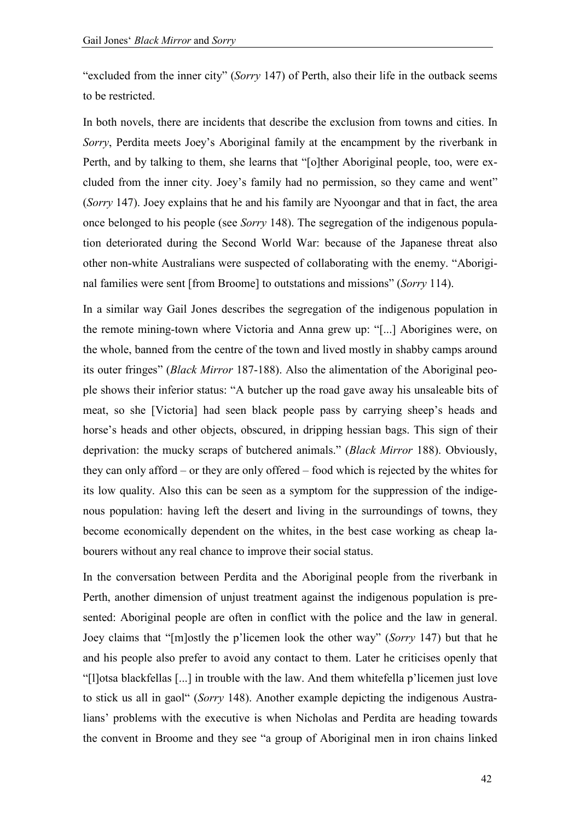"excluded from the inner city" (*Sorry* 147) of Perth, also their life in the outback seems to be restricted.

In both novels, there are incidents that describe the exclusion from towns and cities. In *Sorry*, Perdita meets Joey's Aboriginal family at the encampment by the riverbank in Perth, and by talking to them, she learns that "[o]ther Aboriginal people, too, were excluded from the inner city. Joey's family had no permission, so they came and went" (*Sorry* 147). Joey explains that he and his family are Nyoongar and that in fact, the area once belonged to his people (see *Sorry* 148). The segregation of the indigenous population deteriorated during the Second World War: because of the Japanese threat also other non-white Australians were suspected of collaborating with the enemy. "Aboriginal families were sent [from Broome] to outstations and missions" (*Sorry* 114).

In a similar way Gail Jones describes the segregation of the indigenous population in the remote mining-town where Victoria and Anna grew up: "[...] Aborigines were, on the whole, banned from the centre of the town and lived mostly in shabby camps around its outer fringes" (*Black Mirror* 187-188). Also the alimentation of the Aboriginal people shows their inferior status: "A butcher up the road gave away his unsaleable bits of meat, so she [Victoria] had seen black people pass by carrying sheep's heads and horse's heads and other objects, obscured, in dripping hessian bags. This sign of their deprivation: the mucky scraps of butchered animals." (*Black Mirror* 188). Obviously, they can only afford – or they are only offered – food which is rejected by the whites for its low quality. Also this can be seen as a symptom for the suppression of the indigenous population: having left the desert and living in the surroundings of towns, they become economically dependent on the whites, in the best case working as cheap labourers without any real chance to improve their social status.

In the conversation between Perdita and the Aboriginal people from the riverbank in Perth, another dimension of unjust treatment against the indigenous population is presented: Aboriginal people are often in conflict with the police and the law in general. Joey claims that "[m]ostly the p'licemen look the other way" (*Sorry* 147) but that he and his people also prefer to avoid any contact to them. Later he criticises openly that "[l]otsa blackfellas [...] in trouble with the law. And them whitefella p'licemen just love to stick us all in gaol" (*Sorry* 148). Another example depicting the indigenous Australians' problems with the executive is when Nicholas and Perdita are heading towards the convent in Broome and they see "a group of Aboriginal men in iron chains linked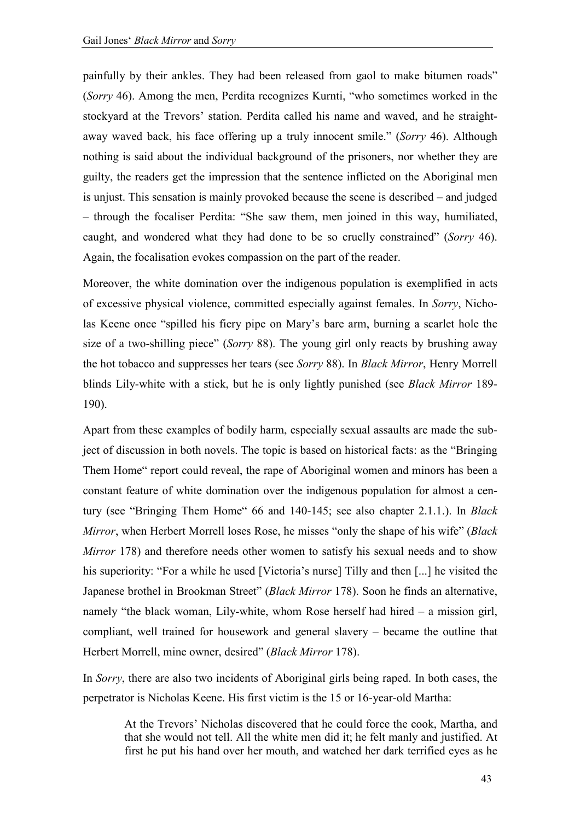painfully by their ankles. They had been released from gaol to make bitumen roads" (*Sorry* 46). Among the men, Perdita recognizes Kurnti, "who sometimes worked in the stockyard at the Trevors' station. Perdita called his name and waved, and he straightaway waved back, his face offering up a truly innocent smile." (*Sorry* 46). Although nothing is said about the individual background of the prisoners, nor whether they are guilty, the readers get the impression that the sentence inflicted on the Aboriginal men is unjust. This sensation is mainly provoked because the scene is described – and judged – through the focaliser Perdita: "She saw them, men joined in this way, humiliated, caught, and wondered what they had done to be so cruelly constrained" (*Sorry* 46). Again, the focalisation evokes compassion on the part of the reader.

Moreover, the white domination over the indigenous population is exemplified in acts of excessive physical violence, committed especially against females. In *Sorry*, Nicholas Keene once "spilled his fiery pipe on Mary's bare arm, burning a scarlet hole the size of a two-shilling piece" (*Sorry* 88). The young girl only reacts by brushing away the hot tobacco and suppresses her tears (see *Sorry* 88). In *Black Mirror*, Henry Morrell blinds Lily-white with a stick, but he is only lightly punished (see *Black Mirror* 189- 190).

Apart from these examples of bodily harm, especially sexual assaults are made the subject of discussion in both novels. The topic is based on historical facts: as the "Bringing Them Home" report could reveal, the rape of Aboriginal women and minors has been a constant feature of white domination over the indigenous population for almost a century (see "Bringing Them Home" 66 and 140-145; see also chapter 2.1.1.). In *Black Mirror*, when Herbert Morrell loses Rose, he misses "only the shape of his wife" (*Black Mirror* 178) and therefore needs other women to satisfy his sexual needs and to show his superiority: "For a while he used [Victoria's nurse] Tilly and then [...] he visited the Japanese brothel in Brookman Street" (*Black Mirror* 178). Soon he finds an alternative, namely "the black woman, Lily-white, whom Rose herself had hired – a mission girl, compliant, well trained for housework and general slavery – became the outline that Herbert Morrell, mine owner, desired" (*Black Mirror* 178).

In *Sorry*, there are also two incidents of Aboriginal girls being raped. In both cases, the perpetrator is Nicholas Keene. His first victim is the 15 or 16-year-old Martha:

At the Trevors' Nicholas discovered that he could force the cook, Martha, and that she would not tell. All the white men did it; he felt manly and justified. At first he put his hand over her mouth, and watched her dark terrified eyes as he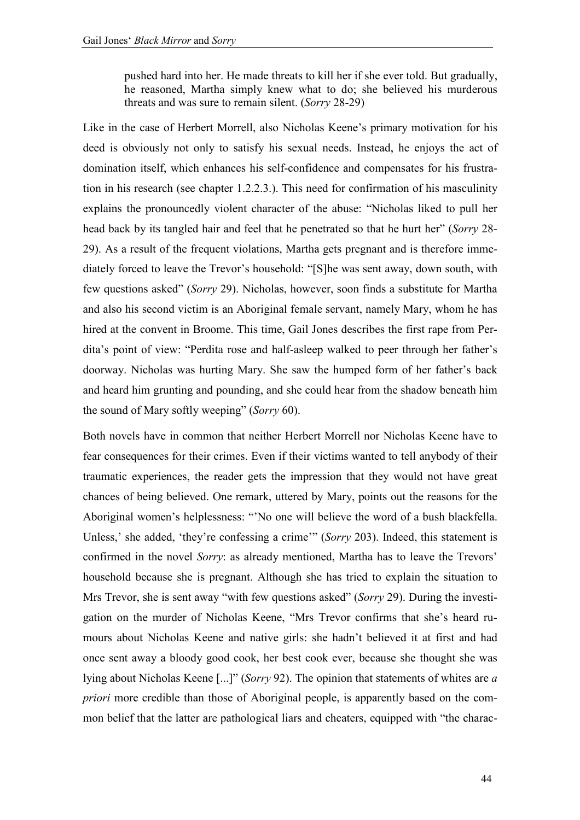pushed hard into her. He made threats to kill her if she ever told. But gradually, he reasoned, Martha simply knew what to do; she believed his murderous threats and was sure to remain silent. (*Sorry* 28-29)

Like in the case of Herbert Morrell, also Nicholas Keene's primary motivation for his deed is obviously not only to satisfy his sexual needs. Instead, he enjoys the act of domination itself, which enhances his self-confidence and compensates for his frustration in his research (see chapter 1.2.2.3.). This need for confirmation of his masculinity explains the pronouncedly violent character of the abuse: "Nicholas liked to pull her head back by its tangled hair and feel that he penetrated so that he hurt her" (*Sorry* 28- 29). As a result of the frequent violations, Martha gets pregnant and is therefore immediately forced to leave the Trevor's household: "[S]he was sent away, down south, with few questions asked" (*Sorry* 29). Nicholas, however, soon finds a substitute for Martha and also his second victim is an Aboriginal female servant, namely Mary, whom he has hired at the convent in Broome. This time, Gail Jones describes the first rape from Perdita's point of view: "Perdita rose and half-asleep walked to peer through her father's doorway. Nicholas was hurting Mary. She saw the humped form of her father's back and heard him grunting and pounding, and she could hear from the shadow beneath him the sound of Mary softly weeping" (*Sorry* 60).

Both novels have in common that neither Herbert Morrell nor Nicholas Keene have to fear consequences for their crimes. Even if their victims wanted to tell anybody of their traumatic experiences, the reader gets the impression that they would not have great chances of being believed. One remark, uttered by Mary, points out the reasons for the Aboriginal women's helplessness: "'No one will believe the word of a bush blackfella. Unless,' she added, 'they're confessing a crime'" (*Sorry* 203). Indeed, this statement is confirmed in the novel *Sorry*: as already mentioned, Martha has to leave the Trevors' household because she is pregnant. Although she has tried to explain the situation to Mrs Trevor, she is sent away "with few questions asked" (*Sorry* 29). During the investigation on the murder of Nicholas Keene, "Mrs Trevor confirms that she's heard rumours about Nicholas Keene and native girls: she hadn't believed it at first and had once sent away a bloody good cook, her best cook ever, because she thought she was lying about Nicholas Keene [...]" (*Sorry* 92). The opinion that statements of whites are *a priori* more credible than those of Aboriginal people, is apparently based on the common belief that the latter are pathological liars and cheaters, equipped with "the charac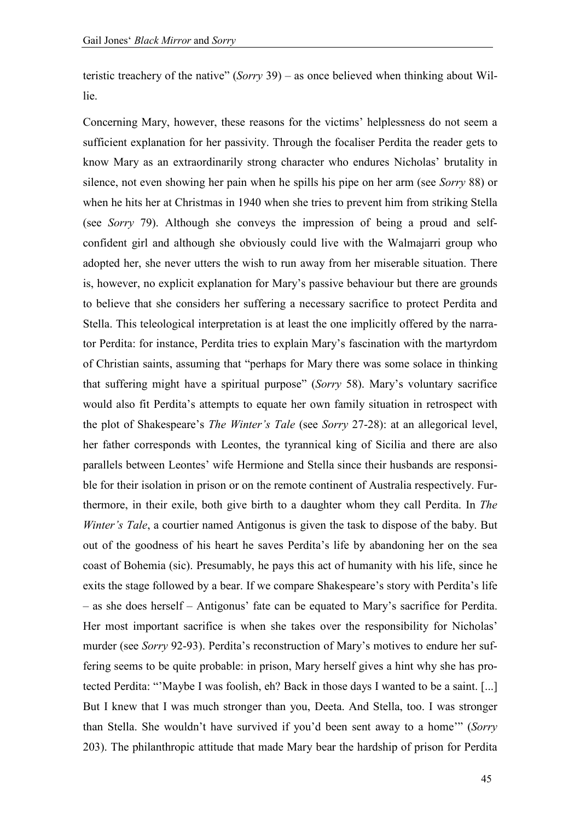teristic treachery of the native" (*Sorry* 39) – as once believed when thinking about Willie.

Concerning Mary, however, these reasons for the victims' helplessness do not seem a sufficient explanation for her passivity. Through the focaliser Perdita the reader gets to know Mary as an extraordinarily strong character who endures Nicholas' brutality in silence, not even showing her pain when he spills his pipe on her arm (see *Sorry* 88) or when he hits her at Christmas in 1940 when she tries to prevent him from striking Stella (see *Sorry* 79). Although she conveys the impression of being a proud and selfconfident girl and although she obviously could live with the Walmajarri group who adopted her, she never utters the wish to run away from her miserable situation. There is, however, no explicit explanation for Mary's passive behaviour but there are grounds to believe that she considers her suffering a necessary sacrifice to protect Perdita and Stella. This teleological interpretation is at least the one implicitly offered by the narrator Perdita: for instance, Perdita tries to explain Mary's fascination with the martyrdom of Christian saints, assuming that "perhaps for Mary there was some solace in thinking that suffering might have a spiritual purpose" (*Sorry* 58). Mary's voluntary sacrifice would also fit Perdita's attempts to equate her own family situation in retrospect with the plot of Shakespeare's *The Winter's Tale* (see *Sorry* 27-28): at an allegorical level, her father corresponds with Leontes, the tyrannical king of Sicilia and there are also parallels between Leontes' wife Hermione and Stella since their husbands are responsible for their isolation in prison or on the remote continent of Australia respectively. Furthermore, in their exile, both give birth to a daughter whom they call Perdita. In *The Winter's Tale*, a courtier named Antigonus is given the task to dispose of the baby. But out of the goodness of his heart he saves Perdita's life by abandoning her on the sea coast of Bohemia (sic). Presumably, he pays this act of humanity with his life, since he exits the stage followed by a bear. If we compare Shakespeare's story with Perdita's life – as she does herself – Antigonus' fate can be equated to Mary's sacrifice for Perdita. Her most important sacrifice is when she takes over the responsibility for Nicholas' murder (see *Sorry* 92-93). Perdita's reconstruction of Mary's motives to endure her suffering seems to be quite probable: in prison, Mary herself gives a hint why she has protected Perdita: "'Maybe I was foolish, eh? Back in those days I wanted to be a saint. [...] But I knew that I was much stronger than you, Deeta. And Stella, too. I was stronger than Stella. She wouldn't have survived if you'd been sent away to a home'" (*Sorry* 203). The philanthropic attitude that made Mary bear the hardship of prison for Perdita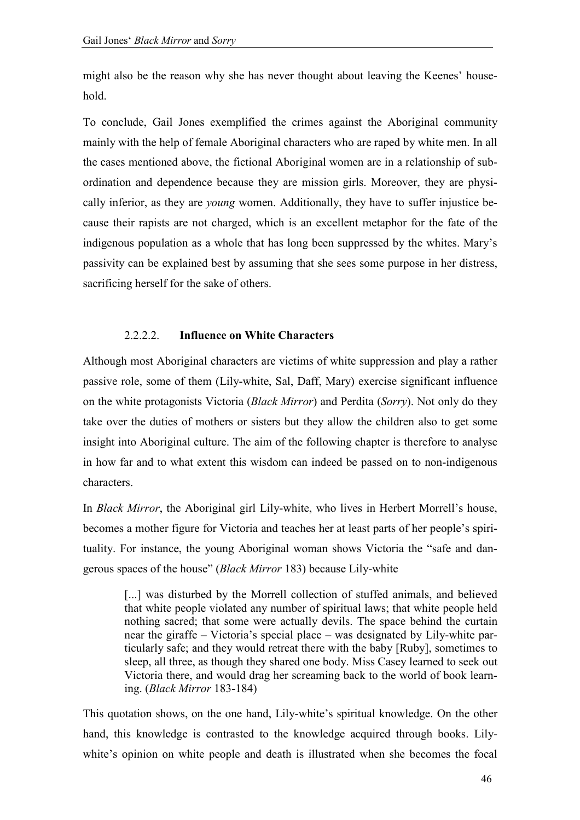might also be the reason why she has never thought about leaving the Keenes' household.

To conclude, Gail Jones exemplified the crimes against the Aboriginal community mainly with the help of female Aboriginal characters who are raped by white men. In all the cases mentioned above, the fictional Aboriginal women are in a relationship of subordination and dependence because they are mission girls. Moreover, they are physically inferior, as they are *young* women. Additionally, they have to suffer injustice because their rapists are not charged, which is an excellent metaphor for the fate of the indigenous population as a whole that has long been suppressed by the whites. Mary's passivity can be explained best by assuming that she sees some purpose in her distress, sacrificing herself for the sake of others.

### 2.2.2.2. **Influence on White Characters**

Although most Aboriginal characters are victims of white suppression and play a rather passive role, some of them (Lily-white, Sal, Daff, Mary) exercise significant influence on the white protagonists Victoria (*Black Mirror*) and Perdita (*Sorry*). Not only do they take over the duties of mothers or sisters but they allow the children also to get some insight into Aboriginal culture. The aim of the following chapter is therefore to analyse in how far and to what extent this wisdom can indeed be passed on to non-indigenous characters.

In *Black Mirror*, the Aboriginal girl Lily-white, who lives in Herbert Morrell's house, becomes a mother figure for Victoria and teaches her at least parts of her people's spirituality. For instance, the young Aboriginal woman shows Victoria the "safe and dangerous spaces of the house" (*Black Mirror* 183) because Lily-white

[...] was disturbed by the Morrell collection of stuffed animals, and believed that white people violated any number of spiritual laws; that white people held nothing sacred; that some were actually devils. The space behind the curtain near the giraffe – Victoria's special place – was designated by Lily-white particularly safe; and they would retreat there with the baby [Ruby], sometimes to sleep, all three, as though they shared one body. Miss Casey learned to seek out Victoria there, and would drag her screaming back to the world of book learning. (*Black Mirror* 183-184)

This quotation shows, on the one hand, Lily-white's spiritual knowledge. On the other hand, this knowledge is contrasted to the knowledge acquired through books. Lilywhite's opinion on white people and death is illustrated when she becomes the focal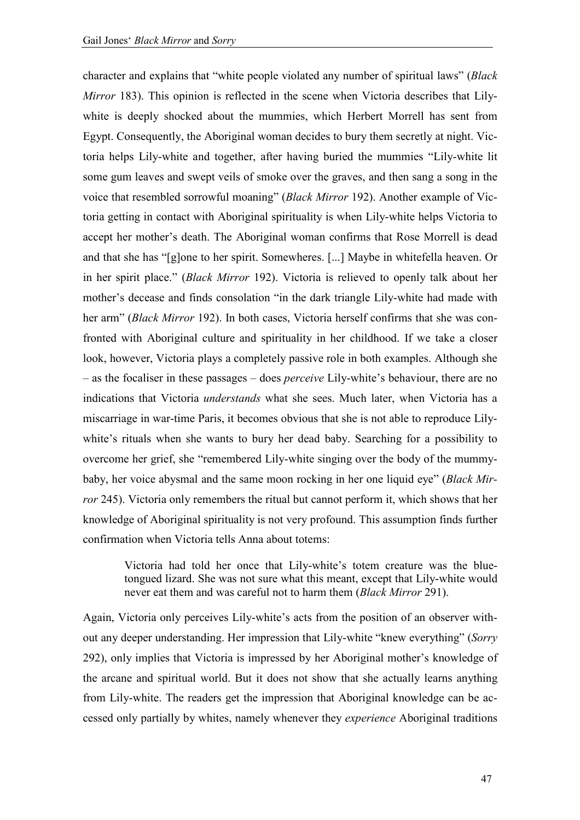character and explains that "white people violated any number of spiritual laws" (*Black Mirror* 183). This opinion is reflected in the scene when Victoria describes that Lilywhite is deeply shocked about the mummies, which Herbert Morrell has sent from Egypt. Consequently, the Aboriginal woman decides to bury them secretly at night. Victoria helps Lily-white and together, after having buried the mummies "Lily-white lit some gum leaves and swept veils of smoke over the graves, and then sang a song in the voice that resembled sorrowful moaning" (*Black Mirror* 192). Another example of Victoria getting in contact with Aboriginal spirituality is when Lily-white helps Victoria to accept her mother's death. The Aboriginal woman confirms that Rose Morrell is dead and that she has "[g]one to her spirit. Somewheres. [...] Maybe in whitefella heaven. Or in her spirit place." (*Black Mirror* 192). Victoria is relieved to openly talk about her mother's decease and finds consolation "in the dark triangle Lily-white had made with her arm" (*Black Mirror* 192). In both cases, Victoria herself confirms that she was confronted with Aboriginal culture and spirituality in her childhood. If we take a closer look, however, Victoria plays a completely passive role in both examples. Although she – as the focaliser in these passages – does *perceive* Lily-white's behaviour, there are no indications that Victoria *understands* what she sees. Much later, when Victoria has a miscarriage in war-time Paris, it becomes obvious that she is not able to reproduce Lilywhite's rituals when she wants to bury her dead baby. Searching for a possibility to overcome her grief, she "remembered Lily-white singing over the body of the mummybaby, her voice abysmal and the same moon rocking in her one liquid eye" (*Black Mirror* 245). Victoria only remembers the ritual but cannot perform it, which shows that her knowledge of Aboriginal spirituality is not very profound. This assumption finds further confirmation when Victoria tells Anna about totems:

Victoria had told her once that Lily-white's totem creature was the bluetongued lizard. She was not sure what this meant, except that Lily-white would never eat them and was careful not to harm them (*Black Mirror* 291).

Again, Victoria only perceives Lily-white's acts from the position of an observer without any deeper understanding. Her impression that Lily-white "knew everything" (*Sorry* 292), only implies that Victoria is impressed by her Aboriginal mother's knowledge of the arcane and spiritual world. But it does not show that she actually learns anything from Lily-white. The readers get the impression that Aboriginal knowledge can be accessed only partially by whites, namely whenever they *experience* Aboriginal traditions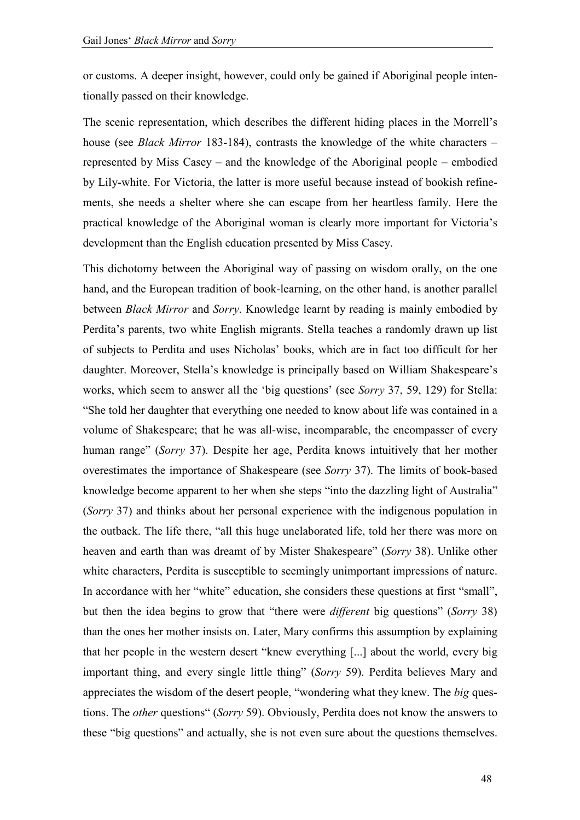or customs. A deeper insight, however, could only be gained if Aboriginal people intentionally passed on their knowledge.

The scenic representation, which describes the different hiding places in the Morrell's house (see *Black Mirror* 183-184), contrasts the knowledge of the white characters – represented by Miss Casey – and the knowledge of the Aboriginal people – embodied by Lily-white. For Victoria, the latter is more useful because instead of bookish refinements, she needs a shelter where she can escape from her heartless family. Here the practical knowledge of the Aboriginal woman is clearly more important for Victoria's development than the English education presented by Miss Casey.

This dichotomy between the Aboriginal way of passing on wisdom orally, on the one hand, and the European tradition of book-learning, on the other hand, is another parallel between *Black Mirror* and *Sorry*. Knowledge learnt by reading is mainly embodied by Perdita's parents, two white English migrants. Stella teaches a randomly drawn up list of subjects to Perdita and uses Nicholas' books, which are in fact too difficult for her daughter. Moreover, Stella's knowledge is principally based on William Shakespeare's works, which seem to answer all the 'big questions' (see *Sorry* 37, 59, 129) for Stella: "She told her daughter that everything one needed to know about life was contained in a volume of Shakespeare; that he was all-wise, incomparable, the encompasser of every human range" (*Sorry* 37). Despite her age, Perdita knows intuitively that her mother overestimates the importance of Shakespeare (see *Sorry* 37). The limits of book-based knowledge become apparent to her when she steps "into the dazzling light of Australia" (*Sorry* 37) and thinks about her personal experience with the indigenous population in the outback. The life there, "all this huge unelaborated life, told her there was more on heaven and earth than was dreamt of by Mister Shakespeare" (*Sorry* 38). Unlike other white characters, Perdita is susceptible to seemingly unimportant impressions of nature. In accordance with her "white" education, she considers these questions at first "small", but then the idea begins to grow that "there were *different* big questions" (*Sorry* 38) than the ones her mother insists on. Later, Mary confirms this assumption by explaining that her people in the western desert "knew everything [...] about the world, every big important thing, and every single little thing" (*Sorry* 59). Perdita believes Mary and appreciates the wisdom of the desert people, "wondering what they knew. The *big* questions. The *other* questions" (*Sorry* 59). Obviously, Perdita does not know the answers to these "big questions" and actually, she is not even sure about the questions themselves.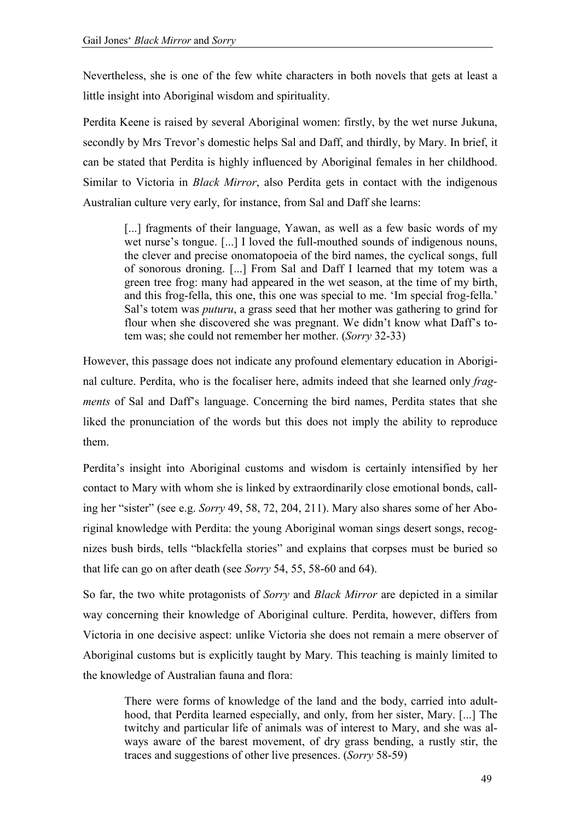Nevertheless, she is one of the few white characters in both novels that gets at least a little insight into Aboriginal wisdom and spirituality.

Perdita Keene is raised by several Aboriginal women: firstly, by the wet nurse Jukuna, secondly by Mrs Trevor's domestic helps Sal and Daff, and thirdly, by Mary. In brief, it can be stated that Perdita is highly influenced by Aboriginal females in her childhood. Similar to Victoria in *Black Mirror*, also Perdita gets in contact with the indigenous Australian culture very early, for instance, from Sal and Daff she learns:

[...] fragments of their language, Yawan, as well as a few basic words of my wet nurse's tongue. [...] I loved the full-mouthed sounds of indigenous nouns, the clever and precise onomatopoeia of the bird names, the cyclical songs, full of sonorous droning. [...] From Sal and Daff I learned that my totem was a green tree frog: many had appeared in the wet season, at the time of my birth, and this frog-fella, this one, this one was special to me. 'Im special frog-fella.' Sal's totem was *puturu*, a grass seed that her mother was gathering to grind for flour when she discovered she was pregnant. We didn't know what Daff's totem was; she could not remember her mother. (*Sorry* 32-33)

However, this passage does not indicate any profound elementary education in Aboriginal culture. Perdita, who is the focaliser here, admits indeed that she learned only *fragments* of Sal and Daff's language. Concerning the bird names, Perdita states that she liked the pronunciation of the words but this does not imply the ability to reproduce them.

Perdita's insight into Aboriginal customs and wisdom is certainly intensified by her contact to Mary with whom she is linked by extraordinarily close emotional bonds, calling her "sister" (see e.g. *Sorry* 49, 58, 72, 204, 211). Mary also shares some of her Aboriginal knowledge with Perdita: the young Aboriginal woman sings desert songs, recognizes bush birds, tells "blackfella stories" and explains that corpses must be buried so that life can go on after death (see *Sorry* 54, 55, 58-60 and 64).

So far, the two white protagonists of *Sorry* and *Black Mirror* are depicted in a similar way concerning their knowledge of Aboriginal culture. Perdita, however, differs from Victoria in one decisive aspect: unlike Victoria she does not remain a mere observer of Aboriginal customs but is explicitly taught by Mary. This teaching is mainly limited to the knowledge of Australian fauna and flora:

There were forms of knowledge of the land and the body, carried into adulthood, that Perdita learned especially, and only, from her sister, Mary. [...] The twitchy and particular life of animals was of interest to Mary, and she was always aware of the barest movement, of dry grass bending, a rustly stir, the traces and suggestions of other live presences. (*Sorry* 58-59)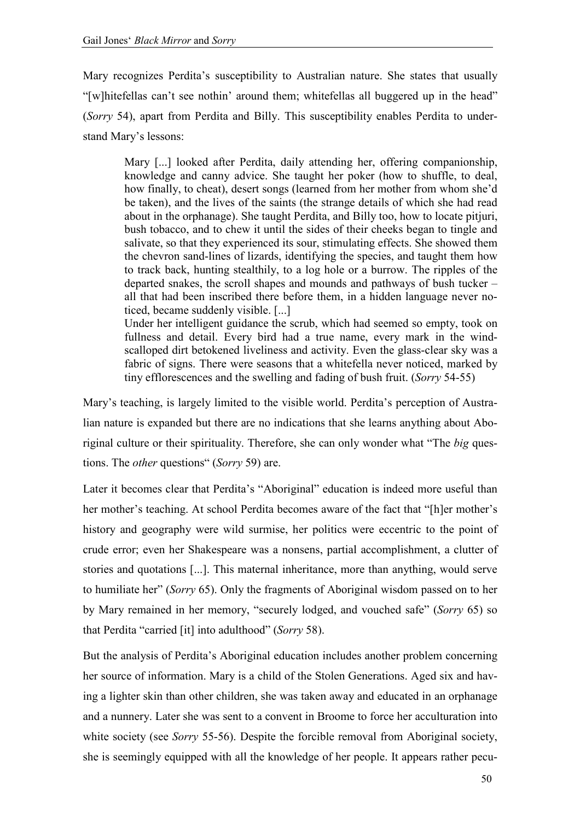Mary recognizes Perdita's susceptibility to Australian nature. She states that usually "[w]hitefellas can't see nothin' around them; whitefellas all buggered up in the head" (*Sorry* 54), apart from Perdita and Billy. This susceptibility enables Perdita to understand Mary's lessons:

Mary [...] looked after Perdita, daily attending her, offering companionship, knowledge and canny advice. She taught her poker (how to shuffle, to deal, how finally, to cheat), desert songs (learned from her mother from whom she'd be taken), and the lives of the saints (the strange details of which she had read about in the orphanage). She taught Perdita, and Billy too, how to locate pitjuri, bush tobacco, and to chew it until the sides of their cheeks began to tingle and salivate, so that they experienced its sour, stimulating effects. She showed them the chevron sand-lines of lizards, identifying the species, and taught them how to track back, hunting stealthily, to a log hole or a burrow. The ripples of the departed snakes, the scroll shapes and mounds and pathways of bush tucker – all that had been inscribed there before them, in a hidden language never noticed, became suddenly visible. [...]

Under her intelligent guidance the scrub, which had seemed so empty, took on fullness and detail. Every bird had a true name, every mark in the windscalloped dirt betokened liveliness and activity. Even the glass-clear sky was a fabric of signs. There were seasons that a whitefella never noticed, marked by tiny efflorescences and the swelling and fading of bush fruit. (*Sorry* 54-55)

Mary's teaching, is largely limited to the visible world. Perdita's perception of Australian nature is expanded but there are no indications that she learns anything about Aboriginal culture or their spirituality. Therefore, she can only wonder what "The *big* questions. The *other* questions" (*Sorry* 59) are.

Later it becomes clear that Perdita's "Aboriginal" education is indeed more useful than her mother's teaching. At school Perdita becomes aware of the fact that "[h]er mother's history and geography were wild surmise, her politics were eccentric to the point of crude error; even her Shakespeare was a nonsens, partial accomplishment, a clutter of stories and quotations [...]. This maternal inheritance, more than anything, would serve to humiliate her" (*Sorry* 65). Only the fragments of Aboriginal wisdom passed on to her by Mary remained in her memory, "securely lodged, and vouched safe" (*Sorry* 65) so that Perdita "carried [it] into adulthood" (*Sorry* 58).

But the analysis of Perdita's Aboriginal education includes another problem concerning her source of information. Mary is a child of the Stolen Generations. Aged six and having a lighter skin than other children, she was taken away and educated in an orphanage and a nunnery. Later she was sent to a convent in Broome to force her acculturation into white society (see *Sorry* 55-56). Despite the forcible removal from Aboriginal society, she is seemingly equipped with all the knowledge of her people. It appears rather pecu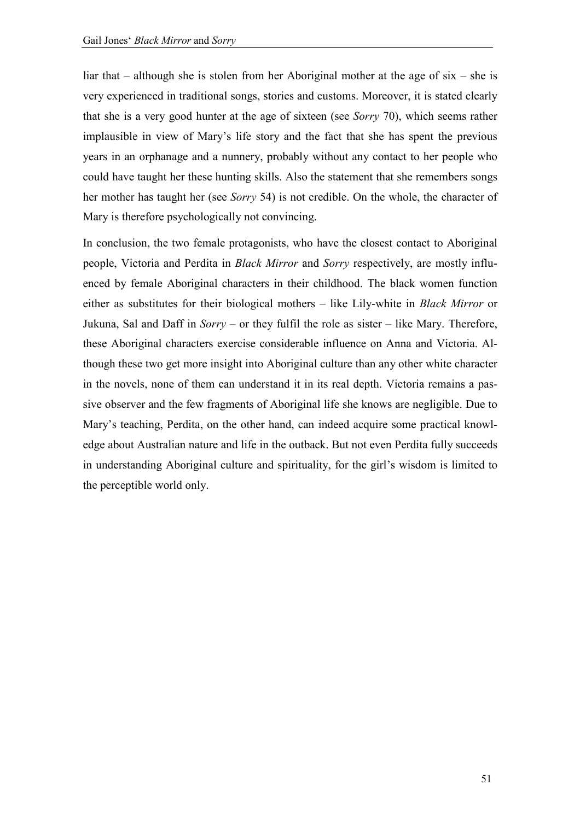liar that – although she is stolen from her Aboriginal mother at the age of six – she is very experienced in traditional songs, stories and customs. Moreover, it is stated clearly that she is a very good hunter at the age of sixteen (see *Sorry* 70), which seems rather implausible in view of Mary's life story and the fact that she has spent the previous years in an orphanage and a nunnery, probably without any contact to her people who could have taught her these hunting skills. Also the statement that she remembers songs her mother has taught her (see *Sorry* 54) is not credible. On the whole, the character of Mary is therefore psychologically not convincing.

In conclusion, the two female protagonists, who have the closest contact to Aboriginal people, Victoria and Perdita in *Black Mirror* and *Sorry* respectively, are mostly influenced by female Aboriginal characters in their childhood. The black women function either as substitutes for their biological mothers – like Lily-white in *Black Mirror* or Jukuna, Sal and Daff in *Sorry* – or they fulfil the role as sister – like Mary. Therefore, these Aboriginal characters exercise considerable influence on Anna and Victoria. Although these two get more insight into Aboriginal culture than any other white character in the novels, none of them can understand it in its real depth. Victoria remains a passive observer and the few fragments of Aboriginal life she knows are negligible. Due to Mary's teaching, Perdita, on the other hand, can indeed acquire some practical knowledge about Australian nature and life in the outback. But not even Perdita fully succeeds in understanding Aboriginal culture and spirituality, for the girl's wisdom is limited to the perceptible world only.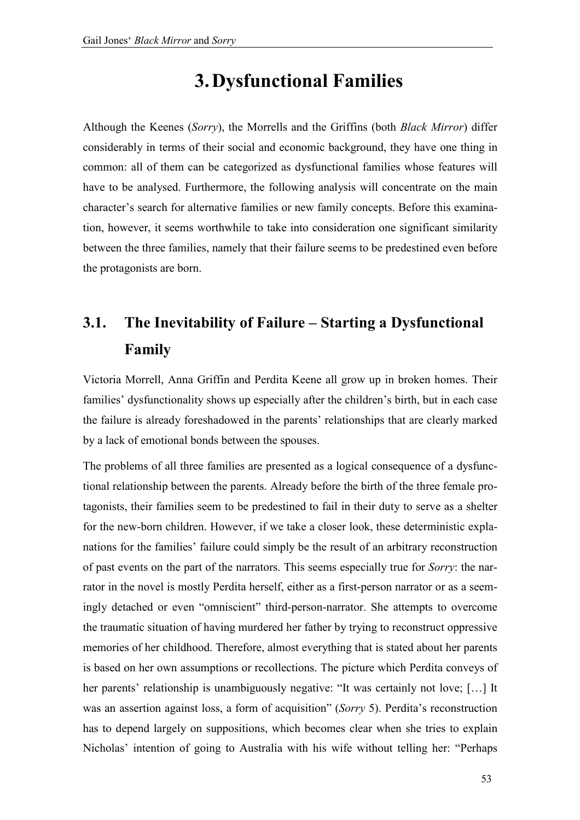# **3.Dysfunctional Families**

Although the Keenes (*Sorry*), the Morrells and the Griffins (both *Black Mirror*) differ considerably in terms of their social and economic background, they have one thing in common: all of them can be categorized as dysfunctional families whose features will have to be analysed. Furthermore, the following analysis will concentrate on the main character's search for alternative families or new family concepts. Before this examination, however, it seems worthwhile to take into consideration one significant similarity between the three families, namely that their failure seems to be predestined even before the protagonists are born.

# **3.1. The Inevitability of Failure – Starting a Dysfunctional Family**

Victoria Morrell, Anna Griffin and Perdita Keene all grow up in broken homes. Their families' dysfunctionality shows up especially after the children's birth, but in each case the failure is already foreshadowed in the parents' relationships that are clearly marked by a lack of emotional bonds between the spouses.

The problems of all three families are presented as a logical consequence of a dysfunctional relationship between the parents. Already before the birth of the three female protagonists, their families seem to be predestined to fail in their duty to serve as a shelter for the new-born children. However, if we take a closer look, these deterministic explanations for the families' failure could simply be the result of an arbitrary reconstruction of past events on the part of the narrators. This seems especially true for *Sorry*: the narrator in the novel is mostly Perdita herself, either as a first-person narrator or as a seemingly detached or even "omniscient" third-person-narrator. She attempts to overcome the traumatic situation of having murdered her father by trying to reconstruct oppressive memories of her childhood. Therefore, almost everything that is stated about her parents is based on her own assumptions or recollections. The picture which Perdita conveys of her parents' relationship is unambiguously negative: "It was certainly not love; [...] It was an assertion against loss, a form of acquisition" (*Sorry* 5). Perdita's reconstruction has to depend largely on suppositions, which becomes clear when she tries to explain Nicholas' intention of going to Australia with his wife without telling her: "Perhaps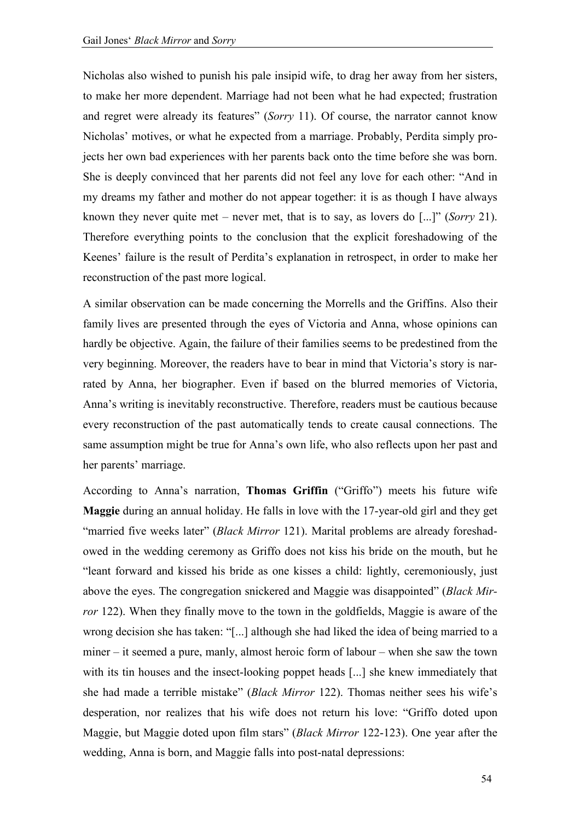Nicholas also wished to punish his pale insipid wife, to drag her away from her sisters, to make her more dependent. Marriage had not been what he had expected; frustration and regret were already its features" (*Sorry* 11). Of course, the narrator cannot know Nicholas' motives, or what he expected from a marriage. Probably, Perdita simply projects her own bad experiences with her parents back onto the time before she was born. She is deeply convinced that her parents did not feel any love for each other: "And in my dreams my father and mother do not appear together: it is as though I have always known they never quite met – never met, that is to say, as lovers do [...]" (*Sorry* 21). Therefore everything points to the conclusion that the explicit foreshadowing of the Keenes' failure is the result of Perdita's explanation in retrospect, in order to make her reconstruction of the past more logical.

A similar observation can be made concerning the Morrells and the Griffins. Also their family lives are presented through the eyes of Victoria and Anna, whose opinions can hardly be objective. Again, the failure of their families seems to be predestined from the very beginning. Moreover, the readers have to bear in mind that Victoria's story is narrated by Anna, her biographer. Even if based on the blurred memories of Victoria, Anna's writing is inevitably reconstructive. Therefore, readers must be cautious because every reconstruction of the past automatically tends to create causal connections. The same assumption might be true for Anna's own life, who also reflects upon her past and her parents' marriage.

According to Anna's narration, **Thomas Griffin** ("Griffo") meets his future wife **Maggie** during an annual holiday. He falls in love with the 17-year-old girl and they get "married five weeks later" (*Black Mirror* 121). Marital problems are already foreshadowed in the wedding ceremony as Griffo does not kiss his bride on the mouth, but he "leant forward and kissed his bride as one kisses a child: lightly, ceremoniously, just above the eyes. The congregation snickered and Maggie was disappointed" (*Black Mirror* 122). When they finally move to the town in the goldfields, Maggie is aware of the wrong decision she has taken: "[...] although she had liked the idea of being married to a miner – it seemed a pure, manly, almost heroic form of labour – when she saw the town with its tin houses and the insect-looking poppet heads [...] she knew immediately that she had made a terrible mistake" (*Black Mirror* 122). Thomas neither sees his wife's desperation, nor realizes that his wife does not return his love: "Griffo doted upon Maggie, but Maggie doted upon film stars" (*Black Mirror* 122-123). One year after the wedding, Anna is born, and Maggie falls into post-natal depressions: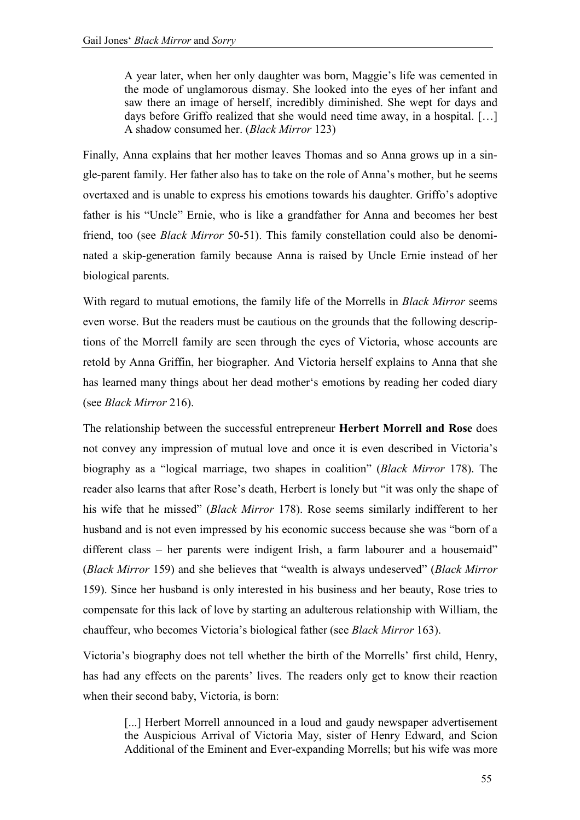A year later, when her only daughter was born, Maggie's life was cemented in the mode of unglamorous dismay. She looked into the eyes of her infant and saw there an image of herself, incredibly diminished. She wept for days and days before Griffo realized that she would need time away, in a hospital. […] A shadow consumed her. (*Black Mirror* 123)

Finally, Anna explains that her mother leaves Thomas and so Anna grows up in a single-parent family. Her father also has to take on the role of Anna's mother, but he seems overtaxed and is unable to express his emotions towards his daughter. Griffo's adoptive father is his "Uncle" Ernie, who is like a grandfather for Anna and becomes her best friend, too (see *Black Mirror* 50-51). This family constellation could also be denominated a skip-generation family because Anna is raised by Uncle Ernie instead of her biological parents.

With regard to mutual emotions, the family life of the Morrells in *Black Mirror* seems even worse. But the readers must be cautious on the grounds that the following descriptions of the Morrell family are seen through the eyes of Victoria, whose accounts are retold by Anna Griffin, her biographer. And Victoria herself explains to Anna that she has learned many things about her dead mother's emotions by reading her coded diary (see *Black Mirror* 216).

The relationship between the successful entrepreneur **Herbert Morrell and Rose** does not convey any impression of mutual love and once it is even described in Victoria's biography as a "logical marriage, two shapes in coalition" (*Black Mirror* 178). The reader also learns that after Rose's death, Herbert is lonely but "it was only the shape of his wife that he missed" (*Black Mirror* 178). Rose seems similarly indifferent to her husband and is not even impressed by his economic success because she was "born of a different class – her parents were indigent Irish, a farm labourer and a housemaid" (*Black Mirror* 159) and she believes that "wealth is always undeserved" (*Black Mirror* 159). Since her husband is only interested in his business and her beauty, Rose tries to compensate for this lack of love by starting an adulterous relationship with William, the chauffeur, who becomes Victoria's biological father (see *Black Mirror* 163).

Victoria's biography does not tell whether the birth of the Morrells' first child, Henry, has had any effects on the parents' lives. The readers only get to know their reaction when their second baby, Victoria, is born:

[...] Herbert Morrell announced in a loud and gaudy newspaper advertisement the Auspicious Arrival of Victoria May, sister of Henry Edward, and Scion Additional of the Eminent and Ever-expanding Morrells; but his wife was more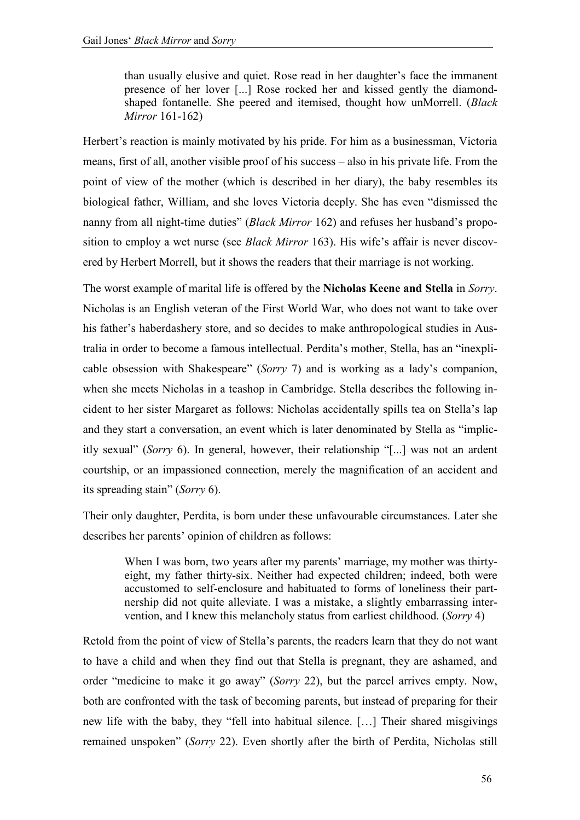than usually elusive and quiet. Rose read in her daughter's face the immanent presence of her lover [...] Rose rocked her and kissed gently the diamondshaped fontanelle. She peered and itemised, thought how unMorrell. (*Black Mirror* 161-162)

Herbert's reaction is mainly motivated by his pride. For him as a businessman, Victoria means, first of all, another visible proof of his success – also in his private life. From the point of view of the mother (which is described in her diary), the baby resembles its biological father, William, and she loves Victoria deeply. She has even "dismissed the nanny from all night-time duties" (*Black Mirror* 162) and refuses her husband's proposition to employ a wet nurse (see *Black Mirror* 163). His wife's affair is never discovered by Herbert Morrell, but it shows the readers that their marriage is not working.

The worst example of marital life is offered by the **Nicholas Keene and Stella** in *Sorry*. Nicholas is an English veteran of the First World War, who does not want to take over his father's haberdashery store, and so decides to make anthropological studies in Australia in order to become a famous intellectual. Perdita's mother, Stella, has an "inexplicable obsession with Shakespeare" (*Sorry* 7) and is working as a lady's companion, when she meets Nicholas in a teashop in Cambridge. Stella describes the following incident to her sister Margaret as follows: Nicholas accidentally spills tea on Stella's lap and they start a conversation, an event which is later denominated by Stella as "implicitly sexual" (*Sorry* 6). In general, however, their relationship "[...] was not an ardent courtship, or an impassioned connection, merely the magnification of an accident and its spreading stain" (*Sorry* 6).

Their only daughter, Perdita, is born under these unfavourable circumstances. Later she describes her parents' opinion of children as follows:

When I was born, two years after my parents' marriage, my mother was thirtyeight, my father thirty-six. Neither had expected children; indeed, both were accustomed to self-enclosure and habituated to forms of loneliness their partnership did not quite alleviate. I was a mistake, a slightly embarrassing intervention, and I knew this melancholy status from earliest childhood. (*Sorry* 4)

Retold from the point of view of Stella's parents, the readers learn that they do not want to have a child and when they find out that Stella is pregnant, they are ashamed, and order "medicine to make it go away" (*Sorry* 22), but the parcel arrives empty. Now, both are confronted with the task of becoming parents, but instead of preparing for their new life with the baby, they "fell into habitual silence. […] Their shared misgivings remained unspoken" (*Sorry* 22). Even shortly after the birth of Perdita, Nicholas still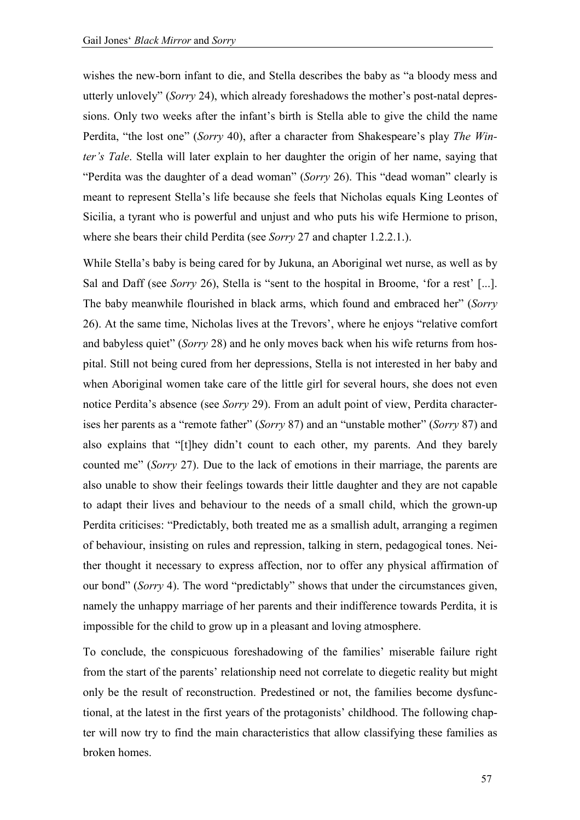wishes the new-born infant to die, and Stella describes the baby as "a bloody mess and utterly unlovely" (*Sorry* 24), which already foreshadows the mother's post-natal depressions. Only two weeks after the infant's birth is Stella able to give the child the name Perdita, "the lost one" (*Sorry* 40), after a character from Shakespeare's play *The Winter's Tale*. Stella will later explain to her daughter the origin of her name, saying that "Perdita was the daughter of a dead woman" (*Sorry* 26). This "dead woman" clearly is meant to represent Stella's life because she feels that Nicholas equals King Leontes of Sicilia, a tyrant who is powerful and unjust and who puts his wife Hermione to prison, where she bears their child Perdita (see *Sorry* 27 and chapter 1.2.2.1.).

While Stella's baby is being cared for by Jukuna, an Aboriginal wet nurse, as well as by Sal and Daff (see *Sorry* 26), Stella is "sent to the hospital in Broome, 'for a rest' [...]. The baby meanwhile flourished in black arms, which found and embraced her" (*Sorry* 26). At the same time, Nicholas lives at the Trevors', where he enjoys "relative comfort and babyless quiet" (*Sorry* 28) and he only moves back when his wife returns from hospital. Still not being cured from her depressions, Stella is not interested in her baby and when Aboriginal women take care of the little girl for several hours, she does not even notice Perdita's absence (see *Sorry* 29). From an adult point of view, Perdita characterises her parents as a "remote father" (*Sorry* 87) and an "unstable mother" (*Sorry* 87) and also explains that "[t]hey didn't count to each other, my parents. And they barely counted me" (*Sorry* 27). Due to the lack of emotions in their marriage, the parents are also unable to show their feelings towards their little daughter and they are not capable to adapt their lives and behaviour to the needs of a small child, which the grown-up Perdita criticises: "Predictably, both treated me as a smallish adult, arranging a regimen of behaviour, insisting on rules and repression, talking in stern, pedagogical tones. Neither thought it necessary to express affection, nor to offer any physical affirmation of our bond" (*Sorry* 4). The word "predictably" shows that under the circumstances given, namely the unhappy marriage of her parents and their indifference towards Perdita, it is impossible for the child to grow up in a pleasant and loving atmosphere.

To conclude, the conspicuous foreshadowing of the families' miserable failure right from the start of the parents' relationship need not correlate to diegetic reality but might only be the result of reconstruction. Predestined or not, the families become dysfunctional, at the latest in the first years of the protagonists' childhood. The following chapter will now try to find the main characteristics that allow classifying these families as broken homes.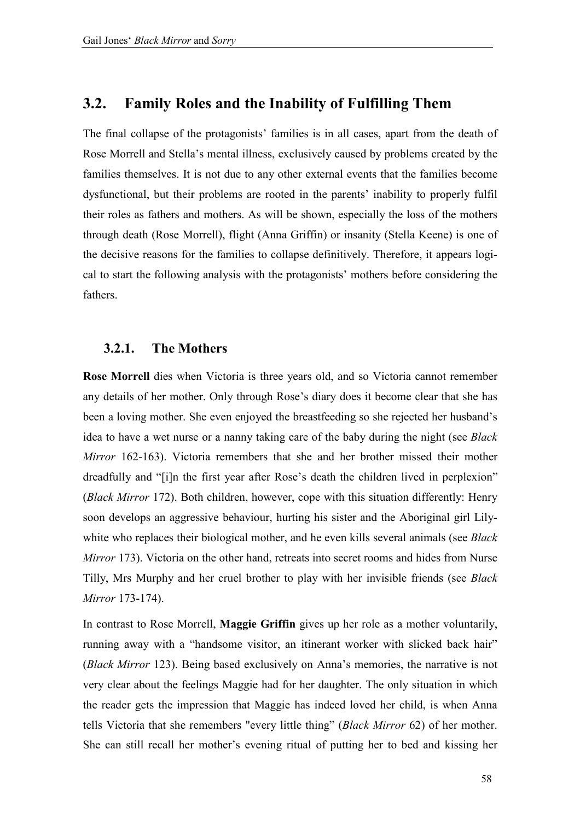### **3.2. Family Roles and the Inability of Fulfilling Them**

The final collapse of the protagonists' families is in all cases, apart from the death of Rose Morrell and Stella's mental illness, exclusively caused by problems created by the families themselves. It is not due to any other external events that the families become dysfunctional, but their problems are rooted in the parents' inability to properly fulfil their roles as fathers and mothers. As will be shown, especially the loss of the mothers through death (Rose Morrell), flight (Anna Griffin) or insanity (Stella Keene) is one of the decisive reasons for the families to collapse definitively. Therefore, it appears logical to start the following analysis with the protagonists' mothers before considering the fathers.

#### **3.2.1. The Mothers**

**Rose Morrell** dies when Victoria is three years old, and so Victoria cannot remember any details of her mother. Only through Rose's diary does it become clear that she has been a loving mother. She even enjoyed the breastfeeding so she rejected her husband's idea to have a wet nurse or a nanny taking care of the baby during the night (see *Black Mirror* 162-163). Victoria remembers that she and her brother missed their mother dreadfully and "[i]n the first year after Rose's death the children lived in perplexion" (*Black Mirror* 172). Both children, however, cope with this situation differently: Henry soon develops an aggressive behaviour, hurting his sister and the Aboriginal girl Lilywhite who replaces their biological mother, and he even kills several animals (see *Black Mirror* 173). Victoria on the other hand, retreats into secret rooms and hides from Nurse Tilly, Mrs Murphy and her cruel brother to play with her invisible friends (see *Black Mirror* 173-174).

In contrast to Rose Morrell, **Maggie Griffin** gives up her role as a mother voluntarily, running away with a "handsome visitor, an itinerant worker with slicked back hair" (*Black Mirror* 123). Being based exclusively on Anna's memories, the narrative is not very clear about the feelings Maggie had for her daughter. The only situation in which the reader gets the impression that Maggie has indeed loved her child, is when Anna tells Victoria that she remembers "every little thing" (*Black Mirror* 62) of her mother. She can still recall her mother's evening ritual of putting her to bed and kissing her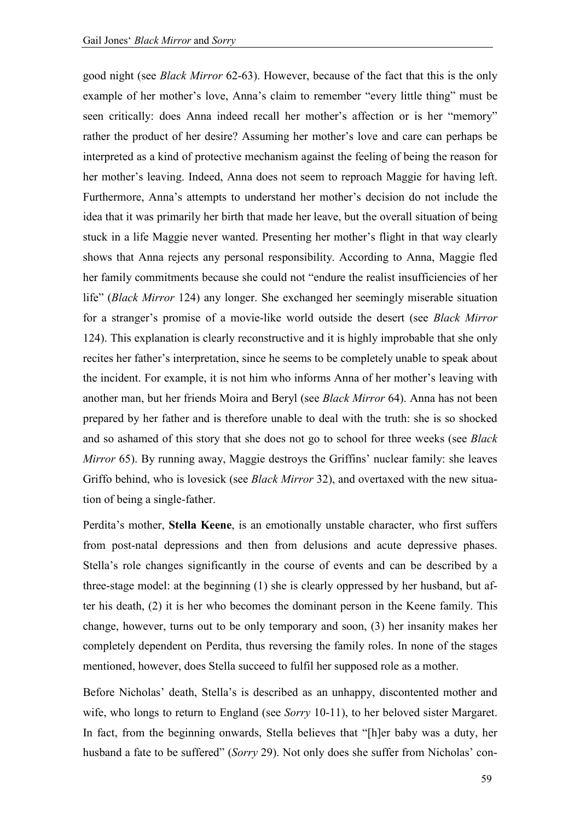good night (see *Black Mirror* 62-63). However, because of the fact that this is the only example of her mother's love, Anna's claim to remember "every little thing" must be seen critically: does Anna indeed recall her mother's affection or is her "memory" rather the product of her desire? Assuming her mother's love and care can perhaps be interpreted as a kind of protective mechanism against the feeling of being the reason for her mother's leaving. Indeed, Anna does not seem to reproach Maggie for having left. Furthermore, Anna's attempts to understand her mother's decision do not include the idea that it was primarily her birth that made her leave, but the overall situation of being stuck in a life Maggie never wanted. Presenting her mother's flight in that way clearly shows that Anna rejects any personal responsibility. According to Anna, Maggie fled her family commitments because she could not "endure the realist insufficiencies of her life" (*Black Mirror* 124) any longer. She exchanged her seemingly miserable situation for a stranger's promise of a movie-like world outside the desert (see *Black Mirror* 124). This explanation is clearly reconstructive and it is highly improbable that she only recites her father's interpretation, since he seems to be completely unable to speak about the incident. For example, it is not him who informs Anna of her mother's leaving with another man, but her friends Moira and Beryl (see *Black Mirror* 64). Anna has not been prepared by her father and is therefore unable to deal with the truth: she is so shocked and so ashamed of this story that she does not go to school for three weeks (see *Black Mirror* 65). By running away, Maggie destroys the Griffins' nuclear family: she leaves Griffo behind, who is lovesick (see *Black Mirror* 32), and overtaxed with the new situation of being a single-father.

Perdita's mother, **Stella Keene**, is an emotionally unstable character, who first suffers from post-natal depressions and then from delusions and acute depressive phases. Stella's role changes significantly in the course of events and can be described by a three-stage model: at the beginning (1) she is clearly oppressed by her husband, but after his death, (2) it is her who becomes the dominant person in the Keene family. This change, however, turns out to be only temporary and soon, (3) her insanity makes her completely dependent on Perdita, thus reversing the family roles. In none of the stages mentioned, however, does Stella succeed to fulfil her supposed role as a mother.

Before Nicholas' death, Stella's is described as an unhappy, discontented mother and wife, who longs to return to England (see *Sorry* 10-11), to her beloved sister Margaret. In fact, from the beginning onwards, Stella believes that "[h]er baby was a duty, her husband a fate to be suffered" (*Sorry* 29). Not only does she suffer from Nicholas' con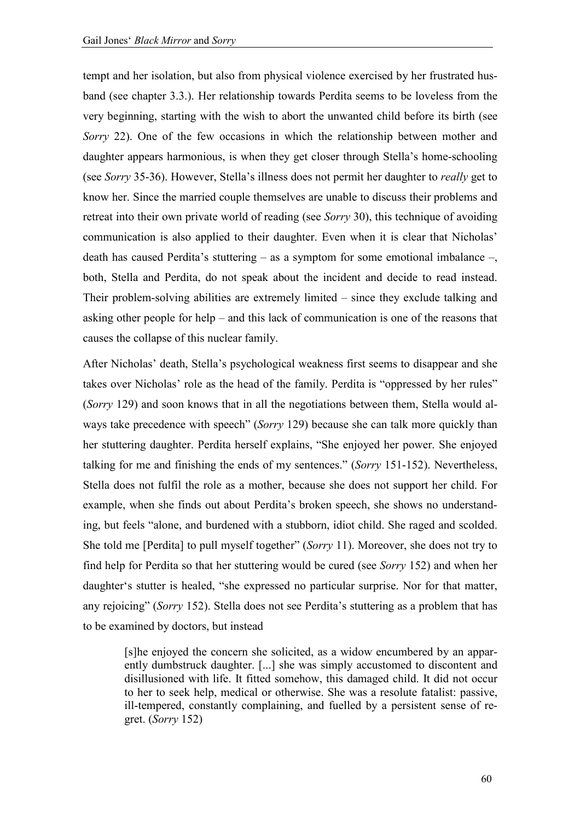tempt and her isolation, but also from physical violence exercised by her frustrated husband (see chapter 3.3.). Her relationship towards Perdita seems to be loveless from the very beginning, starting with the wish to abort the unwanted child before its birth (see *Sorry* 22). One of the few occasions in which the relationship between mother and daughter appears harmonious, is when they get closer through Stella's home-schooling (see *Sorry* 35-36). However, Stella's illness does not permit her daughter to *really* get to know her. Since the married couple themselves are unable to discuss their problems and retreat into their own private world of reading (see *Sorry* 30), this technique of avoiding communication is also applied to their daughter. Even when it is clear that Nicholas' death has caused Perdita's stuttering – as a symptom for some emotional imbalance –, both, Stella and Perdita, do not speak about the incident and decide to read instead. Their problem-solving abilities are extremely limited – since they exclude talking and asking other people for help – and this lack of communication is one of the reasons that causes the collapse of this nuclear family.

After Nicholas' death, Stella's psychological weakness first seems to disappear and she takes over Nicholas' role as the head of the family. Perdita is "oppressed by her rules" (*Sorry* 129) and soon knows that in all the negotiations between them, Stella would always take precedence with speech" (*Sorry* 129) because she can talk more quickly than her stuttering daughter. Perdita herself explains, "She enjoyed her power. She enjoyed talking for me and finishing the ends of my sentences." (*Sorry* 151-152). Nevertheless, Stella does not fulfil the role as a mother, because she does not support her child. For example, when she finds out about Perdita's broken speech, she shows no understanding, but feels "alone, and burdened with a stubborn, idiot child. She raged and scolded. She told me [Perdita] to pull myself together" (*Sorry* 11). Moreover, she does not try to find help for Perdita so that her stuttering would be cured (see *Sorry* 152) and when her daughter's stutter is healed, "she expressed no particular surprise. Nor for that matter, any rejoicing" (*Sorry* 152). Stella does not see Perdita's stuttering as a problem that has to be examined by doctors, but instead

[s]he enjoyed the concern she solicited, as a widow encumbered by an apparently dumbstruck daughter. [...] she was simply accustomed to discontent and disillusioned with life. It fitted somehow, this damaged child. It did not occur to her to seek help, medical or otherwise. She was a resolute fatalist: passive, ill-tempered, constantly complaining, and fuelled by a persistent sense of regret. (*Sorry* 152)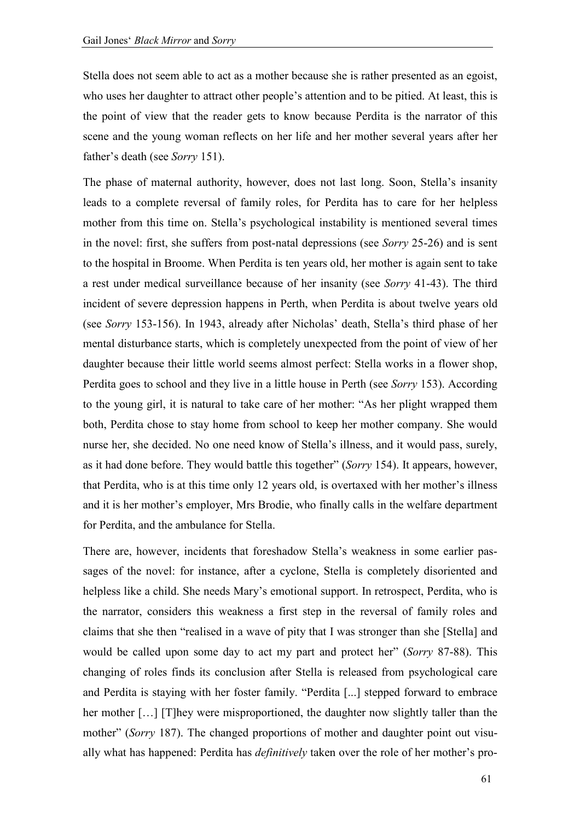Stella does not seem able to act as a mother because she is rather presented as an egoist, who uses her daughter to attract other people's attention and to be pitied. At least, this is the point of view that the reader gets to know because Perdita is the narrator of this scene and the young woman reflects on her life and her mother several years after her father's death (see *Sorry* 151).

The phase of maternal authority, however, does not last long. Soon, Stella's insanity leads to a complete reversal of family roles, for Perdita has to care for her helpless mother from this time on. Stella's psychological instability is mentioned several times in the novel: first, she suffers from post-natal depressions (see *Sorry* 25-26) and is sent to the hospital in Broome. When Perdita is ten years old, her mother is again sent to take a rest under medical surveillance because of her insanity (see *Sorry* 41-43). The third incident of severe depression happens in Perth, when Perdita is about twelve years old (see *Sorry* 153-156). In 1943, already after Nicholas' death, Stella's third phase of her mental disturbance starts, which is completely unexpected from the point of view of her daughter because their little world seems almost perfect: Stella works in a flower shop, Perdita goes to school and they live in a little house in Perth (see *Sorry* 153). According to the young girl, it is natural to take care of her mother: "As her plight wrapped them both, Perdita chose to stay home from school to keep her mother company. She would nurse her, she decided. No one need know of Stella's illness, and it would pass, surely, as it had done before. They would battle this together" (*Sorry* 154). It appears, however, that Perdita, who is at this time only 12 years old, is overtaxed with her mother's illness and it is her mother's employer, Mrs Brodie, who finally calls in the welfare department for Perdita, and the ambulance for Stella.

There are, however, incidents that foreshadow Stella's weakness in some earlier passages of the novel: for instance, after a cyclone, Stella is completely disoriented and helpless like a child. She needs Mary's emotional support. In retrospect, Perdita, who is the narrator, considers this weakness a first step in the reversal of family roles and claims that she then "realised in a wave of pity that I was stronger than she [Stella] and would be called upon some day to act my part and protect her" (*Sorry* 87-88). This changing of roles finds its conclusion after Stella is released from psychological care and Perdita is staying with her foster family. "Perdita [...] stepped forward to embrace her mother […] [T]hey were misproportioned, the daughter now slightly taller than the mother" (*Sorry* 187). The changed proportions of mother and daughter point out visually what has happened: Perdita has *definitively* taken over the role of her mother's pro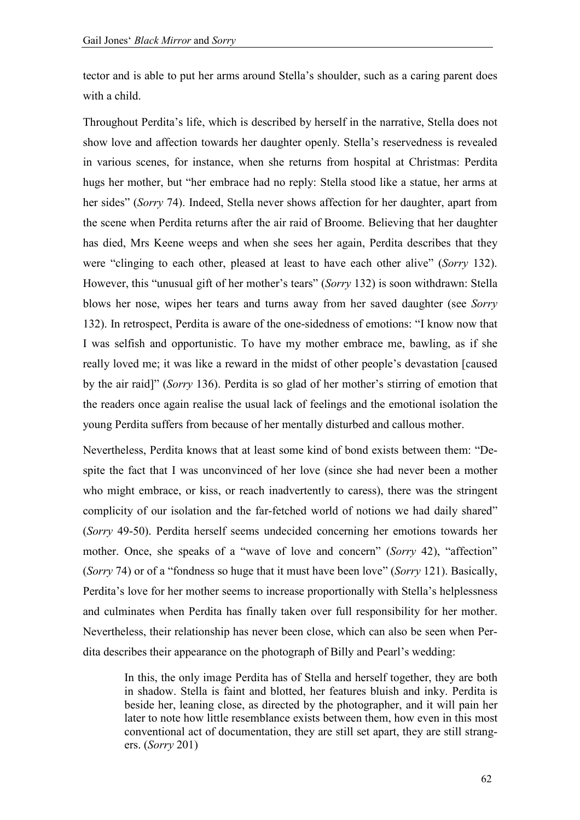tector and is able to put her arms around Stella's shoulder, such as a caring parent does with a child.

Throughout Perdita's life, which is described by herself in the narrative, Stella does not show love and affection towards her daughter openly. Stella's reservedness is revealed in various scenes, for instance, when she returns from hospital at Christmas: Perdita hugs her mother, but "her embrace had no reply: Stella stood like a statue, her arms at her sides" (*Sorry* 74). Indeed, Stella never shows affection for her daughter, apart from the scene when Perdita returns after the air raid of Broome. Believing that her daughter has died, Mrs Keene weeps and when she sees her again, Perdita describes that they were "clinging to each other, pleased at least to have each other alive" (*Sorry* 132). However, this "unusual gift of her mother's tears" (*Sorry* 132) is soon withdrawn: Stella blows her nose, wipes her tears and turns away from her saved daughter (see *Sorry* 132). In retrospect, Perdita is aware of the one-sidedness of emotions: "I know now that I was selfish and opportunistic. To have my mother embrace me, bawling, as if she really loved me; it was like a reward in the midst of other people's devastation [caused by the air raid]" (*Sorry* 136). Perdita is so glad of her mother's stirring of emotion that the readers once again realise the usual lack of feelings and the emotional isolation the young Perdita suffers from because of her mentally disturbed and callous mother.

Nevertheless, Perdita knows that at least some kind of bond exists between them: "Despite the fact that I was unconvinced of her love (since she had never been a mother who might embrace, or kiss, or reach inadvertently to caress), there was the stringent complicity of our isolation and the far-fetched world of notions we had daily shared" (*Sorry* 49-50). Perdita herself seems undecided concerning her emotions towards her mother. Once, she speaks of a "wave of love and concern" (*Sorry* 42), "affection" (*Sorry* 74) or of a "fondness so huge that it must have been love" (*Sorry* 121). Basically, Perdita's love for her mother seems to increase proportionally with Stella's helplessness and culminates when Perdita has finally taken over full responsibility for her mother. Nevertheless, their relationship has never been close, which can also be seen when Perdita describes their appearance on the photograph of Billy and Pearl's wedding:

In this, the only image Perdita has of Stella and herself together, they are both in shadow. Stella is faint and blotted, her features bluish and inky. Perdita is beside her, leaning close, as directed by the photographer, and it will pain her later to note how little resemblance exists between them, how even in this most conventional act of documentation, they are still set apart, they are still strangers. (*Sorry* 201)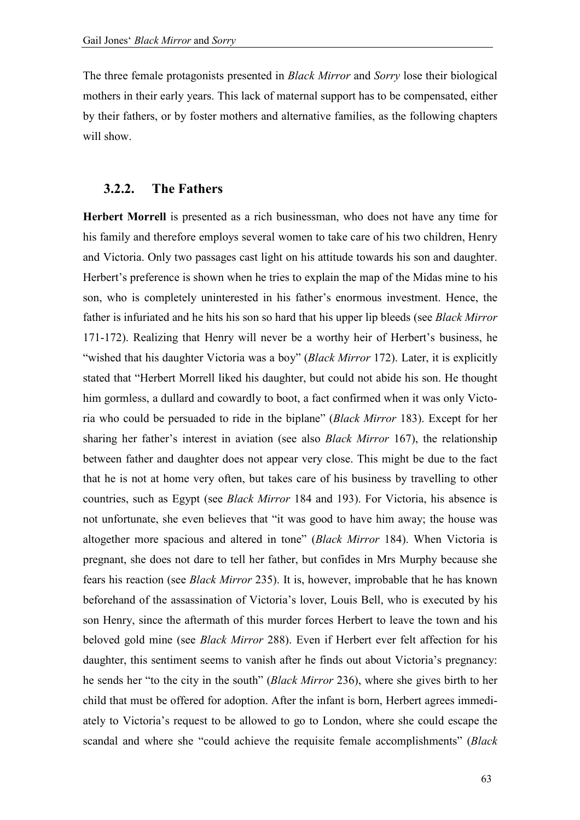The three female protagonists presented in *Black Mirror* and *Sorry* lose their biological mothers in their early years. This lack of maternal support has to be compensated, either by their fathers, or by foster mothers and alternative families, as the following chapters will show.

### **3.2.2. The Fathers**

**Herbert Morrell** is presented as a rich businessman, who does not have any time for his family and therefore employs several women to take care of his two children, Henry and Victoria. Only two passages cast light on his attitude towards his son and daughter. Herbert's preference is shown when he tries to explain the map of the Midas mine to his son, who is completely uninterested in his father's enormous investment. Hence, the father is infuriated and he hits his son so hard that his upper lip bleeds (see *Black Mirror* 171-172). Realizing that Henry will never be a worthy heir of Herbert's business, he "wished that his daughter Victoria was a boy" (*Black Mirror* 172). Later, it is explicitly stated that "Herbert Morrell liked his daughter, but could not abide his son. He thought him gormless, a dullard and cowardly to boot, a fact confirmed when it was only Victoria who could be persuaded to ride in the biplane" (*Black Mirror* 183). Except for her sharing her father's interest in aviation (see also *Black Mirror* 167), the relationship between father and daughter does not appear very close. This might be due to the fact that he is not at home very often, but takes care of his business by travelling to other countries, such as Egypt (see *Black Mirror* 184 and 193). For Victoria, his absence is not unfortunate, she even believes that "it was good to have him away; the house was altogether more spacious and altered in tone" (*Black Mirror* 184). When Victoria is pregnant, she does not dare to tell her father, but confides in Mrs Murphy because she fears his reaction (see *Black Mirror* 235). It is, however, improbable that he has known beforehand of the assassination of Victoria's lover, Louis Bell, who is executed by his son Henry, since the aftermath of this murder forces Herbert to leave the town and his beloved gold mine (see *Black Mirror* 288). Even if Herbert ever felt affection for his daughter, this sentiment seems to vanish after he finds out about Victoria's pregnancy: he sends her "to the city in the south" (*Black Mirror* 236), where she gives birth to her child that must be offered for adoption. After the infant is born, Herbert agrees immediately to Victoria's request to be allowed to go to London, where she could escape the scandal and where she "could achieve the requisite female accomplishments" (*Black*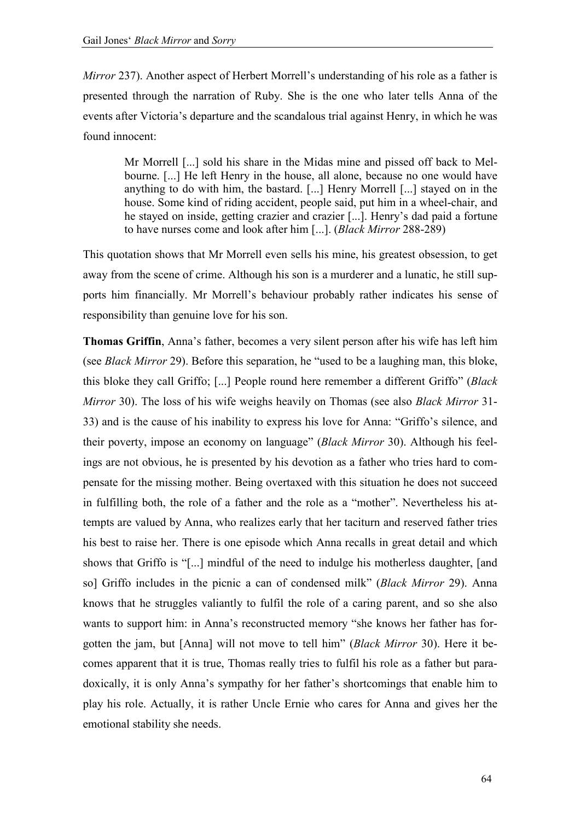*Mirror* 237). Another aspect of Herbert Morrell's understanding of his role as a father is presented through the narration of Ruby. She is the one who later tells Anna of the events after Victoria's departure and the scandalous trial against Henry, in which he was found innocent:

Mr Morrell [...] sold his share in the Midas mine and pissed off back to Melbourne. [...] He left Henry in the house, all alone, because no one would have anything to do with him, the bastard. [...] Henry Morrell [...] stayed on in the house. Some kind of riding accident, people said, put him in a wheel-chair, and he stayed on inside, getting crazier and crazier [...]. Henry's dad paid a fortune to have nurses come and look after him [...]. (*Black Mirror* 288-289)

This quotation shows that Mr Morrell even sells his mine, his greatest obsession, to get away from the scene of crime. Although his son is a murderer and a lunatic, he still supports him financially. Mr Morrell's behaviour probably rather indicates his sense of responsibility than genuine love for his son.

**Thomas Griffin**, Anna's father, becomes a very silent person after his wife has left him (see *Black Mirror* 29). Before this separation, he "used to be a laughing man, this bloke, this bloke they call Griffo; [...] People round here remember a different Griffo" (*Black Mirror* 30). The loss of his wife weighs heavily on Thomas (see also *Black Mirror* 31- 33) and is the cause of his inability to express his love for Anna: "Griffo's silence, and their poverty, impose an economy on language" (*Black Mirror* 30). Although his feelings are not obvious, he is presented by his devotion as a father who tries hard to compensate for the missing mother. Being overtaxed with this situation he does not succeed in fulfilling both, the role of a father and the role as a "mother". Nevertheless his attempts are valued by Anna, who realizes early that her taciturn and reserved father tries his best to raise her. There is one episode which Anna recalls in great detail and which shows that Griffo is "[...] mindful of the need to indulge his motherless daughter, [and so] Griffo includes in the picnic a can of condensed milk" (*Black Mirror* 29). Anna knows that he struggles valiantly to fulfil the role of a caring parent, and so she also wants to support him: in Anna's reconstructed memory "she knows her father has forgotten the jam, but [Anna] will not move to tell him" (*Black Mirror* 30). Here it becomes apparent that it is true, Thomas really tries to fulfil his role as a father but paradoxically, it is only Anna's sympathy for her father's shortcomings that enable him to play his role. Actually, it is rather Uncle Ernie who cares for Anna and gives her the emotional stability she needs.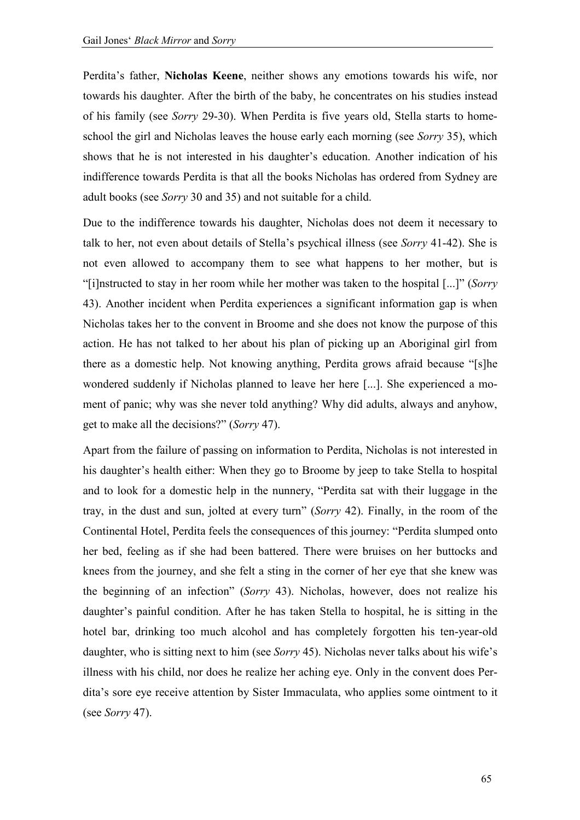Perdita's father, Nicholas Keene, neither shows any emotions towards his wife, nor towards his daughter. After the birth of the baby, he concentrates on his studies instead of his family (see *Sorry* 29-30). When Perdita is five years old, Stella starts to homeschool the girl and Nicholas leaves the house early each morning (see *Sorry* 35), which shows that he is not interested in his daughter's education. Another indication of his indifference towards Perdita is that all the books Nicholas has ordered from Sydney are adult books (see *Sorry* 30 and 35) and not suitable for a child.

Due to the indifference towards his daughter, Nicholas does not deem it necessary to talk to her, not even about details of Stella's psychical illness (see *Sorry* 41-42). She is not even allowed to accompany them to see what happens to her mother, but is "[i]nstructed to stay in her room while her mother was taken to the hospital [...]" (*Sorry* 43). Another incident when Perdita experiences a significant information gap is when Nicholas takes her to the convent in Broome and she does not know the purpose of this action. He has not talked to her about his plan of picking up an Aboriginal girl from there as a domestic help. Not knowing anything, Perdita grows afraid because "[s]he wondered suddenly if Nicholas planned to leave her here [...]. She experienced a moment of panic; why was she never told anything? Why did adults, always and anyhow, get to make all the decisions?" (*Sorry* 47).

Apart from the failure of passing on information to Perdita, Nicholas is not interested in his daughter's health either: When they go to Broome by jeep to take Stella to hospital and to look for a domestic help in the nunnery, "Perdita sat with their luggage in the tray, in the dust and sun, jolted at every turn" (*Sorry* 42). Finally, in the room of the Continental Hotel, Perdita feels the consequences of this journey: "Perdita slumped onto her bed, feeling as if she had been battered. There were bruises on her buttocks and knees from the journey, and she felt a sting in the corner of her eye that she knew was the beginning of an infection" (*Sorry* 43). Nicholas, however, does not realize his daughter's painful condition. After he has taken Stella to hospital, he is sitting in the hotel bar, drinking too much alcohol and has completely forgotten his ten-year-old daughter, who is sitting next to him (see *Sorry* 45). Nicholas never talks about his wife's illness with his child, nor does he realize her aching eye. Only in the convent does Perdita's sore eye receive attention by Sister Immaculata, who applies some ointment to it (see *Sorry* 47).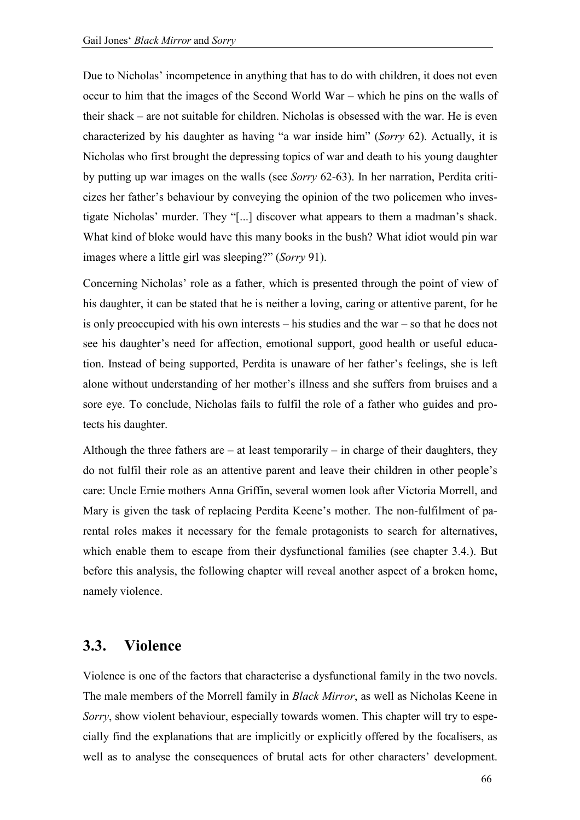Due to Nicholas' incompetence in anything that has to do with children, it does not even occur to him that the images of the Second World War – which he pins on the walls of their shack – are not suitable for children. Nicholas is obsessed with the war. He is even characterized by his daughter as having "a war inside him" (*Sorry* 62). Actually, it is Nicholas who first brought the depressing topics of war and death to his young daughter by putting up war images on the walls (see *Sorry* 62-63). In her narration, Perdita criticizes her father's behaviour by conveying the opinion of the two policemen who investigate Nicholas' murder. They "[...] discover what appears to them a madman's shack. What kind of bloke would have this many books in the bush? What idiot would pin war images where a little girl was sleeping?" (*Sorry* 91).

Concerning Nicholas' role as a father, which is presented through the point of view of his daughter, it can be stated that he is neither a loving, caring or attentive parent, for he is only preoccupied with his own interests – his studies and the war – so that he does not see his daughter's need for affection, emotional support, good health or useful education. Instead of being supported, Perdita is unaware of her father's feelings, she is left alone without understanding of her mother's illness and she suffers from bruises and a sore eye. To conclude, Nicholas fails to fulfil the role of a father who guides and protects his daughter.

Although the three fathers are  $-$  at least temporarily  $-$  in charge of their daughters, they do not fulfil their role as an attentive parent and leave their children in other people's care: Uncle Ernie mothers Anna Griffin, several women look after Victoria Morrell, and Mary is given the task of replacing Perdita Keene's mother. The non-fulfilment of parental roles makes it necessary for the female protagonists to search for alternatives, which enable them to escape from their dysfunctional families (see chapter 3.4.). But before this analysis, the following chapter will reveal another aspect of a broken home, namely violence.

# **3.3. Violence**

Violence is one of the factors that characterise a dysfunctional family in the two novels. The male members of the Morrell family in *Black Mirror*, as well as Nicholas Keene in *Sorry*, show violent behaviour, especially towards women. This chapter will try to especially find the explanations that are implicitly or explicitly offered by the focalisers, as well as to analyse the consequences of brutal acts for other characters' development.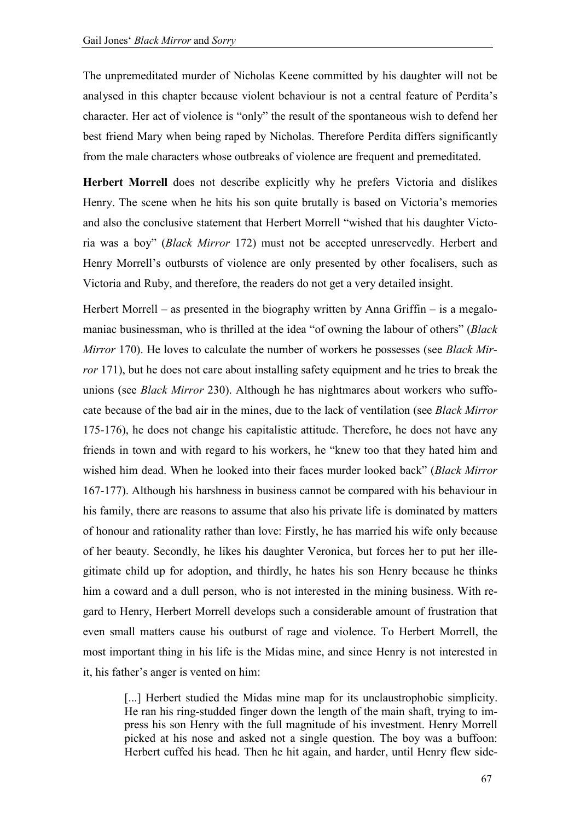The unpremeditated murder of Nicholas Keene committed by his daughter will not be analysed in this chapter because violent behaviour is not a central feature of Perdita's character. Her act of violence is "only" the result of the spontaneous wish to defend her best friend Mary when being raped by Nicholas. Therefore Perdita differs significantly from the male characters whose outbreaks of violence are frequent and premeditated.

**Herbert Morrell** does not describe explicitly why he prefers Victoria and dislikes Henry. The scene when he hits his son quite brutally is based on Victoria's memories and also the conclusive statement that Herbert Morrell "wished that his daughter Victoria was a boy" (*Black Mirror* 172) must not be accepted unreservedly. Herbert and Henry Morrell's outbursts of violence are only presented by other focalisers, such as Victoria and Ruby, and therefore, the readers do not get a very detailed insight.

Herbert Morrell – as presented in the biography written by Anna Griffin – is a megalomaniac businessman, who is thrilled at the idea "of owning the labour of others" (*Black Mirror* 170). He loves to calculate the number of workers he possesses (see *Black Mirror* 171), but he does not care about installing safety equipment and he tries to break the unions (see *Black Mirror* 230). Although he has nightmares about workers who suffocate because of the bad air in the mines, due to the lack of ventilation (see *Black Mirror* 175-176), he does not change his capitalistic attitude. Therefore, he does not have any friends in town and with regard to his workers, he "knew too that they hated him and wished him dead. When he looked into their faces murder looked back" (*Black Mirror* 167-177). Although his harshness in business cannot be compared with his behaviour in his family, there are reasons to assume that also his private life is dominated by matters of honour and rationality rather than love: Firstly, he has married his wife only because of her beauty. Secondly, he likes his daughter Veronica, but forces her to put her illegitimate child up for adoption, and thirdly, he hates his son Henry because he thinks him a coward and a dull person, who is not interested in the mining business. With regard to Henry, Herbert Morrell develops such a considerable amount of frustration that even small matters cause his outburst of rage and violence. To Herbert Morrell, the most important thing in his life is the Midas mine, and since Henry is not interested in it, his father's anger is vented on him:

[...] Herbert studied the Midas mine map for its unclaustrophobic simplicity. He ran his ring-studded finger down the length of the main shaft, trying to impress his son Henry with the full magnitude of his investment. Henry Morrell picked at his nose and asked not a single question. The boy was a buffoon: Herbert cuffed his head. Then he hit again, and harder, until Henry flew side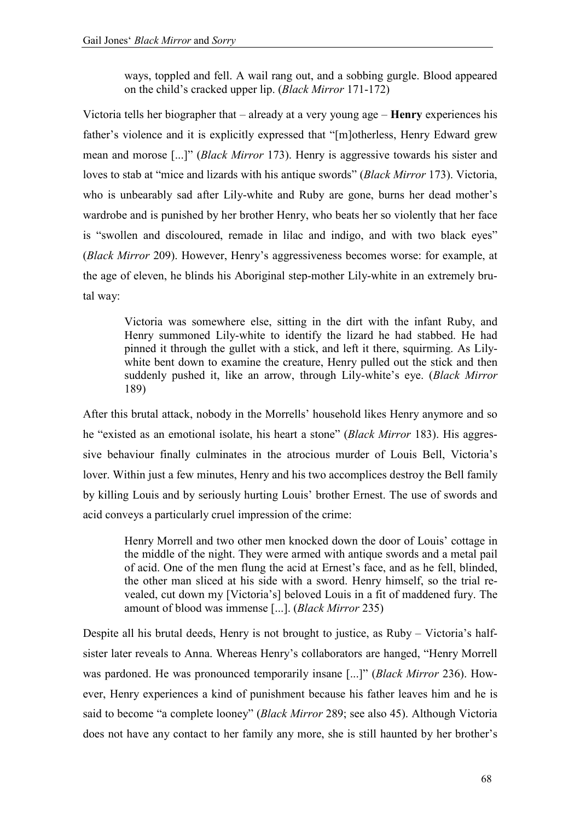ways, toppled and fell. A wail rang out, and a sobbing gurgle. Blood appeared on the child's cracked upper lip. (*Black Mirror* 171-172)

Victoria tells her biographer that – already at a very young age – **Henry** experiences his father's violence and it is explicitly expressed that "[m]otherless, Henry Edward grew mean and morose [...]" (*Black Mirror* 173). Henry is aggressive towards his sister and loves to stab at "mice and lizards with his antique swords" (*Black Mirror* 173). Victoria, who is unbearably sad after Lily-white and Ruby are gone, burns her dead mother's wardrobe and is punished by her brother Henry, who beats her so violently that her face is "swollen and discoloured, remade in lilac and indigo, and with two black eyes" (*Black Mirror* 209). However, Henry's aggressiveness becomes worse: for example, at the age of eleven, he blinds his Aboriginal step-mother Lily-white in an extremely brutal way:

Victoria was somewhere else, sitting in the dirt with the infant Ruby, and Henry summoned Lily-white to identify the lizard he had stabbed. He had pinned it through the gullet with a stick, and left it there, squirming. As Lilywhite bent down to examine the creature, Henry pulled out the stick and then suddenly pushed it, like an arrow, through Lily-white's eye. (*Black Mirror* 189)

After this brutal attack, nobody in the Morrells' household likes Henry anymore and so he "existed as an emotional isolate, his heart a stone" (*Black Mirror* 183). His aggressive behaviour finally culminates in the atrocious murder of Louis Bell, Victoria's lover. Within just a few minutes, Henry and his two accomplices destroy the Bell family by killing Louis and by seriously hurting Louis' brother Ernest. The use of swords and acid conveys a particularly cruel impression of the crime:

Henry Morrell and two other men knocked down the door of Louis' cottage in the middle of the night. They were armed with antique swords and a metal pail of acid. One of the men flung the acid at Ernest's face, and as he fell, blinded, the other man sliced at his side with a sword. Henry himself, so the trial revealed, cut down my [Victoria's] beloved Louis in a fit of maddened fury. The amount of blood was immense [...]. (*Black Mirror* 235)

Despite all his brutal deeds, Henry is not brought to justice, as Ruby – Victoria's halfsister later reveals to Anna. Whereas Henry's collaborators are hanged, "Henry Morrell was pardoned. He was pronounced temporarily insane [...]" (*Black Mirror* 236). However, Henry experiences a kind of punishment because his father leaves him and he is said to become "a complete looney" (*Black Mirror* 289; see also 45). Although Victoria does not have any contact to her family any more, she is still haunted by her brother's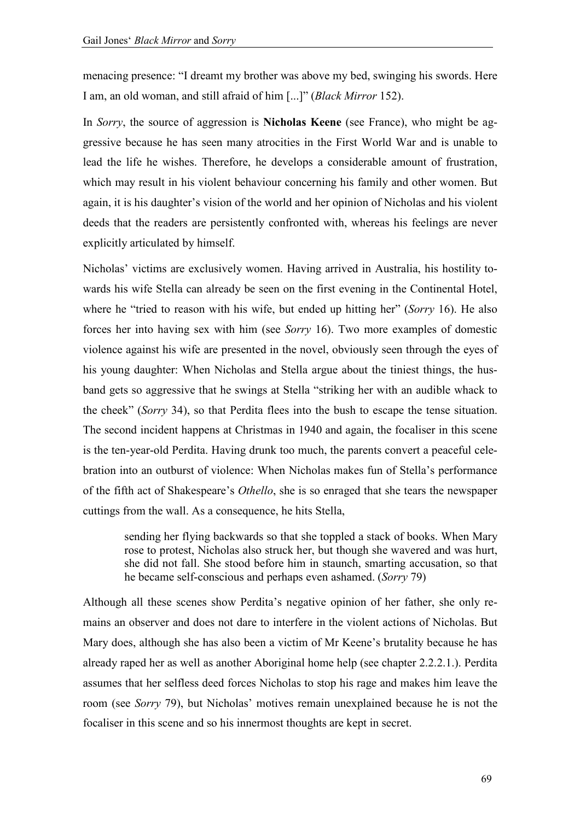menacing presence: "I dreamt my brother was above my bed, swinging his swords. Here I am, an old woman, and still afraid of him [...]" (*Black Mirror* 152).

In *Sorry*, the source of aggression is **Nicholas Keene** (see France), who might be aggressive because he has seen many atrocities in the First World War and is unable to lead the life he wishes. Therefore, he develops a considerable amount of frustration, which may result in his violent behaviour concerning his family and other women. But again, it is his daughter's vision of the world and her opinion of Nicholas and his violent deeds that the readers are persistently confronted with, whereas his feelings are never explicitly articulated by himself.

Nicholas' victims are exclusively women. Having arrived in Australia, his hostility towards his wife Stella can already be seen on the first evening in the Continental Hotel, where he "tried to reason with his wife, but ended up hitting her" (*Sorry* 16). He also forces her into having sex with him (see *Sorry* 16). Two more examples of domestic violence against his wife are presented in the novel, obviously seen through the eyes of his young daughter: When Nicholas and Stella argue about the tiniest things, the husband gets so aggressive that he swings at Stella "striking her with an audible whack to the cheek" (*Sorry* 34), so that Perdita flees into the bush to escape the tense situation. The second incident happens at Christmas in 1940 and again, the focaliser in this scene is the ten-year-old Perdita. Having drunk too much, the parents convert a peaceful celebration into an outburst of violence: When Nicholas makes fun of Stella's performance of the fifth act of Shakespeare's *Othello*, she is so enraged that she tears the newspaper cuttings from the wall. As a consequence, he hits Stella,

sending her flying backwards so that she toppled a stack of books. When Mary rose to protest, Nicholas also struck her, but though she wavered and was hurt, she did not fall. She stood before him in staunch, smarting accusation, so that he became self-conscious and perhaps even ashamed. (*Sorry* 79)

Although all these scenes show Perdita's negative opinion of her father, she only remains an observer and does not dare to interfere in the violent actions of Nicholas. But Mary does, although she has also been a victim of Mr Keene's brutality because he has already raped her as well as another Aboriginal home help (see chapter 2.2.2.1.). Perdita assumes that her selfless deed forces Nicholas to stop his rage and makes him leave the room (see *Sorry* 79), but Nicholas' motives remain unexplained because he is not the focaliser in this scene and so his innermost thoughts are kept in secret.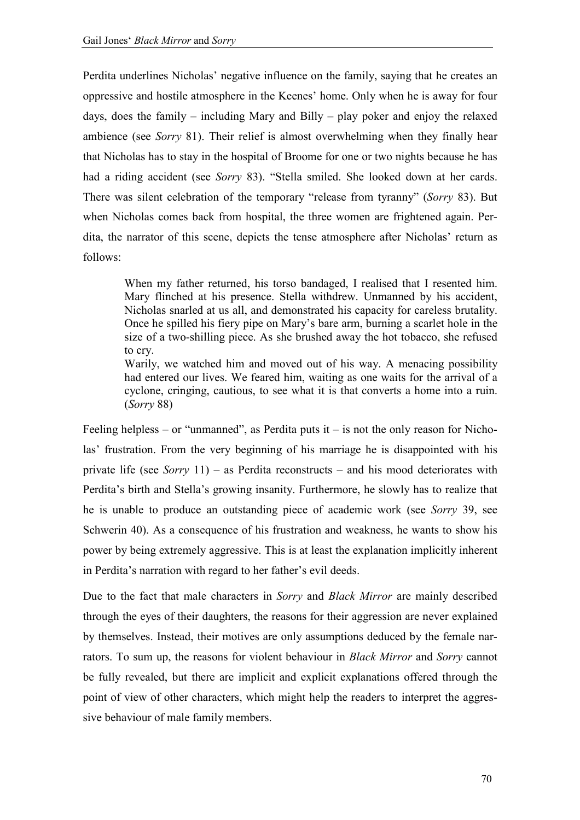Perdita underlines Nicholas' negative influence on the family, saying that he creates an oppressive and hostile atmosphere in the Keenes' home. Only when he is away for four days, does the family – including Mary and Billy – play poker and enjoy the relaxed ambience (see *Sorry* 81). Their relief is almost overwhelming when they finally hear that Nicholas has to stay in the hospital of Broome for one or two nights because he has had a riding accident (see *Sorry* 83). "Stella smiled. She looked down at her cards. There was silent celebration of the temporary "release from tyranny" (*Sorry* 83). But when Nicholas comes back from hospital, the three women are frightened again. Perdita, the narrator of this scene, depicts the tense atmosphere after Nicholas' return as follows:

When my father returned, his torso bandaged, I realised that I resented him. Mary flinched at his presence. Stella withdrew. Unmanned by his accident, Nicholas snarled at us all, and demonstrated his capacity for careless brutality. Once he spilled his fiery pipe on Mary's bare arm, burning a scarlet hole in the size of a two-shilling piece. As she brushed away the hot tobacco, she refused to cry.

Warily, we watched him and moved out of his way. A menacing possibility had entered our lives. We feared him, waiting as one waits for the arrival of a cyclone, cringing, cautious, to see what it is that converts a home into a ruin. (*Sorry* 88)

Feeling helpless – or "unmanned", as Perdita puts it – is not the only reason for Nicholas' frustration. From the very beginning of his marriage he is disappointed with his private life (see *Sorry* 11) – as Perdita reconstructs – and his mood deteriorates with Perdita's birth and Stella's growing insanity. Furthermore, he slowly has to realize that he is unable to produce an outstanding piece of academic work (see *Sorry* 39, see Schwerin 40). As a consequence of his frustration and weakness, he wants to show his power by being extremely aggressive. This is at least the explanation implicitly inherent in Perdita's narration with regard to her father's evil deeds.

Due to the fact that male characters in *Sorry* and *Black Mirror* are mainly described through the eyes of their daughters, the reasons for their aggression are never explained by themselves. Instead, their motives are only assumptions deduced by the female narrators. To sum up, the reasons for violent behaviour in *Black Mirror* and *Sorry* cannot be fully revealed, but there are implicit and explicit explanations offered through the point of view of other characters, which might help the readers to interpret the aggressive behaviour of male family members.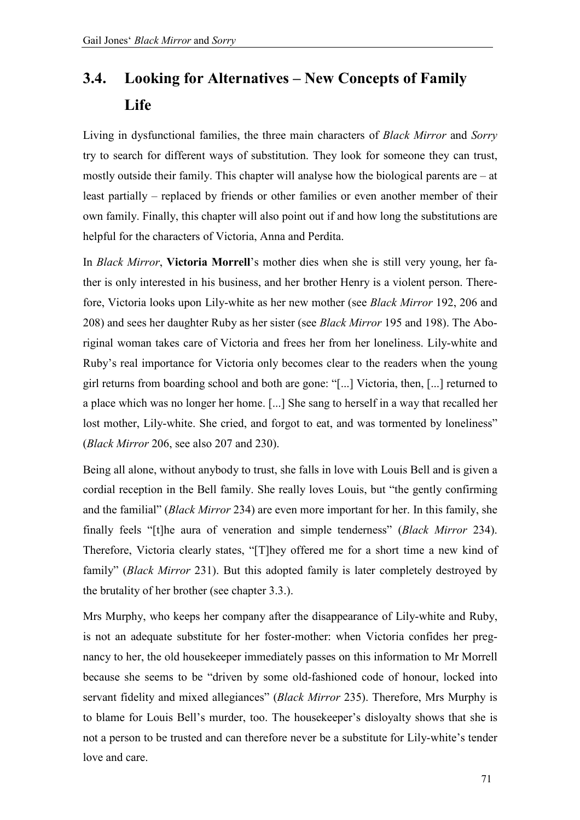# **3.4.** Looking for Alternatives – New Concepts of Family **Life**

Living in dysfunctional families, the three main characters of *Black Mirror* and *Sorry* try to search for different ways of substitution. They look for someone they can trust, mostly outside their family. This chapter will analyse how the biological parents are – at least partially – replaced by friends or other families or even another member of their own family. Finally, this chapter will also point out if and how long the substitutions are helpful for the characters of Victoria, Anna and Perdita.

In *Black Mirror*, **Victoria Morrell**'s mother dies when she is still very young, her father is only interested in his business, and her brother Henry is a violent person. Therefore, Victoria looks upon Lily-white as her new mother (see *Black Mirror* 192, 206 and 208) and sees her daughter Ruby as her sister (see *Black Mirror* 195 and 198). The Aboriginal woman takes care of Victoria and frees her from her loneliness. Lily-white and Ruby's real importance for Victoria only becomes clear to the readers when the young girl returns from boarding school and both are gone: "[...] Victoria, then, [...] returned to a place which was no longer her home. [...] She sang to herself in a way that recalled her lost mother, Lily-white. She cried, and forgot to eat, and was tormented by loneliness" (*Black Mirror* 206, see also 207 and 230).

Being all alone, without anybody to trust, she falls in love with Louis Bell and is given a cordial reception in the Bell family. She really loves Louis, but "the gently confirming and the familial" (*Black Mirror* 234) are even more important for her. In this family, she finally feels "[t]he aura of veneration and simple tenderness" (*Black Mirror* 234). Therefore, Victoria clearly states, "[T]hey offered me for a short time a new kind of family" (*Black Mirror* 231). But this adopted family is later completely destroyed by the brutality of her brother (see chapter 3.3.).

Mrs Murphy, who keeps her company after the disappearance of Lily-white and Ruby, is not an adequate substitute for her foster-mother: when Victoria confides her pregnancy to her, the old housekeeper immediately passes on this information to Mr Morrell because she seems to be "driven by some old-fashioned code of honour, locked into servant fidelity and mixed allegiances" (*Black Mirror* 235). Therefore, Mrs Murphy is to blame for Louis Bell's murder, too. The housekeeper's disloyalty shows that she is not a person to be trusted and can therefore never be a substitute for Lily-white's tender love and care.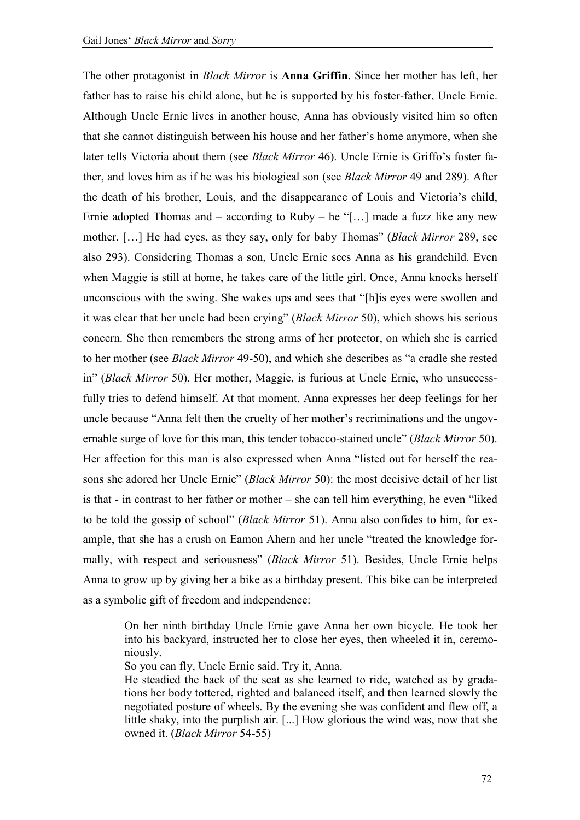The other protagonist in *Black Mirror* is **Anna Griffin**. Since her mother has left, her father has to raise his child alone, but he is supported by his foster-father, Uncle Ernie. Although Uncle Ernie lives in another house, Anna has obviously visited him so often that she cannot distinguish between his house and her father's home anymore, when she later tells Victoria about them (see *Black Mirror* 46). Uncle Ernie is Griffo's foster father, and loves him as if he was his biological son (see *Black Mirror* 49 and 289). After the death of his brother, Louis, and the disappearance of Louis and Victoria's child, Ernie adopted Thomas and  $-$  according to Ruby  $-$  he "[...] made a fuzz like any new mother. […] He had eyes, as they say, only for baby Thomas" (*Black Mirror* 289, see also 293). Considering Thomas a son, Uncle Ernie sees Anna as his grandchild. Even when Maggie is still at home, he takes care of the little girl. Once, Anna knocks herself unconscious with the swing. She wakes ups and sees that "[h]is eyes were swollen and it was clear that her uncle had been crying" (*Black Mirror* 50), which shows his serious concern. She then remembers the strong arms of her protector, on which she is carried to her mother (see *Black Mirror* 49-50), and which she describes as "a cradle she rested in" (*Black Mirror* 50). Her mother, Maggie, is furious at Uncle Ernie, who unsuccessfully tries to defend himself. At that moment, Anna expresses her deep feelings for her uncle because "Anna felt then the cruelty of her mother's recriminations and the ungovernable surge of love for this man, this tender tobacco-stained uncle" (*Black Mirror* 50). Her affection for this man is also expressed when Anna "listed out for herself the reasons she adored her Uncle Ernie" (*Black Mirror* 50): the most decisive detail of her list is that - in contrast to her father or mother – she can tell him everything, he even "liked to be told the gossip of school" (*Black Mirror* 51). Anna also confides to him, for example, that she has a crush on Eamon Ahern and her uncle "treated the knowledge formally, with respect and seriousness" (*Black Mirror* 51). Besides, Uncle Ernie helps Anna to grow up by giving her a bike as a birthday present. This bike can be interpreted as a symbolic gift of freedom and independence:

On her ninth birthday Uncle Ernie gave Anna her own bicycle. He took her into his backyard, instructed her to close her eyes, then wheeled it in, ceremoniously.

So you can fly, Uncle Ernie said. Try it, Anna.

He steadied the back of the seat as she learned to ride, watched as by gradations her body tottered, righted and balanced itself, and then learned slowly the negotiated posture of wheels. By the evening she was confident and flew off, a little shaky, into the purplish air. [...] How glorious the wind was, now that she owned it. (*Black Mirror* 54-55)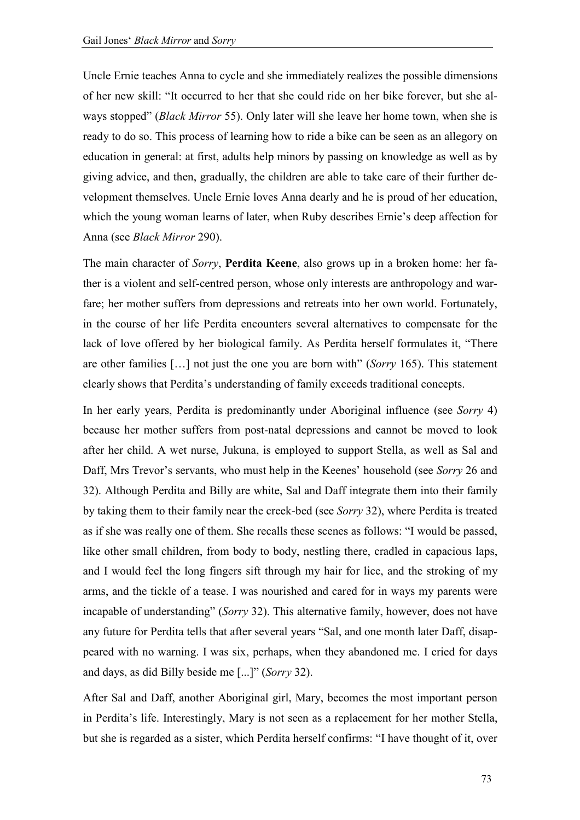Uncle Ernie teaches Anna to cycle and she immediately realizes the possible dimensions of her new skill: "It occurred to her that she could ride on her bike forever, but she always stopped" (*Black Mirror* 55). Only later will she leave her home town, when she is ready to do so. This process of learning how to ride a bike can be seen as an allegory on education in general: at first, adults help minors by passing on knowledge as well as by giving advice, and then, gradually, the children are able to take care of their further development themselves. Uncle Ernie loves Anna dearly and he is proud of her education, which the young woman learns of later, when Ruby describes Ernie's deep affection for Anna (see *Black Mirror* 290).

The main character of *Sorry*, **Perdita Keene**, also grows up in a broken home: her father is a violent and self-centred person, whose only interests are anthropology and warfare; her mother suffers from depressions and retreats into her own world. Fortunately, in the course of her life Perdita encounters several alternatives to compensate for the lack of love offered by her biological family. As Perdita herself formulates it, "There are other families […] not just the one you are born with" (*Sorry* 165). This statement clearly shows that Perdita's understanding of family exceeds traditional concepts.

In her early years, Perdita is predominantly under Aboriginal influence (see *Sorry* 4) because her mother suffers from post-natal depressions and cannot be moved to look after her child. A wet nurse, Jukuna, is employed to support Stella, as well as Sal and Daff, Mrs Trevor's servants, who must help in the Keenes' household (see *Sorry* 26 and 32). Although Perdita and Billy are white, Sal and Daff integrate them into their family by taking them to their family near the creek-bed (see *Sorry* 32), where Perdita is treated as if she was really one of them. She recalls these scenes as follows: "I would be passed, like other small children, from body to body, nestling there, cradled in capacious laps, and I would feel the long fingers sift through my hair for lice, and the stroking of my arms, and the tickle of a tease. I was nourished and cared for in ways my parents were incapable of understanding" (*Sorry* 32). This alternative family, however, does not have any future for Perdita tells that after several years "Sal, and one month later Daff, disappeared with no warning. I was six, perhaps, when they abandoned me. I cried for days and days, as did Billy beside me [...]" (*Sorry* 32).

After Sal and Daff, another Aboriginal girl, Mary, becomes the most important person in Perdita's life. Interestingly, Mary is not seen as a replacement for her mother Stella, but she is regarded as a sister, which Perdita herself confirms: "I have thought of it, over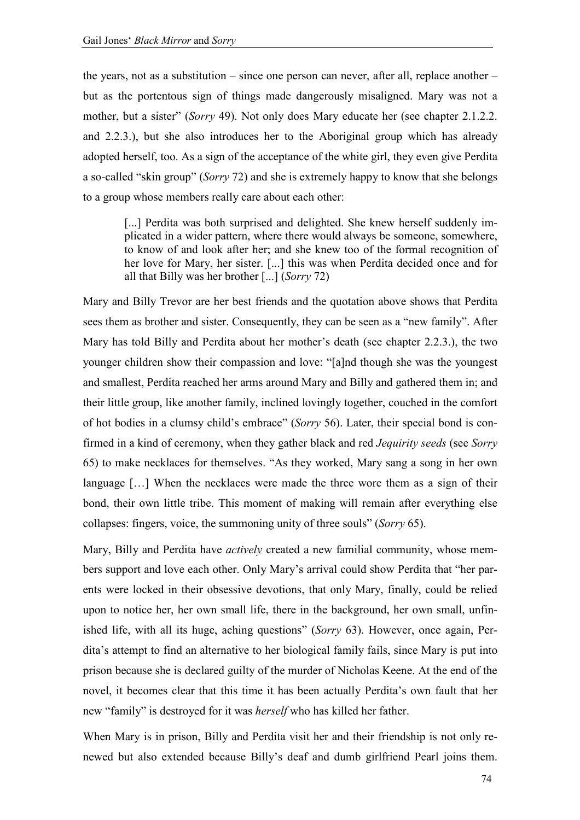the years, not as a substitution – since one person can never, after all, replace another – but as the portentous sign of things made dangerously misaligned. Mary was not a mother, but a sister" (*Sorry* 49). Not only does Mary educate her (see chapter 2.1.2.2. and 2.2.3.), but she also introduces her to the Aboriginal group which has already adopted herself, too. As a sign of the acceptance of the white girl, they even give Perdita a so-called "skin group" (*Sorry* 72) and she is extremely happy to know that she belongs to a group whose members really care about each other:

[...] Perdita was both surprised and delighted. She knew herself suddenly implicated in a wider pattern, where there would always be someone, somewhere, to know of and look after her; and she knew too of the formal recognition of her love for Mary, her sister. [...] this was when Perdita decided once and for all that Billy was her brother [...] (*Sorry* 72)

Mary and Billy Trevor are her best friends and the quotation above shows that Perdita sees them as brother and sister. Consequently, they can be seen as a "new family". After Mary has told Billy and Perdita about her mother's death (see chapter 2.2.3.), the two younger children show their compassion and love: "[a]nd though she was the youngest and smallest, Perdita reached her arms around Mary and Billy and gathered them in; and their little group, like another family, inclined lovingly together, couched in the comfort of hot bodies in a clumsy child's embrace" (*Sorry* 56). Later, their special bond is confirmed in a kind of ceremony, when they gather black and red *Jequirity seeds* (see *Sorry* 65) to make necklaces for themselves. "As they worked, Mary sang a song in her own language […] When the necklaces were made the three wore them as a sign of their bond, their own little tribe. This moment of making will remain after everything else collapses: fingers, voice, the summoning unity of three souls" (*Sorry* 65).

Mary, Billy and Perdita have *actively* created a new familial community, whose members support and love each other. Only Mary's arrival could show Perdita that "her parents were locked in their obsessive devotions, that only Mary, finally, could be relied upon to notice her, her own small life, there in the background, her own small, unfinished life, with all its huge, aching questions" (*Sorry* 63). However, once again, Perdita's attempt to find an alternative to her biological family fails, since Mary is put into prison because she is declared guilty of the murder of Nicholas Keene. At the end of the novel, it becomes clear that this time it has been actually Perdita's own fault that her new "family" is destroyed for it was *herself* who has killed her father.

When Mary is in prison, Billy and Perdita visit her and their friendship is not only renewed but also extended because Billy's deaf and dumb girlfriend Pearl joins them.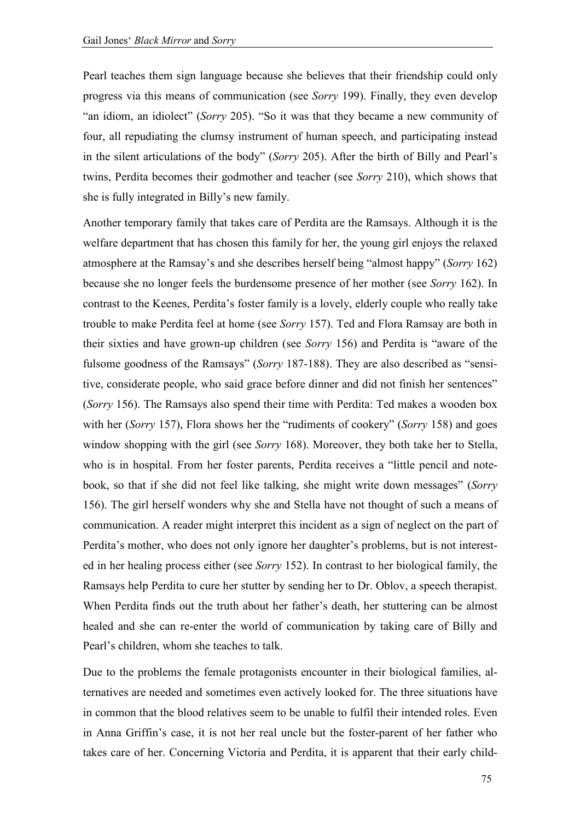Pearl teaches them sign language because she believes that their friendship could only progress via this means of communication (see *Sorry* 199). Finally, they even develop "an idiom, an idiolect" (*Sorry* 205). "So it was that they became a new community of four, all repudiating the clumsy instrument of human speech, and participating instead in the silent articulations of the body" (*Sorry* 205). After the birth of Billy and Pearl's twins, Perdita becomes their godmother and teacher (see *Sorry* 210), which shows that she is fully integrated in Billy's new family.

Another temporary family that takes care of Perdita are the Ramsays. Although it is the welfare department that has chosen this family for her, the young girl enjoys the relaxed atmosphere at the Ramsay's and she describes herself being "almost happy" (*Sorry* 162) because she no longer feels the burdensome presence of her mother (see *Sorry* 162). In contrast to the Keenes, Perdita's foster family is a lovely, elderly couple who really take trouble to make Perdita feel at home (see *Sorry* 157). Ted and Flora Ramsay are both in their sixties and have grown-up children (see *Sorry* 156) and Perdita is "aware of the fulsome goodness of the Ramsays" (*Sorry* 187-188). They are also described as "sensitive, considerate people, who said grace before dinner and did not finish her sentences" (*Sorry* 156). The Ramsays also spend their time with Perdita: Ted makes a wooden box with her (*Sorry* 157), Flora shows her the "rudiments of cookery" (*Sorry* 158) and goes window shopping with the girl (see *Sorry* 168). Moreover, they both take her to Stella, who is in hospital. From her foster parents, Perdita receives a "little pencil and notebook, so that if she did not feel like talking, she might write down messages" (*Sorry* 156). The girl herself wonders why she and Stella have not thought of such a means of communication. A reader might interpret this incident as a sign of neglect on the part of Perdita's mother, who does not only ignore her daughter's problems, but is not interested in her healing process either (see *Sorry* 152). In contrast to her biological family, the Ramsays help Perdita to cure her stutter by sending her to Dr. Oblov, a speech therapist. When Perdita finds out the truth about her father's death, her stuttering can be almost healed and she can re-enter the world of communication by taking care of Billy and Pearl's children, whom she teaches to talk.

Due to the problems the female protagonists encounter in their biological families, alternatives are needed and sometimes even actively looked for. The three situations have in common that the blood relatives seem to be unable to fulfil their intended roles. Even in Anna Griffin's case, it is not her real uncle but the foster-parent of her father who takes care of her. Concerning Victoria and Perdita, it is apparent that their early child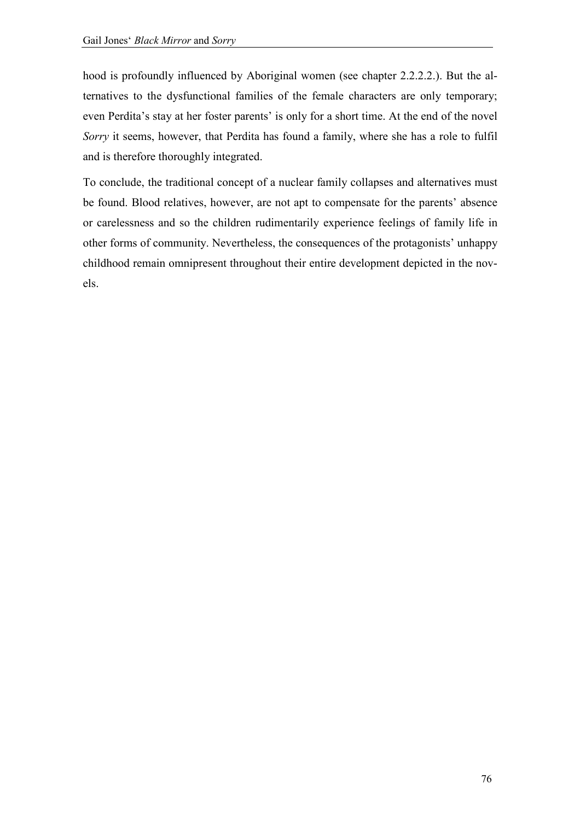hood is profoundly influenced by Aboriginal women (see chapter 2.2.2.2.). But the alternatives to the dysfunctional families of the female characters are only temporary; even Perdita's stay at her foster parents' is only for a short time. At the end of the novel *Sorry* it seems, however, that Perdita has found a family, where she has a role to fulfil and is therefore thoroughly integrated.

To conclude, the traditional concept of a nuclear family collapses and alternatives must be found. Blood relatives, however, are not apt to compensate for the parents' absence or carelessness and so the children rudimentarily experience feelings of family life in other forms of community. Nevertheless, the consequences of the protagonists' unhappy childhood remain omnipresent throughout their entire development depicted in the novels.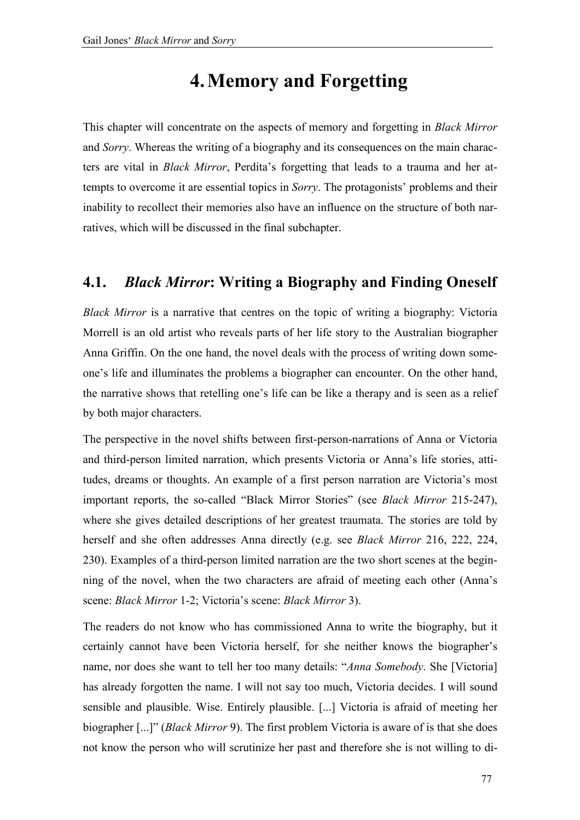## **4.Memory and Forgetting**

This chapter will concentrate on the aspects of memory and forgetting in *Black Mirror* and *Sorry*. Whereas the writing of a biography and its consequences on the main characters are vital in *Black Mirror*, Perdita's forgetting that leads to a trauma and her attempts to overcome it are essential topics in *Sorry*. The protagonists' problems and their inability to recollect their memories also have an influence on the structure of both narratives, which will be discussed in the final subchapter.

## **4.1.** *Black Mirror***: Writing a Biography and Finding Oneself**

*Black Mirror* is a narrative that centres on the topic of writing a biography: Victoria Morrell is an old artist who reveals parts of her life story to the Australian biographer Anna Griffin. On the one hand, the novel deals with the process of writing down someone's life and illuminates the problems a biographer can encounter. On the other hand, the narrative shows that retelling one's life can be like a therapy and is seen as a relief by both major characters.

The perspective in the novel shifts between first-person-narrations of Anna or Victoria and third-person limited narration, which presents Victoria or Anna's life stories, attitudes, dreams or thoughts. An example of a first person narration are Victoria's most important reports, the so-called "Black Mirrοr Stories" (see *Black Mirror* 215-247), where she gives detailed descriptions of her greatest traumata. The stories are told by herself and she often addresses Anna directly (e.g. see *Black Mirror* 216, 222, 224, 230). Examples of a third-person limited narration are the two short scenes at the beginning of the novel, when the two characters are afraid of meeting each other (Anna's scene: *Black Mirror* 1-2; Victoria's scene: *Black Mirror* 3).

The readers do not know who has commissioned Anna to write the biography, but it certainly cannot have been Victoria herself, for she neither knows the biographer's name, nor does she want to tell her too many details: "*Anna Somebody*. She [Victoria] has already forgotten the name. I will not say too much, Victoria decides. I will sound sensible and plausible. Wise. Entirely plausible. [...] Victoria is afraid of meeting her biographer [...]" (*Black Mirror* 9). The first problem Victoria is aware of is that she does not know the person who will scrutinize her past and therefore she is not willing to di-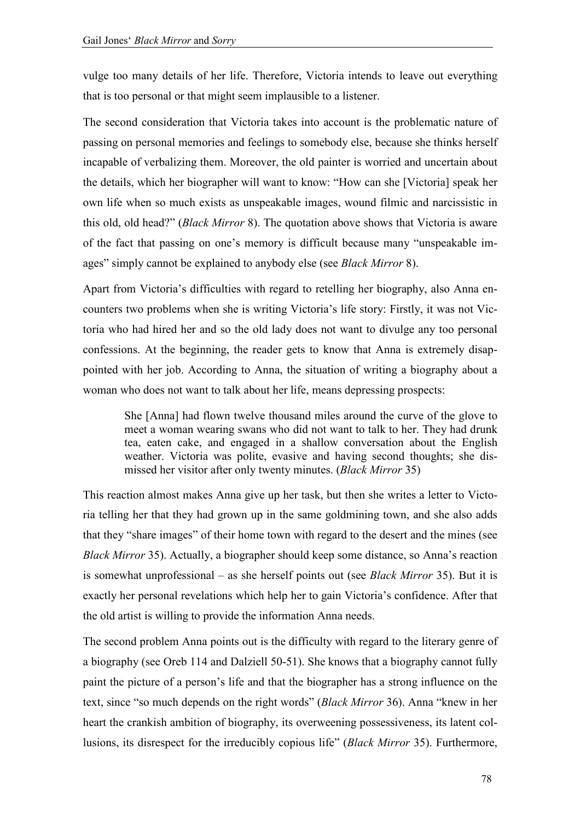vulge too many details of her life. Therefore, Victoria intends to leave out everything that is too personal or that might seem implausible to a listener.

The second consideration that Victoria takes into account is the problematic nature of passing on personal memories and feelings to somebody else, because she thinks herself incapable of verbalizing them. Moreover, the old painter is worried and uncertain about the details, which her biographer will want to know: "How can she [Victoria] speak her own life when so much exists as unspeakable images, wound filmic and narcissistic in this old, old head?" (*Black Mirror* 8). The quotation above shows that Victoria is aware of the fact that passing on one's memory is difficult because many "unspeakable images" simply cannot be explained to anybody else (see *Black Mirror* 8).

Apart from Victoria's difficulties with regard to retelling her biography, also Anna encounters two problems when she is writing Victoria's life story: Firstly, it was not Victoria who had hired her and so the old lady does not want to divulge any too personal confessions. At the beginning, the reader gets to know that Anna is extremely disappointed with her job. According to Anna, the situation of writing a biography about a woman who does not want to talk about her life, means depressing prospects:

She [Anna] had flown twelve thousand miles around the curve of the glove to meet a woman wearing swans who did not want to talk to her. They had drunk tea, eaten cake, and engaged in a shallow conversation about the English weather. Victoria was polite, evasive and having second thoughts; she dismissed her visitor after only twenty minutes. (*Black Mirror* 35)

This reaction almost makes Anna give up her task, but then she writes a letter to Victoria telling her that they had grown up in the same goldmining town, and she also adds that they "share images" of their home town with regard to the desert and the mines (see *Black Mirror* 35). Actually, a biographer should keep some distance, so Anna's reaction is somewhat unprofessional – as she herself points out (see *Black Mirror* 35). But it is exactly her personal revelations which help her to gain Victoria's confidence. After that the old artist is willing to provide the information Anna needs.

The second problem Anna points out is the difficulty with regard to the literary genre of a biography (see Oreb 114 and Dalziell 50-51). She knows that a biography cannot fully paint the picture of a person's life and that the biographer has a strong influence on the text, since "so much depends on the right words" (*Black Mirror* 36). Anna "knew in her heart the crankish ambition of biography, its overweening possessiveness, its latent collusions, its disrespect for the irreducibly copious life" (*Black Mirror* 35). Furthermore,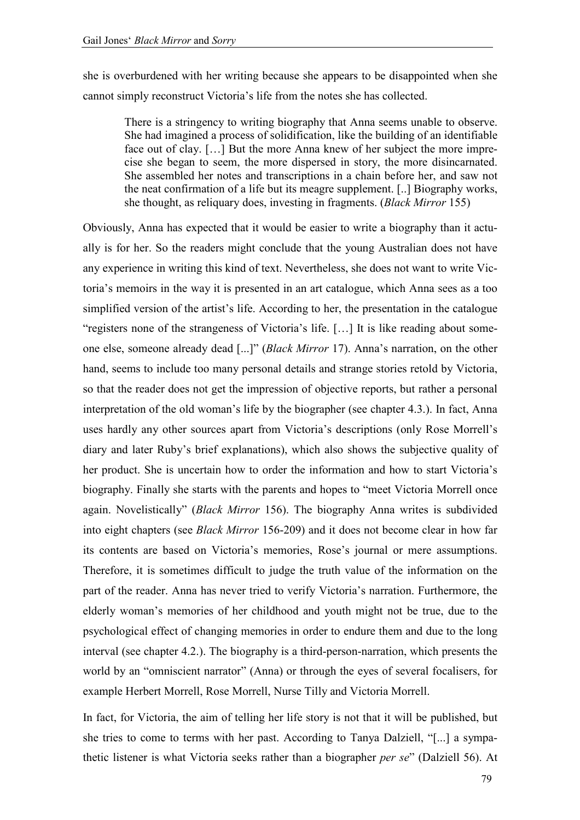she is overburdened with her writing because she appears to be disappointed when she cannot simply reconstruct Victoria's life from the notes she has collected.

There is a stringency to writing biography that Anna seems unable to observe. She had imagined a process of solidification, like the building of an identifiable face out of clay. […] But the more Anna knew of her subject the more imprecise she began to seem, the more dispersed in story, the more disincarnated. She assembled her notes and transcriptions in a chain before her, and saw not the neat confirmation of a life but its meagre supplement. [..] Biography works, she thought, as reliquary does, investing in fragments. (*Black Mirror* 155)

Obviously, Anna has expected that it would be easier to write a biography than it actually is for her. So the readers might conclude that the young Australian does not have any experience in writing this kind of text. Nevertheless, she does not want to write Victoria's memoirs in the way it is presented in an art catalogue, which Anna sees as a too simplified version of the artist's life. According to her, the presentation in the catalogue "registers none of the strangeness of Victoria's life. […] It is like reading about someone else, someone already dead [...]" (*Black Mirror* 17). Anna's narration, on the other hand, seems to include too many personal details and strange stories retold by Victoria, so that the reader does not get the impression of objective reports, but rather a personal interpretation of the old woman's life by the biographer (see chapter 4.3.). In fact, Anna uses hardly any other sources apart from Victoria's descriptions (only Rose Morrell's diary and later Ruby's brief explanations), which also shows the subjective quality of her product. She is uncertain how to order the information and how to start Victoria's biography. Finally she starts with the parents and hopes to "meet Victoria Morrell once again. Novelistically" (*Black Mirror* 156). The biography Anna writes is subdivided into eight chapters (see *Black Mirror* 156-209) and it does not become clear in how far its contents are based on Victoria's memories, Rose's journal or mere assumptions. Therefore, it is sometimes difficult to judge the truth value of the information on the part of the reader. Anna has never tried to verify Victoria's narration. Furthermore, the elderly woman's memories of her childhood and youth might not be true, due to the psychological effect of changing memories in order to endure them and due to the long interval (see chapter 4.2.). The biography is a third-person-narration, which presents the world by an "omniscient narrator" (Anna) or through the eyes of several focalisers, for example Herbert Morrell, Rose Morrell, Nurse Tilly and Victoria Morrell.

In fact, for Victoria, the aim of telling her life story is not that it will be published, but she tries to come to terms with her past. According to Tanya Dalziell, "[...] a sympathetic listener is what Victoria seeks rather than a biographer *per se*" (Dalziell 56). At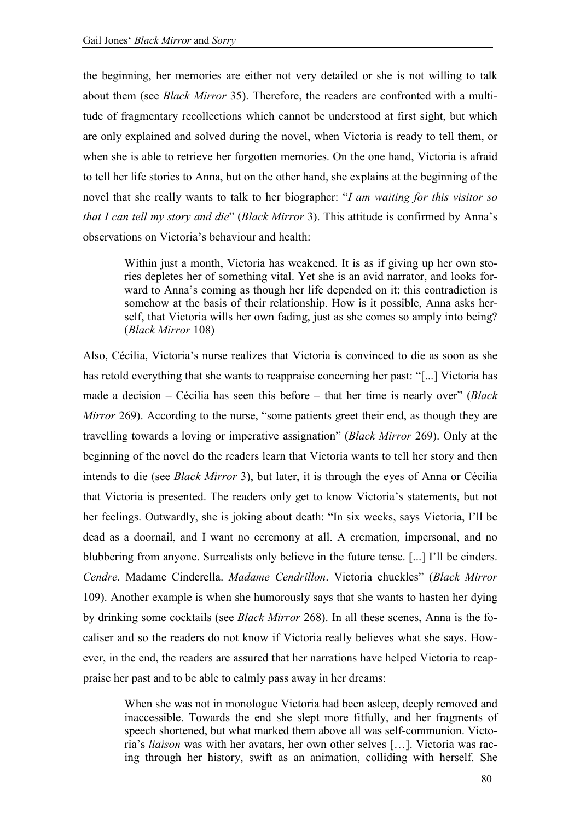the beginning, her memories are either not very detailed or she is not willing to talk about them (see *Black Mirror* 35). Therefore, the readers are confronted with a multitude of fragmentary recollections which cannot be understood at first sight, but which are only explained and solved during the novel, when Victoria is ready to tell them, or when she is able to retrieve her forgotten memories. On the one hand, Victoria is afraid to tell her life stories to Anna, but on the other hand, she explains at the beginning of the novel that she really wants to talk to her biographer: "*I am waiting for this visitor so that I can tell my story and die*" (*Black Mirror* 3). This attitude is confirmed by Anna's observations on Victoria's behaviour and health:

Within just a month. Victoria has weakened. It is as if giving up her own stories depletes her of something vital. Yet she is an avid narrator, and looks forward to Anna's coming as though her life depended on it; this contradiction is somehow at the basis of their relationship. How is it possible, Anna asks herself, that Victoria wills her own fading, just as she comes so amply into being? (*Black Mirror* 108)

Also, Cécilia, Victoria's nurse realizes that Victoria is convinced to die as soon as she has retold everything that she wants to reappraise concerning her past: "[...] Victoria has made a decision – Cécilia has seen this before – that her time is nearly over" (*Black Mirror* 269). According to the nurse, "some patients greet their end, as though they are travelling towards a loving or imperative assignation" (*Black Mirror* 269). Only at the beginning of the novel do the readers learn that Victoria wants to tell her story and then intends to die (see *Black Mirror* 3), but later, it is through the eyes of Anna or Cécilia that Victoria is presented. The readers only get to know Victoria's statements, but not her feelings. Outwardly, she is joking about death: "In six weeks, says Victoria, I'll be dead as a doornail, and I want no ceremony at all. A cremation, impersonal, and no blubbering from anyone. Surrealists only believe in the future tense. [...] I'll be cinders. *Cendre*. Madame Cinderella. *Madame Cendrillon*. Victoria chuckles" (*Black Mirror* 109). Another example is when she humorously says that she wants to hasten her dying by drinking some cocktails (see *Black Mirror* 268). In all these scenes, Anna is the focaliser and so the readers do not know if Victoria really believes what she says. However, in the end, the readers are assured that her narrations have helped Victoria to reappraise her past and to be able to calmly pass away in her dreams:

When she was not in monologue Victoria had been asleep, deeply removed and inaccessible. Towards the end she slept more fitfully, and her fragments of speech shortened, but what marked them above all was self-communion. Victoria's *liaison* was with her avatars, her own other selves […]. Victoria was racing through her history, swift as an animation, colliding with herself. She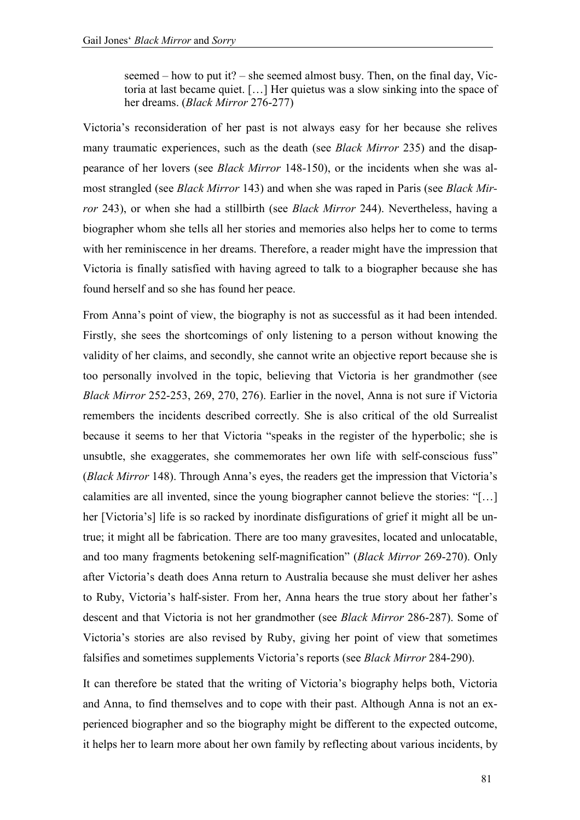seemed – how to put it? – she seemed almost busy. Then, on the final day, Victoria at last became quiet. […] Her quietus was a slow sinking into the space of her dreams. (*Black Mirror* 276-277)

Victoria's reconsideration of her past is not always easy for her because she relives many traumatic experiences, such as the death (see *Black Mirror* 235) and the disappearance of her lovers (see *Black Mirror* 148-150), or the incidents when she was almost strangled (see *Black Mirror* 143) and when she was raped in Paris (see *Black Mirror* 243), or when she had a stillbirth (see *Black Mirror* 244). Nevertheless, having a biographer whom she tells all her stories and memories also helps her to come to terms with her reminiscence in her dreams. Therefore, a reader might have the impression that Victoria is finally satisfied with having agreed to talk to a biographer because she has found herself and so she has found her peace.

From Anna's point of view, the biography is not as successful as it had been intended. Firstly, she sees the shortcomings of only listening to a person without knowing the validity of her claims, and secondly, she cannot write an objective report because she is too personally involved in the topic, believing that Victoria is her grandmother (see *Black Mirror* 252-253, 269, 270, 276). Earlier in the novel, Anna is not sure if Victoria remembers the incidents described correctly. She is also critical of the old Surrealist because it seems to her that Victoria "speaks in the register of the hyperbolic; she is unsubtle, she exaggerates, she commemorates her own life with self-conscious fuss" (*Black Mirror* 148). Through Anna's eyes, the readers get the impression that Victoria's calamities are all invented, since the young biographer cannot believe the stories: "[…] her [Victoria's] life is so racked by inordinate disfigurations of grief it might all be untrue; it might all be fabrication. There are too many gravesites, located and unlocatable, and too many fragments betokening self-magnification" (*Black Mirror* 269-270). Only after Victoria's death does Anna return to Australia because she must deliver her ashes to Ruby, Victoria's half-sister. From her, Anna hears the true story about her father's descent and that Victoria is not her grandmother (see *Black Mirror* 286-287). Some of Victoria's stories are also revised by Ruby, giving her point of view that sometimes falsifies and sometimes supplements Victoria's reports (see *Black Mirror* 284-290).

It can therefore be stated that the writing of Victoria's biography helps both, Victoria and Anna, to find themselves and to cope with their past. Although Anna is not an experienced biographer and so the biography might be different to the expected outcome, it helps her to learn more about her own family by reflecting about various incidents, by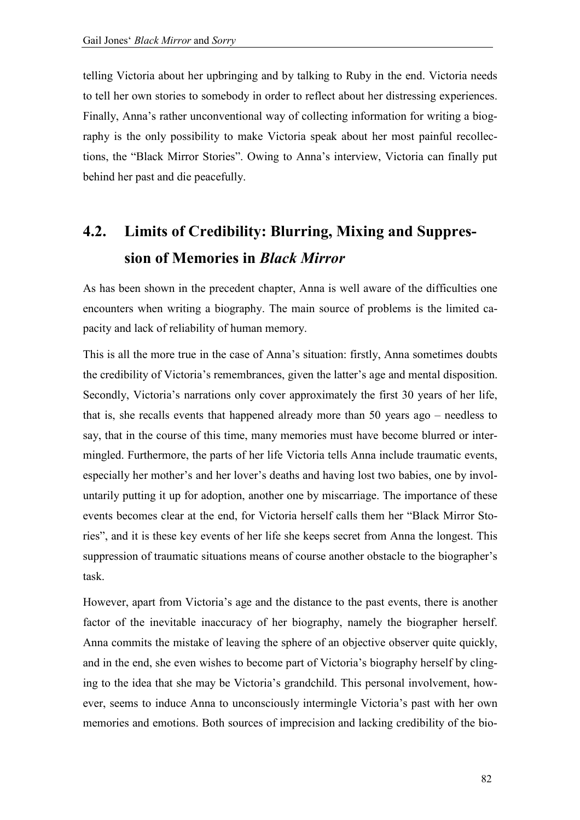telling Victoria about her upbringing and by talking to Ruby in the end. Victoria needs to tell her own stories to somebody in order to reflect about her distressing experiences. Finally, Anna's rather unconventional way of collecting information for writing a biography is the only possibility to make Victoria speak about her most painful recollections, the "Black Mirrοr Stories". Owing to Anna's interview, Victoria can finally put behind her past and die peacefully.

## **4.2. Limits of Credibility: Blurring, Mixing and Suppression of Memories in** *Black Mirror*

As has been shown in the precedent chapter, Anna is well aware of the difficulties one encounters when writing a biography. The main source of problems is the limited capacity and lack of reliability of human memory.

This is all the more true in the case of Anna's situation: firstly, Anna sometimes doubts the credibility of Victoria's remembrances, given the latter's age and mental disposition. Secondly, Victoria's narrations only cover approximately the first 30 years of her life, that is, she recalls events that happened already more than 50 years ago – needless to say, that in the course of this time, many memories must have become blurred or intermingled. Furthermore, the parts of her life Victoria tells Anna include traumatic events, especially her mother's and her lover's deaths and having lost two babies, one by involuntarily putting it up for adoption, another one by miscarriage. The importance of these events becomes clear at the end, for Victoria herself calls them her "Black Mirrοr Stories", and it is these key events of her life she keeps secret from Anna the longest. This suppression of traumatic situations means of course another obstacle to the biographer's task.

However, apart from Victoria's age and the distance to the past events, there is another factor of the inevitable inaccuracy of her biography, namely the biographer herself. Anna commits the mistake of leaving the sphere of an objective observer quite quickly, and in the end, she even wishes to become part of Victoria's biography herself by clinging to the idea that she may be Victoria's grandchild. This personal involvement, however, seems to induce Anna to unconsciously intermingle Victoria's past with her own memories and emotions. Both sources of imprecision and lacking credibility of the bio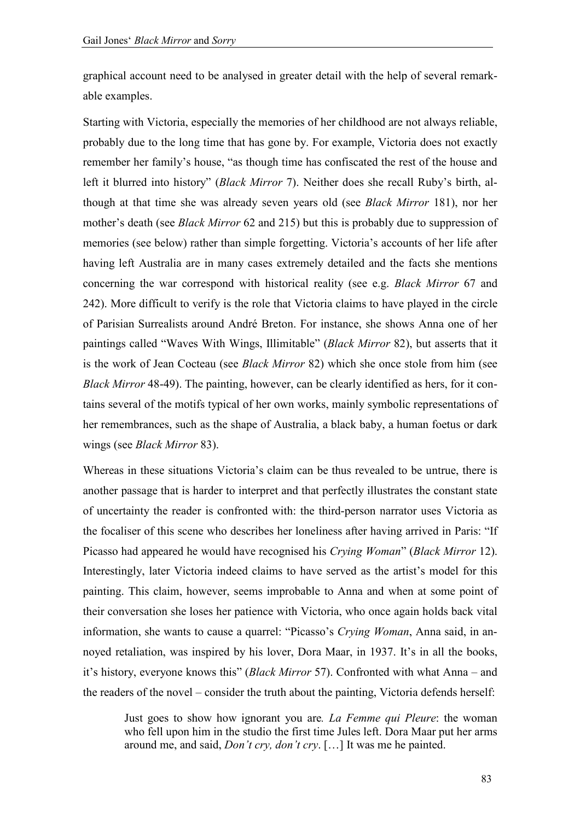graphical account need to be analysed in greater detail with the help of several remarkable examples.

Starting with Victoria, especially the memories of her childhood are not always reliable, probably due to the long time that has gone by. For example, Victoria does not exactly remember her family's house, "as though time has confiscated the rest of the house and left it blurred into history" (*Black Mirror* 7). Neither does she recall Ruby's birth, although at that time she was already seven years old (see *Black Mirror* 181), nor her mother's death (see *Black Mirror* 62 and 215) but this is probably due to suppression of memories (see below) rather than simple forgetting. Victoria's accounts of her life after having left Australia are in many cases extremely detailed and the facts she mentions concerning the war correspond with historical reality (see e.g. *Black Mirror* 67 and 242). More difficult to verify is the role that Victoria claims to have played in the circle of Parisian Surrealists around André Breton. For instance, she shows Anna one of her paintings called "Waves With Wings, Illimitable" (*Black Mirror* 82), but asserts that it is the work of Jean Cocteau (see *Black Mirror* 82) which she once stole from him (see *Black Mirror* 48-49). The painting, however, can be clearly identified as hers, for it contains several of the motifs typical of her own works, mainly symbolic representations of her remembrances, such as the shape of Australia, a black baby, a human foetus or dark wings (see *Black Mirror* 83).

Whereas in these situations Victoria's claim can be thus revealed to be untrue, there is another passage that is harder to interpret and that perfectly illustrates the constant state of uncertainty the reader is confronted with: the third-person narrator uses Victoria as the focaliser of this scene who describes her loneliness after having arrived in Paris: "If Picasso had appeared he would have recognised his *Crying Woman*" (*Black Mirror* 12). Interestingly, later Victoria indeed claims to have served as the artist's model for this painting. This claim, however, seems improbable to Anna and when at some point of their conversation she loses her patience with Victoria, who once again holds back vital information, she wants to cause a quarrel: "Picasso's *Crying Woman*, Anna said, in annoyed retaliation, was inspired by his lover, Dora Maar, in 1937. It's in all the books, it's history, everyone knows this" (*Black Mirror* 57). Confronted with what Anna – and the readers of the novel – consider the truth about the painting, Victoria defends herself:

Just goes to show how ignorant you are*. La Femme qui Pleure*: the woman who fell upon him in the studio the first time Jules left. Dora Maar put her arms around me, and said, *Don't cry, don't cry*. […] It was me he painted.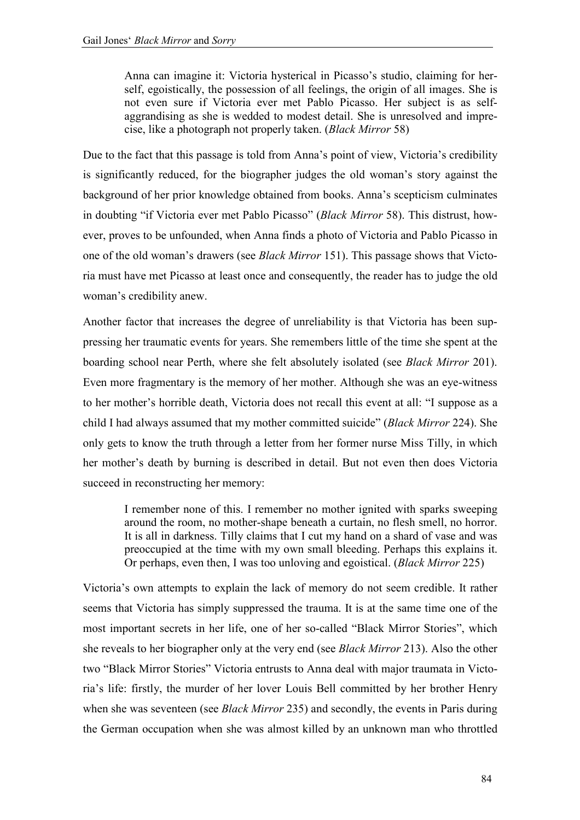Anna can imagine it: Victoria hysterical in Picasso's studio, claiming for herself, egoistically, the possession of all feelings, the origin of all images. She is not even sure if Victoria ever met Pablo Picasso. Her subject is as selfaggrandising as she is wedded to modest detail. She is unresolved and imprecise, like a photograph not properly taken. (*Black Mirror* 58)

Due to the fact that this passage is told from Anna's point of view, Victoria's credibility is significantly reduced, for the biographer judges the old woman's story against the background of her prior knowledge obtained from books. Anna's scepticism culminates in doubting "if Victoria ever met Pablo Picasso" (*Black Mirror* 58). This distrust, however, proves to be unfounded, when Anna finds a photo of Victoria and Pablo Picasso in one of the old woman's drawers (see *Black Mirror* 151). This passage shows that Victoria must have met Picasso at least once and consequently, the reader has to judge the old woman's credibility anew.

Another factor that increases the degree of unreliability is that Victoria has been suppressing her traumatic events for years. She remembers little of the time she spent at the boarding school near Perth, where she felt absolutely isolated (see *Black Mirror* 201). Even more fragmentary is the memory of her mother. Although she was an eye-witness to her mother's horrible death, Victoria does not recall this event at all: "I suppose as a child I had always assumed that my mother committed suicide" (*Black Mirror* 224). She only gets to know the truth through a letter from her former nurse Miss Tilly, in which her mother's death by burning is described in detail. But not even then does Victoria succeed in reconstructing her memory:

I remember none of this. I remember no mother ignited with sparks sweeping around the room, no mother-shape beneath a curtain, no flesh smell, no horror. It is all in darkness. Tilly claims that I cut my hand on a shard of vase and was preoccupied at the time with my own small bleeding. Perhaps this explains it. Or perhaps, even then, I was too unloving and egoistical. (*Black Mirror* 225)

Victoria's own attempts to explain the lack of memory do not seem credible. It rather seems that Victoria has simply suppressed the trauma. It is at the same time one of the most important secrets in her life, one of her so-called "Black Mirrοr Stories", which she reveals to her biographer only at the very end (see *Black Mirror* 213). Also the other two "Black Mirrοr Stories" Victoria entrusts to Anna deal with major traumata in Victoria's life: firstly, the murder of her lover Louis Bell committed by her brother Henry when she was seventeen (see *Black Mirror* 235) and secondly, the events in Paris during the German occupation when she was almost killed by an unknown man who throttled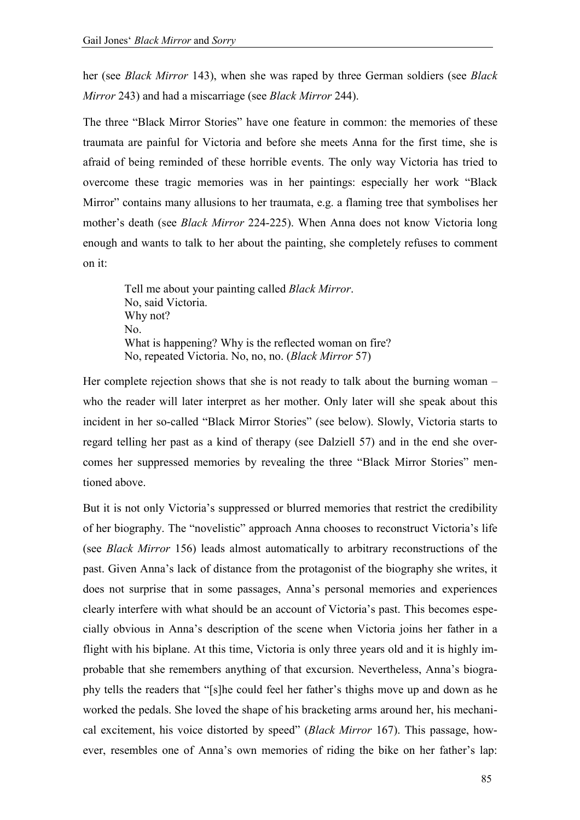her (see *Black Mirror* 143), when she was raped by three German soldiers (see *Black Mirror* 243) and had a miscarriage (see *Black Mirror* 244).

The three "Black Mirror Stories" have one feature in common: the memories of these traumata are painful for Victoria and before she meets Anna for the first time, she is afraid of being reminded of these horrible events. The only way Victoria has tried to overcome these tragic memories was in her paintings: especially her work "Black Mirror" contains many allusions to her traumata, e.g. a flaming tree that symbolises her mother's death (see *Black Mirror* 224-225). When Anna does not know Victoria long enough and wants to talk to her about the painting, she completely refuses to comment on it:

Tell me about your painting called *Black Mirror*. No, said Victoria. Why not? No. What is happening? Why is the reflected woman on fire? No, repeated Victoria. No, no, no. (*Black Mirror* 57)

Her complete rejection shows that she is not ready to talk about the burning woman – who the reader will later interpret as her mother. Only later will she speak about this incident in her so-called "Black Mirrοr Stories" (see below). Slowly, Victoria starts to regard telling her past as a kind of therapy (see Dalziell 57) and in the end she overcomes her suppressed memories by revealing the three "Black Mirrοr Stories" mentioned above.

But it is not only Victoria's suppressed or blurred memories that restrict the credibility of her biography. The "novelistic" approach Anna chooses to reconstruct Victoria's life (see *Black Mirror* 156) leads almost automatically to arbitrary reconstructions of the past. Given Anna's lack of distance from the protagonist of the biography she writes, it does not surprise that in some passages, Anna's personal memories and experiences clearly interfere with what should be an account of Victoria's past. This becomes especially obvious in Anna's description of the scene when Victoria joins her father in a flight with his biplane. At this time, Victoria is only three years old and it is highly improbable that she remembers anything of that excursion. Nevertheless, Anna's biography tells the readers that "[s]he could feel her father's thighs move up and down as he worked the pedals. She loved the shape of his bracketing arms around her, his mechanical excitement, his voice distorted by speed" (*Black Mirror* 167). This passage, however, resembles one of Anna's own memories of riding the bike on her father's lap: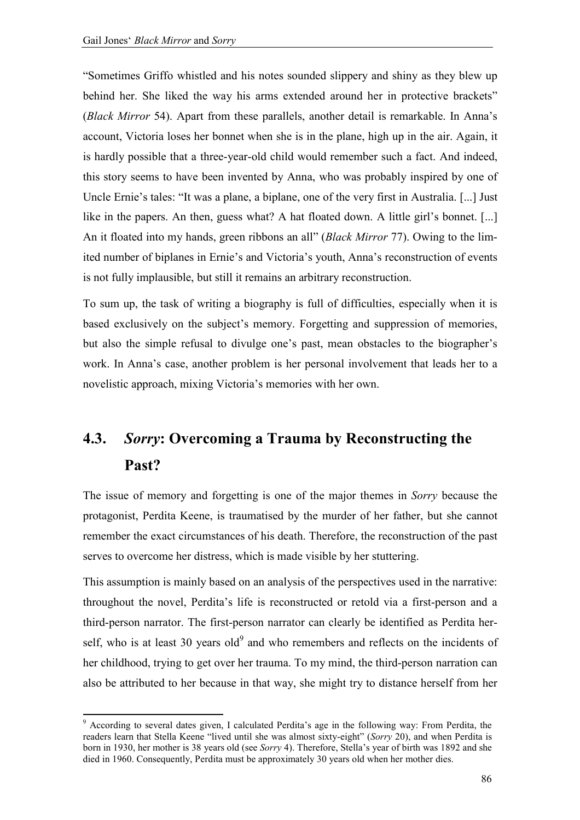$\overline{a}$ 

"Sometimes Griffo whistled and his notes sounded slippery and shiny as they blew up behind her. She liked the way his arms extended around her in protective brackets" (*Black Mirror* 54). Apart from these parallels, another detail is remarkable. In Anna's account, Victoria loses her bonnet when she is in the plane, high up in the air. Again, it is hardly possible that a three-year-old child would remember such a fact. And indeed, this story seems to have been invented by Anna, who was probably inspired by one of Uncle Ernie's tales: "It was a plane, a biplane, one of the very first in Australia. [...] Just like in the papers. An then, guess what? A hat floated down. A little girl's bonnet. [...] An it floated into my hands, green ribbons an all" (*Black Mirror* 77). Owing to the limited number of biplanes in Ernie's and Victoria's youth, Anna's reconstruction of events is not fully implausible, but still it remains an arbitrary reconstruction.

To sum up, the task of writing a biography is full of difficulties, especially when it is based exclusively on the subject's memory. Forgetting and suppression of memories, but also the simple refusal to divulge one's past, mean obstacles to the biographer's work. In Anna's case, another problem is her personal involvement that leads her to a novelistic approach, mixing Victoria's memories with her own.

## **4.3.** *Sorry***: Overcoming a Trauma by Reconstructing the Past?**

The issue of memory and forgetting is one of the major themes in *Sorry* because the protagonist, Perdita Keene, is traumatised by the murder of her father, but she cannot remember the exact circumstances of his death. Therefore, the reconstruction of the past serves to overcome her distress, which is made visible by her stuttering.

This assumption is mainly based on an analysis of the perspectives used in the narrative: throughout the novel, Perdita's life is reconstructed or retold via a first-person and a third-person narrator. The first-person narrator can clearly be identified as Perdita herself, who is at least 30 years old $9$  and who remembers and reflects on the incidents of her childhood, trying to get over her trauma. To my mind, the third-person narration can also be attributed to her because in that way, she might try to distance herself from her

<sup>&</sup>lt;sup>9</sup> According to several dates given, I calculated Perdita's age in the following way: From Perdita, the readers learn that Stella Keene "lived until she was almost sixty-eight" (*Sorry* 20), and when Perdita is born in 1930, her mother is 38 years old (see *Sorry* 4). Therefore, Stella's year of birth was 1892 and she died in 1960. Consequently, Perdita must be approximately 30 years old when her mother dies.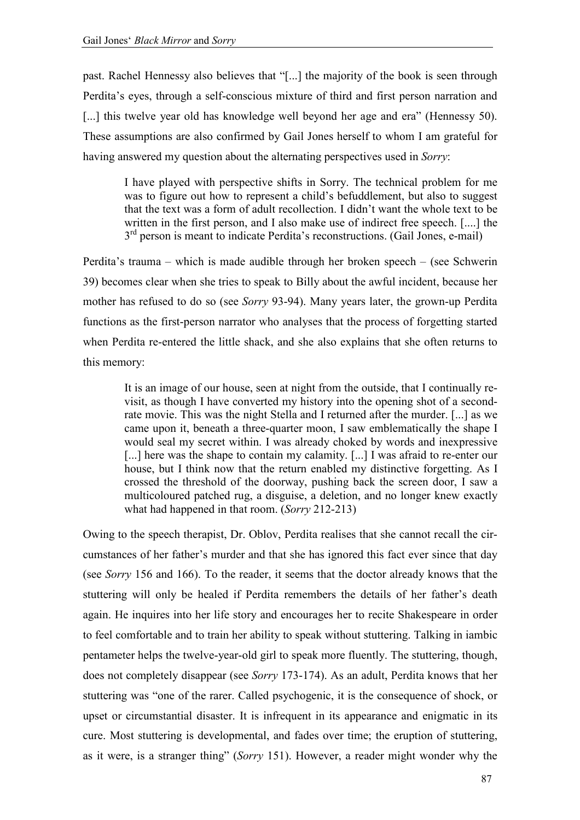past. Rachel Hennessy also believes that "[...] the majority of the book is seen through Perdita's eyes, through a self-conscious mixture of third and first person narration and [...] this twelve year old has knowledge well beyond her age and era" (Hennessy 50). These assumptions are also confirmed by Gail Jones herself to whom I am grateful for having answered my question about the alternating perspectives used in *Sorry*:

I have played with perspective shifts in Sοrry. The technical problem for me was to figure out how to represent a child's befuddlement, but also to suggest that the text was a form of adult recollection. I didn't want the whole text to be written in the first person, and I also make use of indirect free speech. [....] the 3<sup>rd</sup> person is meant to indicate Perdita's reconstructions. (Gail Jones, e-mail)

Perdita's trauma – which is made audible through her broken speech – (see Schwerin 39) becomes clear when she tries to speak to Billy about the awful incident, because her mother has refused to do so (see *Sorry* 93-94). Many years later, the grown-up Perdita functions as the first-person narrator who analyses that the process of forgetting started when Perdita re-entered the little shack, and she also explains that she often returns to this memory:

It is an image of our house, seen at night from the outside, that I continually revisit, as though I have converted my history into the opening shot of a secondrate movie. This was the night Stella and I returned after the murder. [...] as we came upon it, beneath a three-quarter moon, I saw emblematically the shape I would seal my secret within. I was already choked by words and inexpressive [...] here was the shape to contain my calamity. [...] I was afraid to re-enter our house, but I think now that the return enabled my distinctive forgetting. As I crossed the threshold of the doorway, pushing back the screen door, I saw a multicoloured patched rug, a disguise, a deletion, and no longer knew exactly what had happened in that room. (*Sorry* 212-213)

Owing to the speech therapist, Dr. Oblov, Perdita realises that she cannot recall the circumstances of her father's murder and that she has ignored this fact ever since that day (see *Sorry* 156 and 166). To the reader, it seems that the doctor already knows that the stuttering will only be healed if Perdita remembers the details of her father's death again. He inquires into her life story and encourages her to recite Shakespeare in order to feel comfortable and to train her ability to speak without stuttering. Talking in iambic pentameter helps the twelve-year-old girl to speak more fluently. The stuttering, though, does not completely disappear (see *Sorry* 173-174). As an adult, Perdita knows that her stuttering was "one of the rarer. Called psychogenic, it is the consequence of shock, or upset or circumstantial disaster. It is infrequent in its appearance and enigmatic in its cure. Most stuttering is developmental, and fades over time; the eruption of stuttering, as it were, is a stranger thing" (*Sorry* 151). However, a reader might wonder why the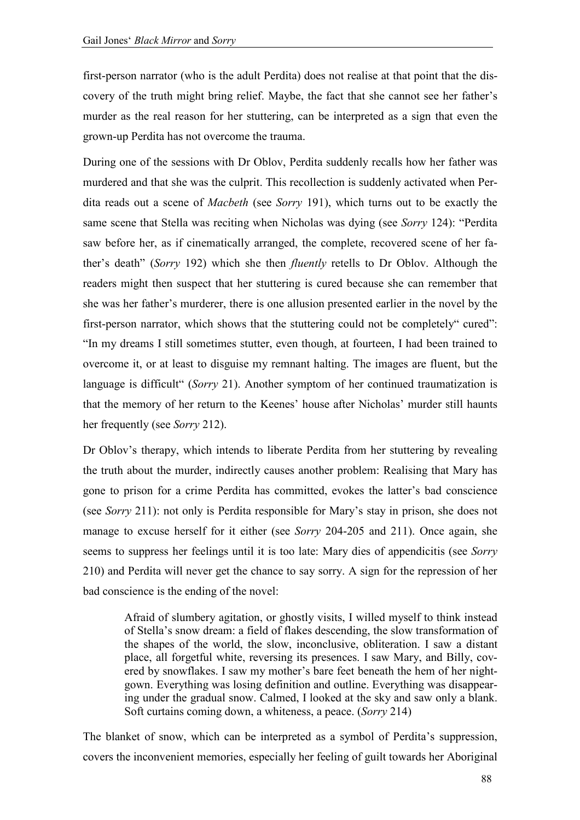first-person narrator (who is the adult Perdita) does not realise at that point that the discovery of the truth might bring relief. Maybe, the fact that she cannot see her father's murder as the real reason for her stuttering, can be interpreted as a sign that even the grown-up Perdita has not overcome the trauma.

During one of the sessions with Dr Oblov, Perdita suddenly recalls how her father was murdered and that she was the culprit. This recollection is suddenly activated when Perdita reads out a scene of *Macbeth* (see *Sorry* 191), which turns out to be exactly the same scene that Stella was reciting when Nicholas was dying (see *Sorry* 124): "Perdita saw before her, as if cinematically arranged, the complete, recovered scene of her father's death" (*Sorry* 192) which she then *fluently* retells to Dr Oblov. Although the readers might then suspect that her stuttering is cured because she can remember that she was her father's murderer, there is one allusion presented earlier in the novel by the first-person narrator, which shows that the stuttering could not be completely" cured": "In my dreams I still sometimes stutter, even though, at fourteen, I had been trained to overcome it, or at least to disguise my remnant halting. The images are fluent, but the language is difficult" (*Sorry* 21). Another symptom of her continued traumatization is that the memory of her return to the Keenes' house after Nicholas' murder still haunts her frequently (see *Sorry* 212).

Dr Oblov's therapy, which intends to liberate Perdita from her stuttering by revealing the truth about the murder, indirectly causes another problem: Realising that Mary has gone to prison for a crime Perdita has committed, evokes the latter's bad conscience (see *Sorry* 211): not only is Perdita responsible for Mary's stay in prison, she does not manage to excuse herself for it either (see *Sorry* 204-205 and 211). Once again, she seems to suppress her feelings until it is too late: Mary dies of appendicitis (see *Sorry* 210) and Perdita will never get the chance to say sοrry. A sign for the repression of her bad conscience is the ending of the novel:

Afraid of slumbery agitation, or ghostly visits, I willed myself to think instead of Stella's snow dream: a field of flakes descending, the slow transformation of the shapes of the world, the slow, inconclusive, obliteration. I saw a distant place, all forgetful white, reversing its presences. I saw Mary, and Billy, covered by snowflakes. I saw my mother's bare feet beneath the hem of her nightgown. Everything was losing definition and outline. Everything was disappearing under the gradual snow. Calmed, I looked at the sky and saw only a blank. Soft curtains coming down, a whiteness, a peace. (*Sorry* 214)

The blanket of snow, which can be interpreted as a symbol of Perdita's suppression, covers the inconvenient memories, especially her feeling of guilt towards her Aboriginal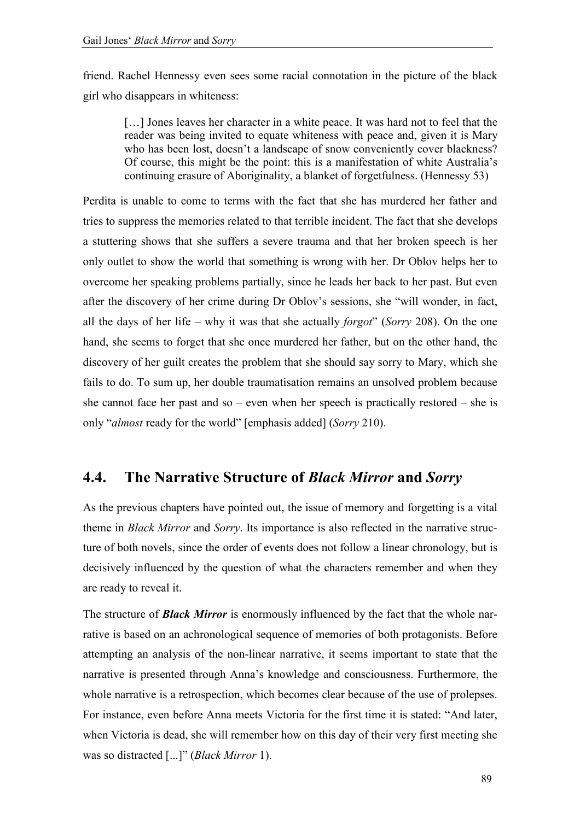friend. Rachel Hennessy even sees some racial connotation in the picture of the black girl who disappears in whiteness:

[...] Jones leaves her character in a white peace. It was hard not to feel that the reader was being invited to equate whiteness with peace and, given it is Mary who has been lost, doesn't a landscape of snow conveniently cover blackness? Of course, this might be the point: this is a manifestation of white Australia's continuing erasure of Aboriginality, a blanket of forgetfulness. (Hennessy 53)

Perdita is unable to come to terms with the fact that she has murdered her father and tries to suppress the memories related to that terrible incident. The fact that she develops a stuttering shows that she suffers a severe trauma and that her broken speech is her only outlet to show the world that something is wrong with her. Dr Oblov helps her to overcome her speaking problems partially, since he leads her back to her past. But even after the discovery of her crime during Dr Oblov's sessions, she "will wonder, in fact, all the days of her life – why it was that she actually *forgot*" (*Sorry* 208). On the one hand, she seems to forget that she once murdered her father, but on the other hand, the discovery of her guilt creates the problem that she should say sοrry to Mary, which she fails to do. To sum up, her double traumatisation remains an unsolved problem because she cannot face her past and so – even when her speech is practically restored – she is only "*almost* ready for the world" [emphasis added] (*Sorry* 210).

## **4.4. The (arrative Structure of** *Black Mirror* **and** *Sorry*

As the previous chapters have pointed out, the issue of memory and forgetting is a vital theme in *Black Mirror* and *Sorry*. Its importance is also reflected in the narrative structure of both novels, since the order of events does not follow a linear chronology, but is decisively influenced by the question of what the characters remember and when they are ready to reveal it.

The structure of *Black Mirror* is enormously influenced by the fact that the whole narrative is based on an achronological sequence of memories of both protagonists. Before attempting an analysis of the non-linear narrative, it seems important to state that the narrative is presented through Anna's knowledge and consciousness. Furthermore, the whole narrative is a retrospection, which becomes clear because of the use of prolepses. For instance, even before Anna meets Victoria for the first time it is stated: "And later, when Victoria is dead, she will remember how on this day of their very first meeting she was so distracted [...]" (*Black Mirror* 1).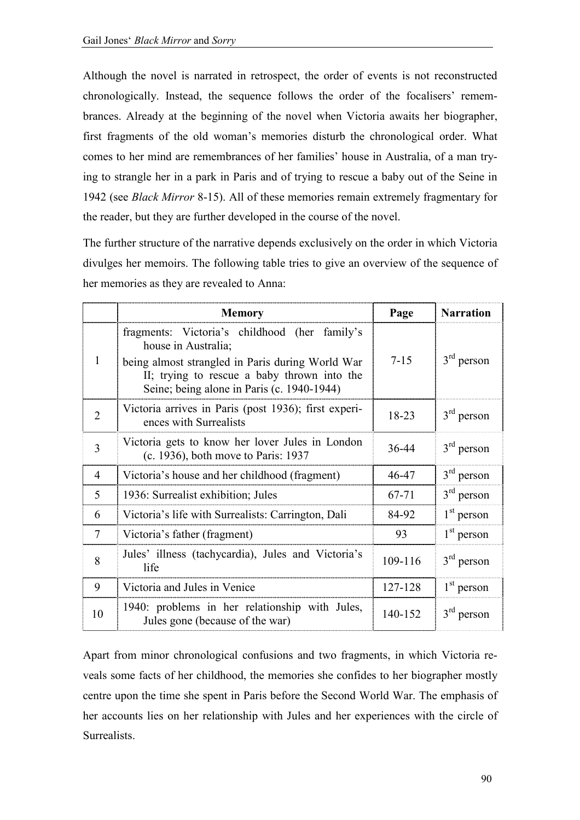Although the novel is narrated in retrospect, the order of events is not reconstructed chronologically. Instead, the sequence follows the order of the focalisers' remembrances. Already at the beginning of the novel when Victoria awaits her biographer, first fragments of the old woman's memories disturb the chronological order. What comes to her mind are remembrances of her families' house in Australia, of a man trying to strangle her in a park in Paris and of trying to rescue a baby out of the Seine in 1942 (see *Black Mirror* 8-15). All of these memories remain extremely fragmentary for the reader, but they are further developed in the course of the novel.

The further structure of the narrative depends exclusively on the order in which Victoria divulges her memoirs. The following table tries to give an overview of the sequence of her memories as they are revealed to Anna:

|                | <b>Memory</b>                                                                                                                                                                                                         | Page     | <b>Narration</b> |
|----------------|-----------------------------------------------------------------------------------------------------------------------------------------------------------------------------------------------------------------------|----------|------------------|
| 1              | fragments: Victoria's childhood (her family's<br>house in Australia;<br>being almost strangled in Paris during World War<br>II; trying to rescue a baby thrown into the<br>Seine; being alone in Paris (c. 1940-1944) | $7 - 15$ | $3rd$ person     |
| $\overline{2}$ | Victoria arrives in Paris (post 1936); first experi-<br>ences with Surrealists                                                                                                                                        | 18-23    | $3rd$ person     |
| 3              | Victoria gets to know her lover Jules in London<br>(c. 1936), both move to Paris: 1937                                                                                                                                | 36-44    | $3rd$ person     |
| $\overline{4}$ | Victoria's house and her childhood (fragment)                                                                                                                                                                         | 46-47    | $3rd$ person     |
| 5              | 1936: Surrealist exhibition; Jules                                                                                                                                                                                    | 67-71    | $3rd$ person     |
| 6              | Victoria's life with Surrealists: Carrington, Dali                                                                                                                                                                    | 84-92    | $1st$ person     |
| $\overline{7}$ | Victoria's father (fragment)                                                                                                                                                                                          | 93       | $1st$ person     |
| 8              | Jules' illness (tachycardia), Jules and Victoria's<br>life                                                                                                                                                            | 109-116  | $3rd$ person     |
| 9              | Victoria and Jules in Venice                                                                                                                                                                                          | 127-128  | $1st$ person     |
| 10             | 1940: problems in her relationship with Jules,<br>Jules gone (because of the war)                                                                                                                                     | 140-152  | $3rd$ person     |

Apart from minor chronological confusions and two fragments, in which Victoria reveals some facts of her childhood, the memories she confides to her biographer mostly centre upon the time she spent in Paris before the Second World War. The emphasis of her accounts lies on her relationship with Jules and her experiences with the circle of Surrealists.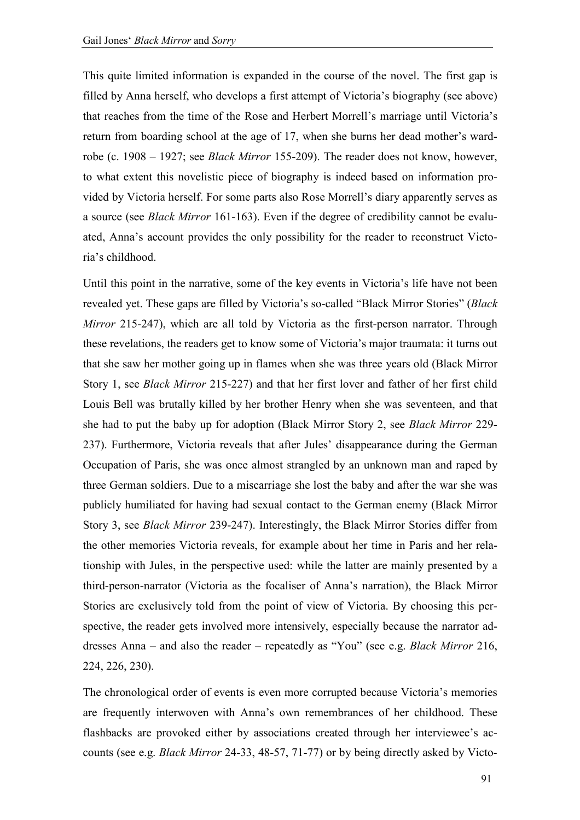This quite limited information is expanded in the course of the novel. The first gap is filled by Anna herself, who develops a first attempt of Victoria's biography (see above) that reaches from the time of the Rose and Herbert Morrell's marriage until Victoria's return from boarding school at the age of 17, when she burns her dead mother's wardrobe (c. 1908 – 1927; see *Black Mirror* 155-209). The reader does not know, however, to what extent this novelistic piece of biography is indeed based on information provided by Victoria herself. For some parts also Rose Morrell's diary apparently serves as a source (see *Black Mirror* 161-163). Even if the degree of credibility cannot be evaluated, Anna's account provides the only possibility for the reader to reconstruct Victoria's childhood.

Until this point in the narrative, some of the key events in Victoria's life have not been revealed yet. These gaps are filled by Victoria's so-called "Black Mirrοr Stories" (*Black Mirror* 215-247), which are all told by Victoria as the first-person narrator. Through these revelations, the readers get to know some of Victoria's major traumata: it turns out that she saw her mother going up in flames when she was three years old (Black Mirrοr Story 1, see *Black Mirror* 215-227) and that her first lover and father of her first child Louis Bell was brutally killed by her brother Henry when she was seventeen, and that she had to put the baby up for adoption (Black Mirrοr Story 2, see *Black Mirror* 229- 237). Furthermore, Victoria reveals that after Jules' disappearance during the German Occupation of Paris, she was once almost strangled by an unknown man and raped by three German soldiers. Due to a miscarriage she lost the baby and after the war she was publicly humiliated for having had sexual contact to the German enemy (Black Mirrοr Story 3, see *Black Mirror* 239-247). Interestingly, the Black Mirrοr Stories differ from the other memories Victoria reveals, for example about her time in Paris and her relationship with Jules, in the perspective used: while the latter are mainly presented by a third-person-narrator (Victoria as the focaliser of Anna's narration), the Black Mirrοr Stories are exclusively told from the point of view of Victoria. By choosing this perspective, the reader gets involved more intensively, especially because the narrator addresses Anna – and also the reader – repeatedly as "You" (see e.g. *Black Mirror* 216, 224, 226, 230).

The chronological order of events is even more corrupted because Victoria's memories are frequently interwoven with Anna's own remembrances of her childhood. These flashbacks are provoked either by associations created through her interviewee's accounts (see e.g. *Black Mirror* 24-33, 48-57, 71-77) or by being directly asked by Victo-

91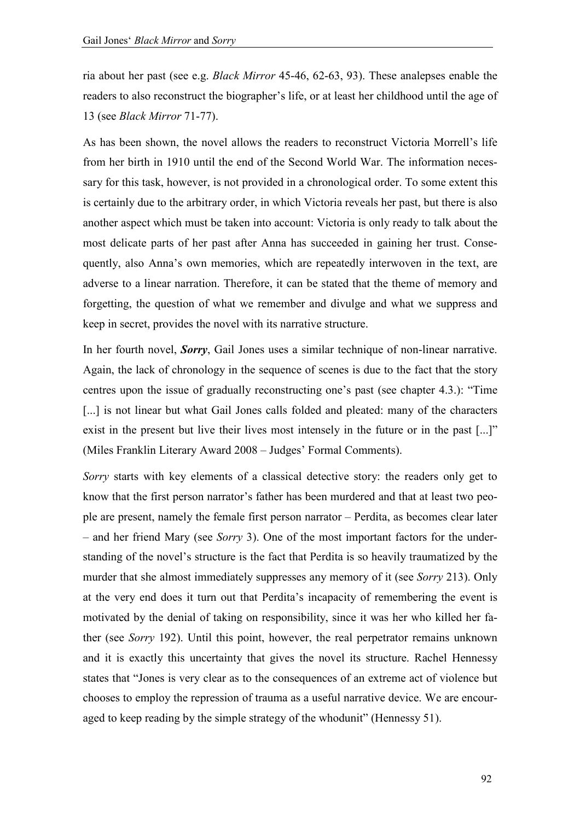ria about her past (see e.g. *Black Mirror* 45-46, 62-63, 93). These analepses enable the readers to also reconstruct the biographer's life, or at least her childhood until the age of 13 (see *Black Mirror* 71-77).

As has been shown, the novel allows the readers to reconstruct Victoria Morrell's life from her birth in 1910 until the end of the Second World War. The information necessary for this task, however, is not provided in a chronological order. To some extent this is certainly due to the arbitrary order, in which Victoria reveals her past, but there is also another aspect which must be taken into account: Victoria is only ready to talk about the most delicate parts of her past after Anna has succeeded in gaining her trust. Consequently, also Anna's own memories, which are repeatedly interwoven in the text, are adverse to a linear narration. Therefore, it can be stated that the theme of memory and forgetting, the question of what we remember and divulge and what we suppress and keep in secret, provides the novel with its narrative structure.

In her fourth novel, *Sorry*, Gail Jones uses a similar technique of non-linear narrative. Again, the lack of chronology in the sequence of scenes is due to the fact that the story centres upon the issue of gradually reconstructing one's past (see chapter 4.3.): "Time [...] is not linear but what Gail Jones calls folded and pleated: many of the characters exist in the present but live their lives most intensely in the future or in the past [...]" (Miles Franklin Literary Award 2008 – Judges' Formal Comments).

*Sorry* starts with key elements of a classical detective story: the readers only get to know that the first person narrator's father has been murdered and that at least two people are present, namely the female first person narrator – Perdita, as becomes clear later – and her friend Mary (see *Sorry* 3). One of the most important factors for the understanding of the novel's structure is the fact that Perdita is so heavily traumatized by the murder that she almost immediately suppresses any memory of it (see *Sorry* 213). Only at the very end does it turn out that Perdita's incapacity of remembering the event is motivated by the denial of taking on responsibility, since it was her who killed her father (see *Sorry* 192). Until this point, however, the real perpetrator remains unknown and it is exactly this uncertainty that gives the novel its structure. Rachel Hennessy states that "Jones is very clear as to the consequences of an extreme act of violence but chooses to employ the repression of trauma as a useful narrative device. We are encouraged to keep reading by the simple strategy of the whodunit" (Hennessy 51).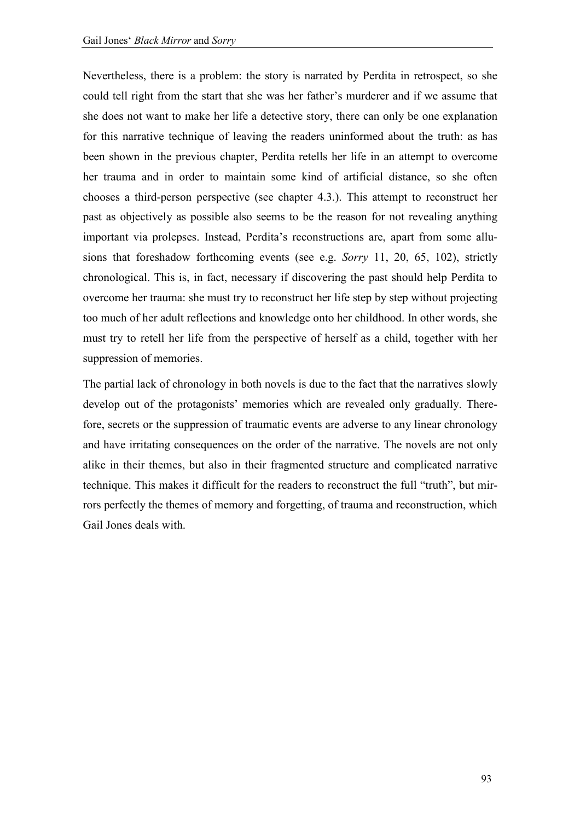Nevertheless, there is a problem: the story is narrated by Perdita in retrospect, so she could tell right from the start that she was her father's murderer and if we assume that she does not want to make her life a detective story, there can only be one explanation for this narrative technique of leaving the readers uninformed about the truth: as has been shown in the previous chapter, Perdita retells her life in an attempt to overcome her trauma and in order to maintain some kind of artificial distance, so she often chooses a third-person perspective (see chapter 4.3.). This attempt to reconstruct her past as objectively as possible also seems to be the reason for not revealing anything important via prolepses. Instead, Perdita's reconstructions are, apart from some allusions that foreshadow forthcoming events (see e.g. *Sorry* 11, 20, 65, 102), strictly chronological. This is, in fact, necessary if discovering the past should help Perdita to overcome her trauma: she must try to reconstruct her life step by step without projecting too much of her adult reflections and knowledge onto her childhood. In other words, she must try to retell her life from the perspective of herself as a child, together with her suppression of memories.

The partial lack of chronology in both novels is due to the fact that the narratives slowly develop out of the protagonists' memories which are revealed only gradually. Therefore, secrets or the suppression of traumatic events are adverse to any linear chronology and have irritating consequences on the order of the narrative. The novels are not only alike in their themes, but also in their fragmented structure and complicated narrative technique. This makes it difficult for the readers to reconstruct the full "truth", but mirrors perfectly the themes of memory and forgetting, of trauma and reconstruction, which Gail Jones deals with.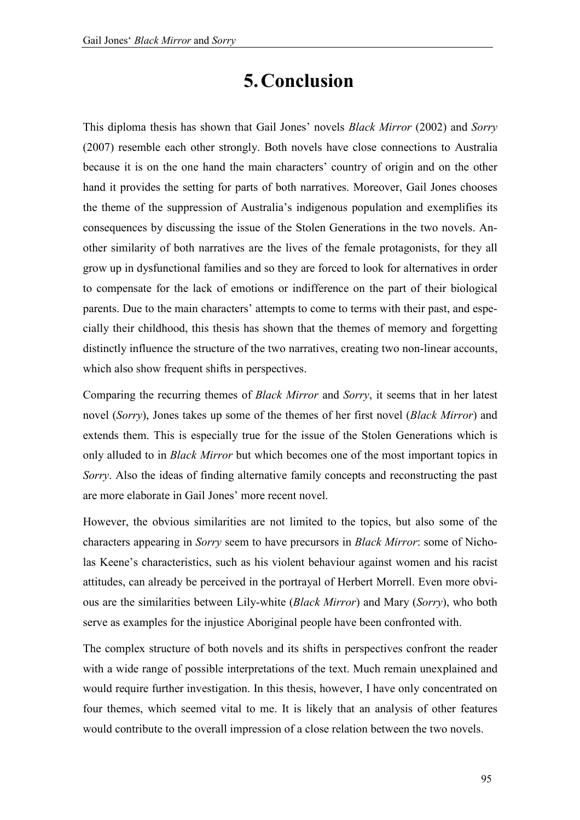## **5.Conclusion**

This diploma thesis has shown that Gail Jones' novels *Black Mirror* (2002) and *Sorry* (2007) resemble each other strongly. Both novels have close connections to Australia because it is on the one hand the main characters' country of origin and on the other hand it provides the setting for parts of both narratives. Moreover, Gail Jones chooses the theme of the suppression of Australia's indigenous population and exemplifies its consequences by discussing the issue of the Stolen Generations in the two novels. Another similarity of both narratives are the lives of the female protagonists, for they all grow up in dysfunctional families and so they are forced to look for alternatives in order to compensate for the lack of emotions or indifference on the part of their biological parents. Due to the main characters' attempts to come to terms with their past, and especially their childhood, this thesis has shown that the themes of memory and forgetting distinctly influence the structure of the two narratives, creating two non-linear accounts, which also show frequent shifts in perspectives.

Comparing the recurring themes of *Black Mirror* and *Sorry*, it seems that in her latest novel (*Sorry*), Jones takes up some of the themes of her first novel (*Black Mirror*) and extends them. This is especially true for the issue of the Stolen Generations which is only alluded to in *Black Mirror* but which becomes one of the most important topics in *Sorry*. Also the ideas of finding alternative family concepts and reconstructing the past are more elaborate in Gail Jones' more recent novel.

However, the obvious similarities are not limited to the topics, but also some of the characters appearing in *Sorry* seem to have precursors in *Black Mirror*: some of Nicholas Keene's characteristics, such as his violent behaviour against women and his racist attitudes, can already be perceived in the portrayal of Herbert Morrell. Even more obvious are the similarities between Lily-white (*Black Mirror*) and Mary (*Sorry*), who both serve as examples for the injustice Aboriginal people have been confronted with.

The complex structure of both novels and its shifts in perspectives confront the reader with a wide range of possible interpretations of the text. Much remain unexplained and would require further investigation. In this thesis, however, I have only concentrated on four themes, which seemed vital to me. It is likely that an analysis of other features would contribute to the overall impression of a close relation between the two novels.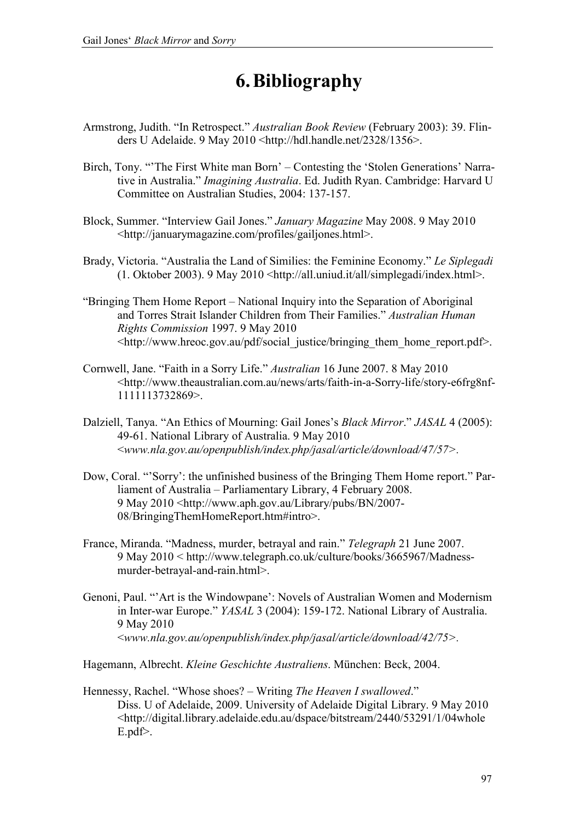# **6.Bibliography**

- Armstrong, Judith. "In Retrospect." *Australian Book Review* (February 2003): 39. Flinders U Adelaide. 9 May 2010 <http://hdl.handle.net/2328/1356>.
- Birch, Tony. "'The First White man Born' Contesting the 'Stolen Generations' Narrative in Australia." *Imagining Australia*. Ed. Judith Ryan. Cambridge: Harvard U Committee on Australian Studies, 2004: 137-157.
- Block, Summer. "Interview Gail Jones." *January Magazine* May 2008. 9 May 2010 <http://januarymagazine.com/profiles/gailjones.html>.
- Brady, Victoria. "Australia the Land of Similies: the Feminine Economy." *Le Siplegadi* (1. Oktober 2003). 9 May 2010 <http://all.uniud.it/all/simplegadi/index.html>.
- "Bringing Them Home Report National Inquiry into the Separation of Aboriginal and Torres Strait Islander Children from Their Families." *Australian Human Rights Commission* 1997. 9 May 2010 <http://www.hreoc.gov.au/pdf/social\_justice/bringing\_them\_home\_report.pdf>.
- Cornwell, Jane. "Faith in a Sοrry Life." *Australian* 16 June 2007. 8 May 2010 <http://www.theaustralian.com.au/news/arts/faith-in-a-Sorry-life/story-e6frg8nf-1111113732869>.
- Dalziell, Tanya. "An Ethics of Mourning: Gail Jones's *Black Mirror*." *JASAL* 4 (2005): 49-61. National Library of Australia. 9 May 2010 <*www.nla.gov.au/openpublish/index.php/jasal/article/download/47/57>.*
- Dow, Coral. "'Sorry': the unfinished business of the Bringing Them Home report." Parliament of Australia – Parliamentary Library, 4 February 2008. 9 May 2010 <http://www.aph.gov.au/Library/pubs/BN/2007- 08/BringingThemHomeReport.htm#intro>.
- France, Miranda. "Madness, murder, betrayal and rain." *Telegraph* 21 June 2007. 9 May 2010 < http://www.telegraph.co.uk/culture/books/3665967/Madnessmurder-betrayal-and-rain.html>.
- Genoni, Paul. "'Art is the Windowpane': Novels of Australian Women and Modernism in Inter-war Europe." *YASAL* 3 (2004): 159-172. National Library of Australia. 9 May 2010 <*www.nla.gov.au/openpublish/index.php/jasal/article/download/42/75>.*

Hagemann, Albrecht. *Kleine Geschichte Australiens*. München: Beck, 2004.

Hennessy, Rachel. "Whose shoes? – Writing *The Heaven I swallowed*." Diss. U of Adelaide, 2009. University of Adelaide Digital Library. 9 May 2010 <http://digital.library.adelaide.edu.au/dspace/bitstream/2440/53291/1/04whole E.pdf>.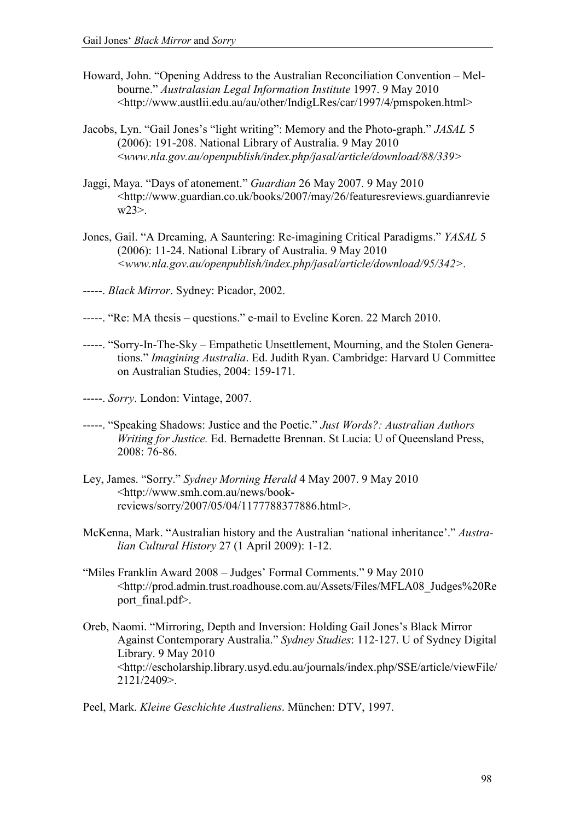- Howard, John. "Opening Address to the Australian Reconciliation Convention Melbourne." *Australasian Legal Information Institute* 1997. 9 May 2010 <http://www.austlii.edu.au/au/other/IndigLRes/car/1997/4/pmspoken.html>
- Jacobs, Lyn. "Gail Jones's "light writing": Memory and the Photo-graph." *JASAL* 5 (2006): 191-208. National Library of Australia. 9 May 2010 <*www.nla.gov.au/openpublish/index.php/jasal/article/download/88/339>*
- Jaggi, Maya. "Days of atonement." *Guardian* 26 May 2007. 9 May 2010 <http://www.guardian.co.uk/books/2007/may/26/featuresreviews.guardianrevie  $w23$
- Jones, Gail. "A Dreaming, A Sauntering: Re-imagining Critical Paradigms." *YASAL* 5 (2006): 11-24. National Library of Australia. 9 May 2010 *<www.nla.gov.au/openpublish/index.php/jasal/article/download/95/342>.*

-----. *Black Mirror*. Sydney: Picador, 2002.

- -----. "Re: MA thesis questions." e-mail to Eveline Koren. 22 March 2010.
- -----. "Sorry-In-The-Sky Empathetic Unsettlement, Mourning, and the Stolen Generations." *Imagining Australia*. Ed. Judith Ryan. Cambridge: Harvard U Committee on Australian Studies, 2004: 159-171.
- -----. *Sorry*. London: Vintage, 2007.
- -----. "Speaking Shadows: Justice and the Poetic." *Just Words?: Australian Authors Writing for Justice.* Ed. Bernadette Brennan. St Lucia: U of Queensland Press, 2008: 76-86.
- Ley, James. "Sorry." *Sydney Morning Herald* 4 May 2007. 9 May 2010 <http://www.smh.com.au/news/bookreviews/sorry/2007/05/04/1177788377886.html>.
- McKenna, Mark. "Australian history and the Australian 'national inheritance'." *Australian Cultural History* 27 (1 April 2009): 1-12.
- "Miles Franklin Award 2008 Judges' Formal Comments." 9 May 2010 <http://prod.admin.trust.roadhouse.com.au/Assets/Files/MFLA08\_Judges%20Re port\_final.pdf>.
- Oreb, Naomi. "Mirroring, Depth and Inversion: Holding Gail Jones's Black Mirror Against Contemporary Australia." *Sydney Studies*: 112-127. U of Sydney Digital Library. 9 May 2010 <http://escholarship.library.usyd.edu.au/journals/index.php/SSE/article/viewFile/ 2121/2409>.

Peel, Mark. *Kleine Geschichte Australiens*. München: DTV, 1997.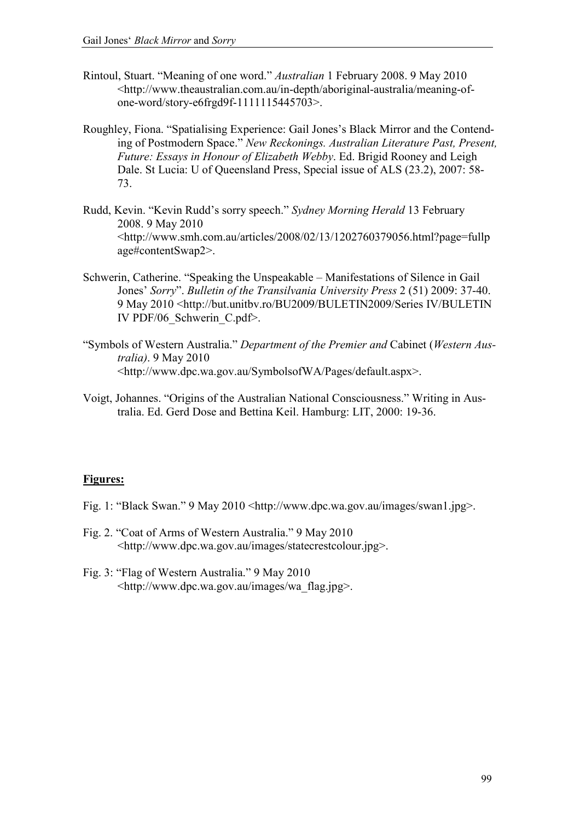- Rintoul, Stuart. "Meaning of one word." *Australian* 1 February 2008. 9 May 2010 <http://www.theaustralian.com.au/in-depth/aboriginal-australia/meaning-ofone-word/story-e6frgd9f-1111115445703>.
- Roughley, Fiona. "Spatialising Experience: Gail Jones's Black Mirror and the Contending of Postmodern Space." *New Reckonings. Australian Literature Past, Present, Future: Essays in Honour of Elizabeth Webby*. Ed. Brigid Rooney and Leigh Dale. St Lucia: U of Queensland Press, Special issue of ALS (23.2), 2007: 58- 73.
- Rudd, Kevin. "Kevin Rudd's sorry speech." *Sydney Morning Herald* 13 February 2008. 9 May 2010 <http://www.smh.com.au/articles/2008/02/13/1202760379056.html?page=fullp age#contentSwap2>.
- Schwerin, Catherine. "Speaking the Unspeakable Manifestations of Silence in Gail Jones' *Sorry*". *Bulletin of the Transilvania University Press* 2 (51) 2009: 37-40. 9 May 2010 <http://but.unitbv.ro/BU2009/BULETIN2009/Series IV/BULETIN IV PDF/06\_Schwerin\_C.pdf>.
- "Symbols of Western Australia." *Department of the Premier and* Cabinet (*Western Australia)*. 9 May 2010 <http://www.dpc.wa.gov.au/SymbolsofWA/Pages/default.aspx>.
- Voigt, Johannes. "Origins of the Australian National Consciousness." Writing in Australia. Ed. Gerd Dose and Bettina Keil. Hamburg: LIT, 2000: 19-36.

### **Figures:**

- Fig. 1: "Black Swan." 9 May 2010 <http://www.dpc.wa.gov.au/images/swan1.jpg>.
- Fig. 2. "Coat of Arms of Western Australia." 9 May 2010 <http://www.dpc.wa.gov.au/images/statecrestcolour.jpg>.
- Fig. 3: "Flag of Western Australia." 9 May 2010 <http://www.dpc.wa.gov.au/images/wa\_flag.jpg>.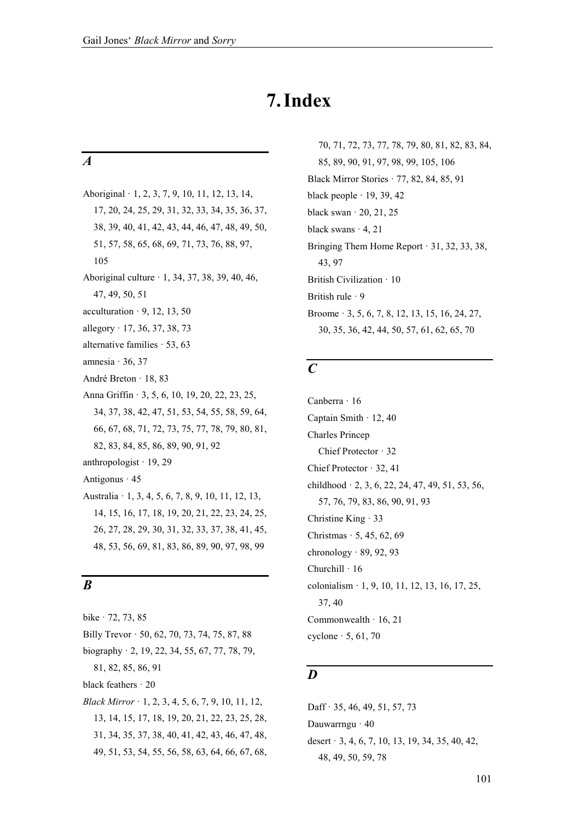## **7.Index**

### *A*

Aboriginal · 1, 2, 3, 7, 9, 10, 11, 12, 13, 14, 17, 20, 24, 25, 29, 31, 32, 33, 34, 35, 36, 37, 38, 39, 40, 41, 42, 43, 44, 46, 47, 48, 49, 50, 51, 57, 58, 65, 68, 69, 71, 73, 76, 88, 97, 105 Aboriginal culture · 1, 34, 37, 38, 39, 40, 46, 47, 49, 50, 51 acculturation  $\cdot$  9, 12, 13, 50 allegory · 17, 36, 37, 38, 73 alternative families · 53, 63 amnesia  $\cdot$  36, 37 André Breton · 18, 83 Anna Griffin · 3, 5, 6, 10, 19, 20, 22, 23, 25, 34, 37, 38, 42, 47, 51, 53, 54, 55, 58, 59, 64, 66, 67, 68, 71, 72, 73, 75, 77, 78, 79, 80, 81, 82, 83, 84, 85, 86, 89, 90, 91, 92 anthropologist · 19, 29 Antigonus · 45 Australia · 1, 3, 4, 5, 6, 7, 8, 9, 10, 11, 12, 13, 14, 15, 16, 17, 18, 19, 20, 21, 22, 23, 24, 25, 26, 27, 28, 29, 30, 31, 32, 33, 37, 38, 41, 45, 48, 53, 56, 69, 81, 83, 86, 89, 90, 97, 98, 99

## *B*

bike · 72, 73, 85 Billy Trevor · 50, 62, 70, 73, 74, 75, 87, 88 biography · 2, 19, 22, 34, 55, 67, 77, 78, 79, 81, 82, 85, 86, 91 black feathers · 20 *Black Mirror* · 1, 2, 3, 4, 5, 6, 7, 9, 10, 11, 12, 13, 14, 15, 17, 18, 19, 20, 21, 22, 23, 25, 28, 31, 34, 35, 37, 38, 40, 41, 42, 43, 46, 47, 48, 49, 51, 53, 54, 55, 56, 58, 63, 64, 66, 67, 68,

70, 71, 72, 73, 77, 78, 79, 80, 81, 82, 83, 84, 85, 89, 90, 91, 97, 98, 99, 105, 106 Black Mirrοr Stories · 77, 82, 84, 85, 91 black people  $\cdot$  19, 39, 42 black swan · 20, 21, 25 black swans · 4, 21 Bringing Them Home Report · 31, 32, 33, 38, 43, 97 British Civilization · 10 British rule · 9 Broome · 3, 5, 6, 7, 8, 12, 13, 15, 16, 24, 27, 30, 35, 36, 42, 44, 50, 57, 61, 62, 65, 70

## *C*

Canberra · 16 Captain Smith · 12, 40 Charles Princep Chief Protector · 32 Chief Protector · 32, 41 childhood · 2, 3, 6, 22, 24, 47, 49, 51, 53, 56, 57, 76, 79, 83, 86, 90, 91, 93 Christine King · 33 Christmas · 5, 45, 62, 69 chronology  $\cdot$  89, 92, 93 Churchill · 16 colonialism · 1, 9, 10, 11, 12, 13, 16, 17, 25, 37, 40 Commonwealth · 16, 21 cyclone · 5, 61, 70

### *D*

Daff · 35, 46, 49, 51, 57, 73 Dauwarrngu · 40 desert · 3, 4, 6, 7, 10, 13, 19, 34, 35, 40, 42, 48, 49, 50, 59, 78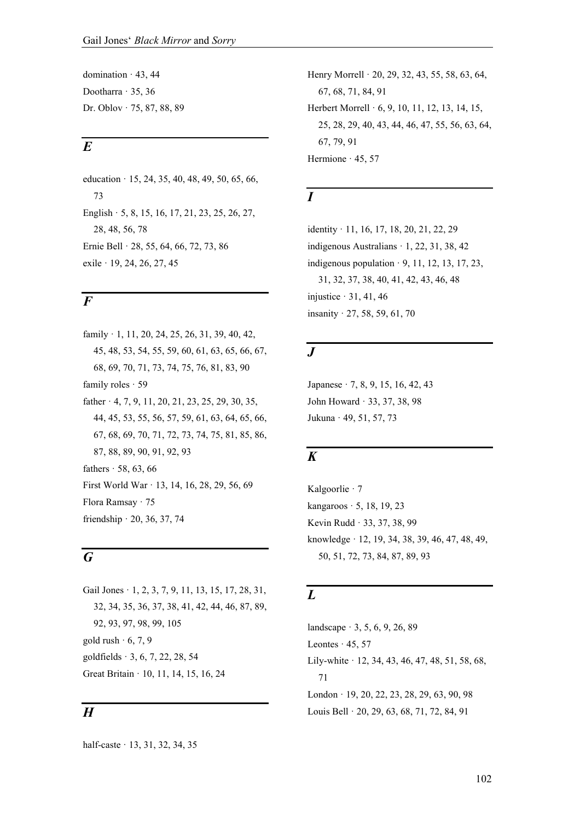domination · 43, 44 Dootharra · 35, 36 Dr. Oblov · 75, 87, 88, 89

## *E*

education · 15, 24, 35, 40, 48, 49, 50, 65, 66, 73 English · 5, 8, 15, 16, 17, 21, 23, 25, 26, 27, 28, 48, 56, 78 Ernie Bell · 28, 55, 64, 66, 72, 73, 86 exile · 19, 24, 26, 27, 45

### *F*

family · 1, 11, 20, 24, 25, 26, 31, 39, 40, 42, 45, 48, 53, 54, 55, 59, 60, 61, 63, 65, 66, 67, 68, 69, 70, 71, 73, 74, 75, 76, 81, 83, 90 family roles  $\cdot$  59 father · 4, 7, 9, 11, 20, 21, 23, 25, 29, 30, 35, 44, 45, 53, 55, 56, 57, 59, 61, 63, 64, 65, 66, 67, 68, 69, 70, 71, 72, 73, 74, 75, 81, 85, 86, 87, 88, 89, 90, 91, 92, 93 fathers · 58, 63, 66 First World War · 13, 14, 16, 28, 29, 56, 69 Flora Ramsay · 75 friendship · 20, 36, 37, 74

#### *G*

Gail Jones  $\cdot$  1, 2, 3, 7, 9, 11, 13, 15, 17, 28, 31, 32, 34, 35, 36, 37, 38, 41, 42, 44, 46, 87, 89, 92, 93, 97, 98, 99, 105 gold rush  $\cdot$  6, 7, 9 goldfields · 3, 6, 7, 22, 28, 54 Great Britain · 10, 11, 14, 15, 16, 24

## *H*

half-caste · 13, 31, 32, 34, 35

Henry Morrell · 20, 29, 32, 43, 55, 58, 63, 64, 67, 68, 71, 84, 91 Herbert Morrell · 6, 9, 10, 11, 12, 13, 14, 15, 25, 28, 29, 40, 43, 44, 46, 47, 55, 56, 63, 64, 67, 79, 91 Hermione · 45, 57

## *I*

identity · 11, 16, 17, 18, 20, 21, 22, 29 indigenous Australians · 1, 22, 31, 38, 42 indigenous population  $\cdot$  9, 11, 12, 13, 17, 23, 31, 32, 37, 38, 40, 41, 42, 43, 46, 48 injustice · 31, 41, 46 insanity · 27, 58, 59, 61, 70

#### *J*

Japanese · 7, 8, 9, 15, 16, 42, 43 John Howard · 33, 37, 38, 98 Jukuna · 49, 51, 57, 73

## *K*

Kalgoorlie · 7 kangaroos · 5, 18, 19, 23 Kevin Rudd · 33, 37, 38, 99 knowledge · 12, 19, 34, 38, 39, 46, 47, 48, 49, 50, 51, 72, 73, 84, 87, 89, 93

### *L*

landscape · 3, 5, 6, 9, 26, 89 Leontes  $\cdot$  45, 57 Lily-white · 12, 34, 43, 46, 47, 48, 51, 58, 68, 71 London · 19, 20, 22, 23, 28, 29, 63, 90, 98 Louis Bell · 20, 29, 63, 68, 71, 72, 84, 91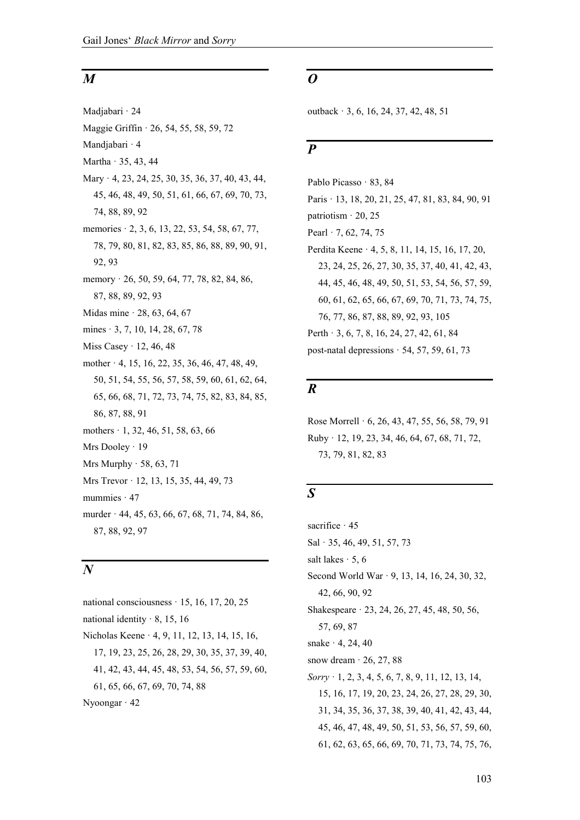#### *M*

Madjabari · 24 Maggie Griffin · 26, 54, 55, 58, 59, 72 Mandjabari · 4 Martha · 35, 43, 44 Mary · 4, 23, 24, 25, 30, 35, 36, 37, 40, 43, 44, 45, 46, 48, 49, 50, 51, 61, 66, 67, 69, 70, 73, 74, 88, 89, 92 memories  $\cdot$  2, 3, 6, 13, 22, 53, 54, 58, 67, 77, 78, 79, 80, 81, 82, 83, 85, 86, 88, 89, 90, 91, 92, 93 memory  $\cdot$  26, 50, 59, 64, 77, 78, 82, 84, 86, 87, 88, 89, 92, 93 Midas mine · 28, 63, 64, 67 mines  $\cdot$  3, 7, 10, 14, 28, 67, 78 Miss Casey · 12, 46, 48 mother · 4, 15, 16, 22, 35, 36, 46, 47, 48, 49, 50, 51, 54, 55, 56, 57, 58, 59, 60, 61, 62, 64, 65, 66, 68, 71, 72, 73, 74, 75, 82, 83, 84, 85, 86, 87, 88, 91 mothers · 1, 32, 46, 51, 58, 63, 66 Mrs Dooley · 19 Mrs Murphy · 58, 63, 71 Mrs Trevor · 12, 13, 15, 35, 44, 49, 73 mummies  $\cdot$  47 murder · 44, 45, 63, 66, 67, 68, 71, 74, 84, 86, 87, 88, 92, 97

## $\boldsymbol{N}$

national consciousness · 15, 16, 17, 20, 25 national identity  $\cdot$  8, 15, 16 Nicholas Keene · 4, 9, 11, 12, 13, 14, 15, 16, 17, 19, 23, 25, 26, 28, 29, 30, 35, 37, 39, 40, 41, 42, 43, 44, 45, 48, 53, 54, 56, 57, 59, 60, 61, 65, 66, 67, 69, 70, 74, 88 Nyoongar · 42

#### *O*

outback · 3, 6, 16, 24, 37, 42, 48, 51

#### *P*

Pablo Picasso · 83, 84 Paris · 13, 18, 20, 21, 25, 47, 81, 83, 84, 90, 91 patriotism · 20, 25 Pearl · 7, 62, 74, 75 Perdita Keene · 4, 5, 8, 11, 14, 15, 16, 17, 20, 23, 24, 25, 26, 27, 30, 35, 37, 40, 41, 42, 43, 44, 45, 46, 48, 49, 50, 51, 53, 54, 56, 57, 59, 60, 61, 62, 65, 66, 67, 69, 70, 71, 73, 74, 75, 76, 77, 86, 87, 88, 89, 92, 93, 105 Perth · 3, 6, 7, 8, 16, 24, 27, 42, 61, 84 post-natal depressions · 54, 57, 59, 61, 73

#### *R*

Rose Morrell · 6, 26, 43, 47, 55, 56, 58, 79, 91 Ruby · 12, 19, 23, 34, 46, 64, 67, 68, 71, 72, 73, 79, 81, 82, 83

#### *S*

sacrifice · 45 Sal · 35, 46, 49, 51, 57, 73 salt lakes  $\cdot$  5, 6 Second World War · 9, 13, 14, 16, 24, 30, 32, 42, 66, 90, 92 Shakespeare · 23, 24, 26, 27, 45, 48, 50, 56, 57, 69, 87 snake  $\cdot$  4, 24, 40 snow dream  $\cdot$  26, 27, 88 *Sorry* · 1, 2, 3, 4, 5, 6, 7, 8, 9, 11, 12, 13, 14, 15, 16, 17, 19, 20, 23, 24, 26, 27, 28, 29, 30, 31, 34, 35, 36, 37, 38, 39, 40, 41, 42, 43, 44, 45, 46, 47, 48, 49, 50, 51, 53, 56, 57, 59, 60, 61, 62, 63, 65, 66, 69, 70, 71, 73, 74, 75, 76,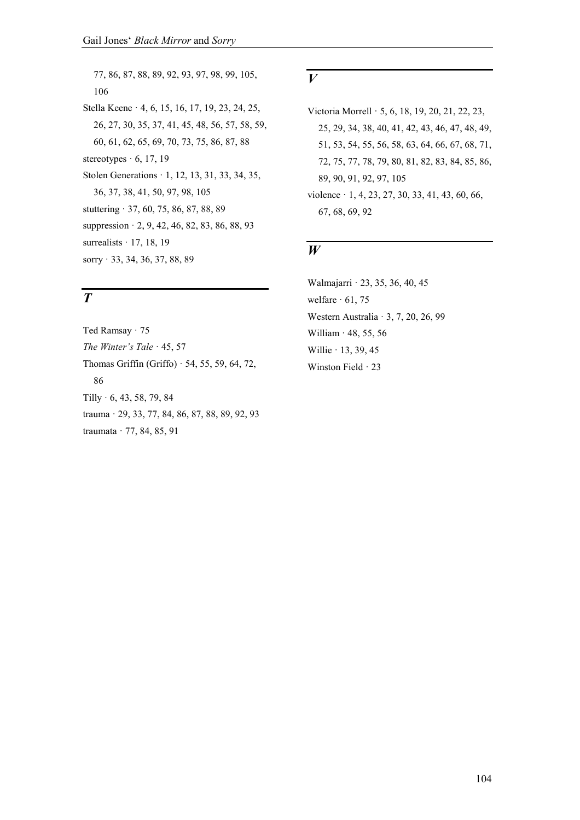77, 86, 87, 88, 89, 92, 93, 97, 98, 99, 105, 106 Stella Keene · 4, 6, 15, 16, 17, 19, 23, 24, 25, 26, 27, 30, 35, 37, 41, 45, 48, 56, 57, 58, 59, 60, 61, 62, 65, 69, 70, 73, 75, 86, 87, 88 stereotypes  $\cdot$  6, 17, 19 Stolen Generations · 1, 12, 13, 31, 33, 34, 35, 36, 37, 38, 41, 50, 97, 98, 105 stuttering · 37, 60, 75, 86, 87, 88, 89 suppression · 2, 9, 42, 46, 82, 83, 86, 88, 93 surrealists  $\cdot$  17, 18, 19 sοrry · 33, 34, 36, 37, 88, 89

## *T*

Ted Ramsay · 75 *The Winter's Tale* · 45, 57 Thomas Griffin (Griffo) · 54, 55, 59, 64, 72, 86 Tilly · 6, 43, 58, 79, 84 trauma · 29, 33, 77, 84, 86, 87, 88, 89, 92, 93 traumata · 77, 84, 85, 91

#### *V*

Victoria Morrell · 5, 6, 18, 19, 20, 21, 22, 23, 25, 29, 34, 38, 40, 41, 42, 43, 46, 47, 48, 49, 51, 53, 54, 55, 56, 58, 63, 64, 66, 67, 68, 71, 72, 75, 77, 78, 79, 80, 81, 82, 83, 84, 85, 86, 89, 90, 91, 92, 97, 105 violence  $\cdot$  1, 4, 23, 27, 30, 33, 41, 43, 60, 66, 67, 68, 69, 92

### *W*

Walmajarri · 23, 35, 36, 40, 45 welfare  $\cdot$  61, 75 Western Australia · 3, 7, 20, 26, 99 William · 48, 55, 56 Willie · 13, 39, 45 Winston Field · 23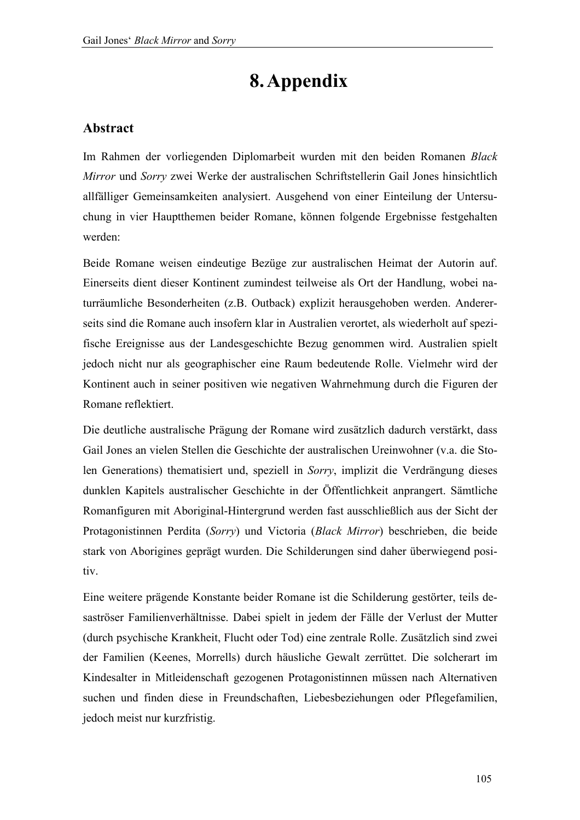## **8.Appendix**

## **Abstract**

Im Rahmen der vorliegenden Diplomarbeit wurden mit den beiden Romanen *Black Mirror* und *Sorry* zwei Werke der australischen Schriftstellerin Gail Jones hinsichtlich allfälliger Gemeinsamkeiten analysiert. Ausgehend von einer Einteilung der Untersuchung in vier Hauptthemen beider Romane, können folgende Ergebnisse festgehalten werden:

Beide Romane weisen eindeutige Bezüge zur australischen Heimat der Autorin auf. Einerseits dient dieser Kontinent zumindest teilweise als Ort der Handlung, wobei naturräumliche Besonderheiten (z.B. Outback) explizit herausgehoben werden. Andererseits sind die Romane auch insofern klar in Australien verortet, als wiederholt auf spezifische Ereignisse aus der Landesgeschichte Bezug genommen wird. Australien spielt jedoch nicht nur als geographischer eine Raum bedeutende Rolle. Vielmehr wird der Kontinent auch in seiner positiven wie negativen Wahrnehmung durch die Figuren der Romane reflektiert.

Die deutliche australische Prägung der Romane wird zusätzlich dadurch verstärkt, dass Gail Jones an vielen Stellen die Geschichte der australischen Ureinwohner (v.a. die Stolen Generations) thematisiert und, speziell in *Sorry*, implizit die Verdrängung dieses dunklen Kapitels australischer Geschichte in der Öffentlichkeit anprangert. Sämtliche Romanfiguren mit Aboriginal-Hintergrund werden fast ausschließlich aus der Sicht der Protagonistinnen Perdita (*Sorry*) und Victoria (*Black Mirror*) beschrieben, die beide stark von Aborigines geprägt wurden. Die Schilderungen sind daher überwiegend positiv.

Eine weitere prägende Konstante beider Romane ist die Schilderung gestörter, teils desaströser Familienverhältnisse. Dabei spielt in jedem der Fälle der Verlust der Mutter (durch psychische Krankheit, Flucht oder Tod) eine zentrale Rolle. Zusätzlich sind zwei der Familien (Keenes, Morrells) durch häusliche Gewalt zerrüttet. Die solcherart im Kindesalter in Mitleidenschaft gezogenen Protagonistinnen müssen nach Alternativen suchen und finden diese in Freundschaften, Liebesbeziehungen oder Pflegefamilien, jedoch meist nur kurzfristig.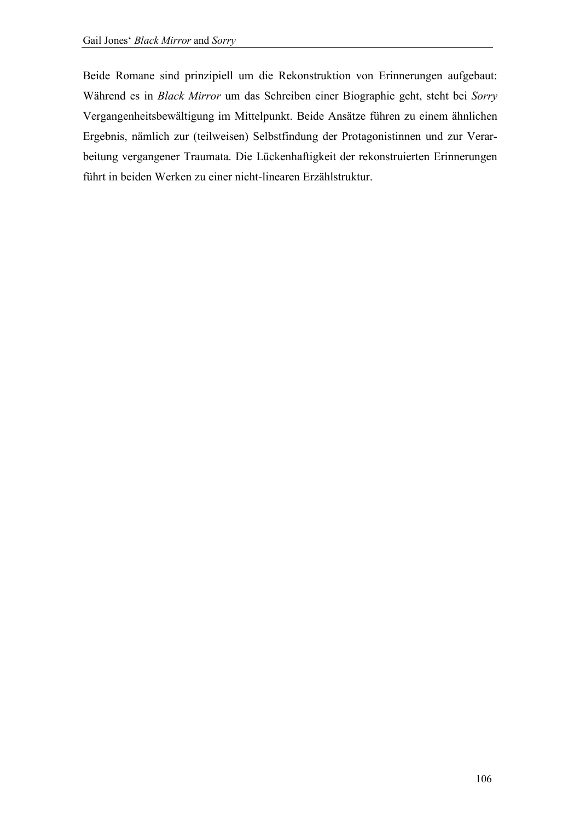Beide Romane sind prinzipiell um die Rekonstruktion von Erinnerungen aufgebaut: Während es in *Black Mirror* um das Schreiben einer Biographie geht, steht bei *Sorry* Vergangenheitsbewältigung im Mittelpunkt. Beide Ansätze führen zu einem ähnlichen Ergebnis, nämlich zur (teilweisen) Selbstfindung der Protagonistinnen und zur Verarbeitung vergangener Traumata. Die Lückenhaftigkeit der rekonstruierten Erinnerungen führt in beiden Werken zu einer nicht-linearen Erzählstruktur.